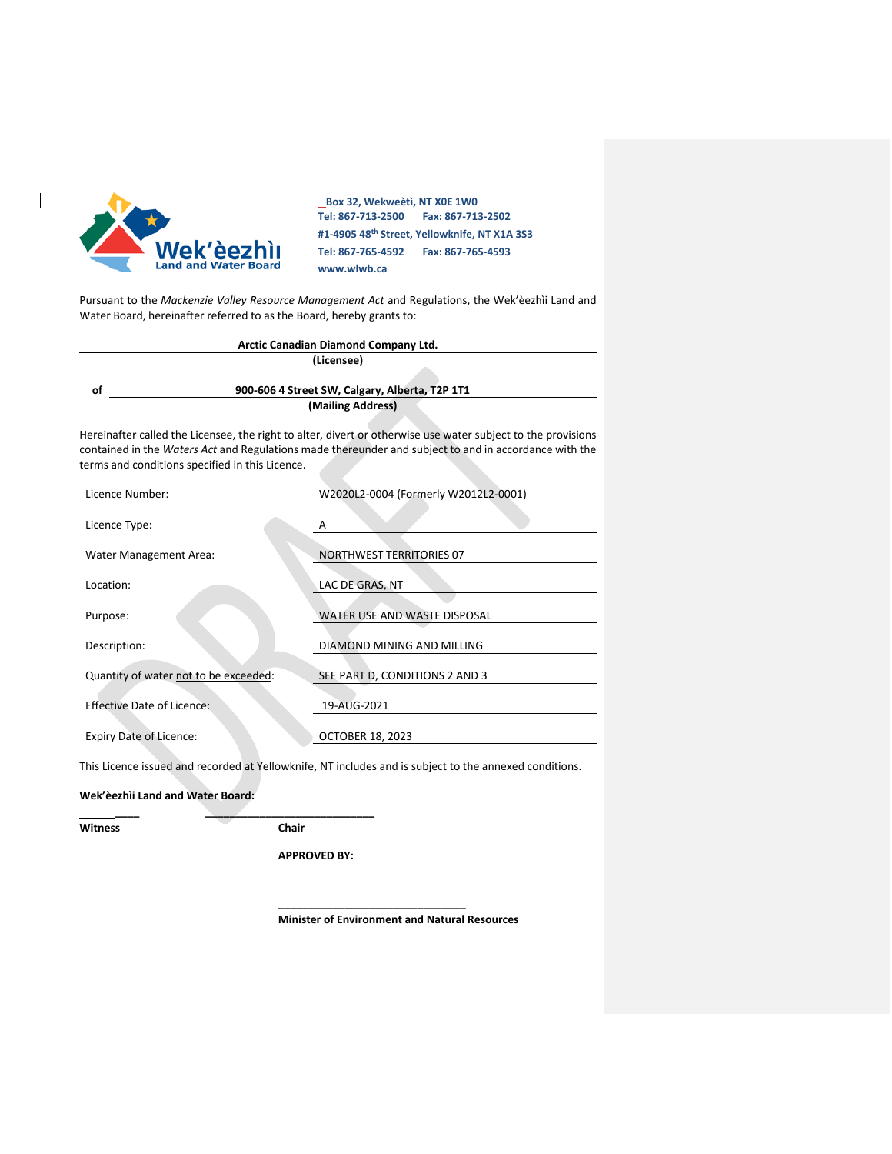

 $\begin{array}{c} \hline \end{array}$ 

 **Box 32, Wekweètì, NT X0E 1W0 Tel: 867-713-2500 Fax: 867-713-2502 #1-4905 48th Street, Yellowknife, NT X1A 3S3 Tel: 867-765-4592 Fax: 867-765-4593 www.wlwb.ca**

Pursuant to the *Mackenzie Valley Resource Management Act* and Regulations, the Wek'èezhìi Land and Water Board, hereinafter referred to as the Board, hereby grants to:

|    | Arctic Canadian Diamond Company Ltd.           |
|----|------------------------------------------------|
|    | (Licensee)                                     |
|    |                                                |
| οf | 900-606 4 Street SW, Calgary, Alberta, T2P 1T1 |
|    | (Mailing Address)                              |

Hereinafter called the Licensee, the right to alter, divert or otherwise use water subject to the provisions contained in the *Waters Act* and Regulations made thereunder and subject to and in accordance with the terms and conditions specified in this Licence.

| Licence Number:                       | W2020L2-0004 (Formerly W2012L2-0001) |
|---------------------------------------|--------------------------------------|
| Licence Type:                         | A                                    |
| Water Management Area:                | <b>NORTHWEST TERRITORIES 07</b>      |
| Location:                             | LAC DE GRAS, NT                      |
| Purpose:                              | WATER USE AND WASTE DISPOSAL         |
| Description:                          | DIAMOND MINING AND MILLING           |
| Quantity of water not to be exceeded: | SEE PART D, CONDITIONS 2 AND 3       |
| <b>Effective Date of Licence:</b>     | 19-AUG-2021                          |
| <b>Expiry Date of Licence:</b>        | <b>OCTOBER 18, 2023</b>              |
|                                       |                                      |

This Licence issued and recorded at Yellowknife, NT includes and is subject to the annexed conditions.

**Wek'èezhìi Land and Water Board:** 

**Witness Chair** 

 **\_\_\_\_ \_\_\_\_\_\_\_\_\_\_\_\_\_\_\_\_\_\_\_\_\_\_\_\_\_\_\_\_**

**APPROVED BY:**

**Minister of Environment and Natural Resources**

**\_\_\_\_\_\_\_\_\_\_\_\_\_\_\_\_\_\_\_\_\_\_\_\_\_\_\_\_\_\_\_**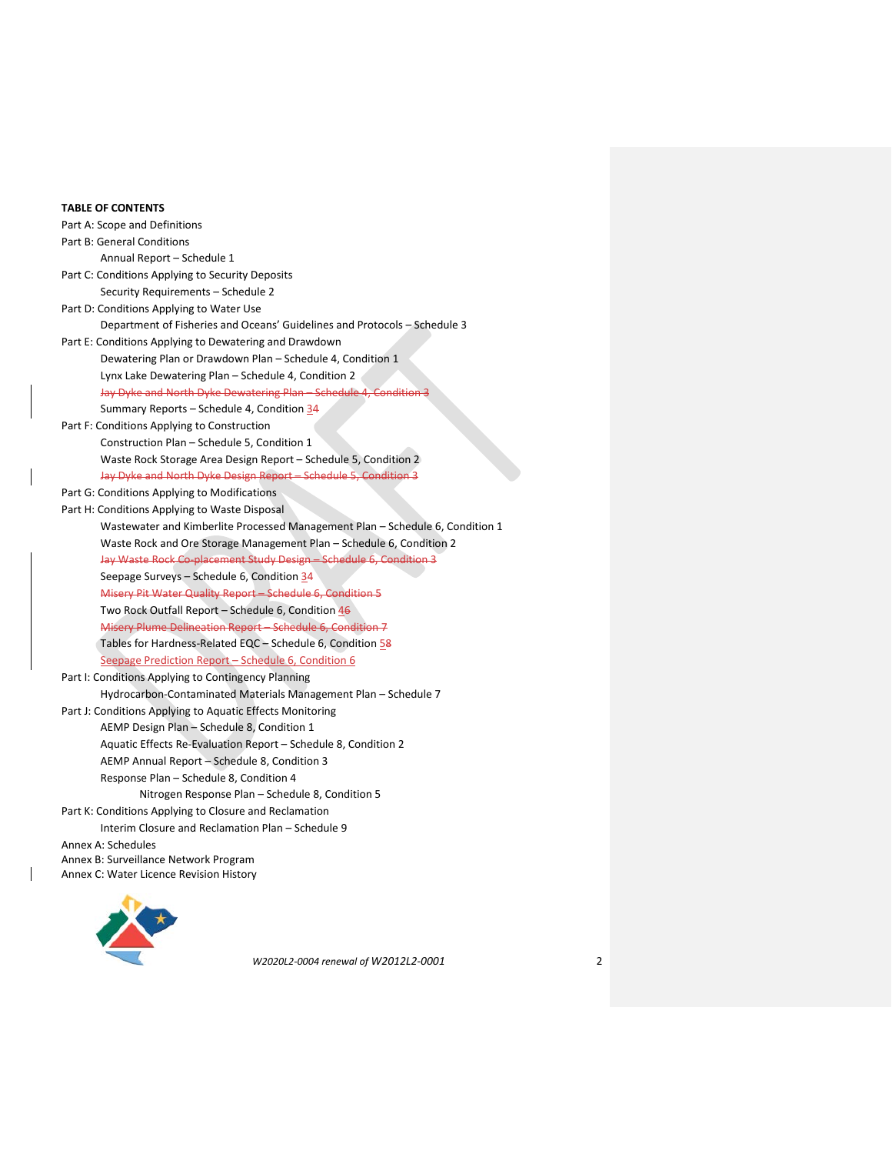### **TABLE OF CONTENTS**

Part A: Scope and Definitions Part B: General Conditions Annual Report – Schedule 1 Part C: Conditions Applying to Security Deposits Security Requirements – Schedule 2 Part D: Conditions Applying to Water Use Department of Fisheries and Oceans' Guidelines and Protocols – Schedule 3 Part E: Conditions Applying to Dewatering and Drawdown Dewatering Plan or Drawdown Plan – Schedule 4, Condition 1 Lynx Lake Dewatering Plan – Schedule 4, Condition 2 Jay Dyke and North Dyke Dewatering Plan – Schedule 4, Condition 3 Summary Reports - Schedule 4, Condition 34 Part F: Conditions Applying to Construction Construction Plan – Schedule 5, Condition 1 Waste Rock Storage Area Design Report – Schedule 5, Condition 2 Jay Dyke and North Dyke Design Report – Schedule 5, Condition 3 Part G: Conditions Applying to Modifications Part H: Conditions Applying to Waste Disposal Wastewater and Kimberlite Processed Management Plan – Schedule 6, Condition 1 Waste Rock and Ore Storage Management Plan – Schedule 6, Condition 2 Jay Waste Rock Co-placement Study Design – Schedule 6, Condition 3 Seepage Surveys – Schedule 6, Condition 34 Misery Pit Water Quality Report – Schedule 6, Condition 5 Two Rock Outfall Report – Schedule 6, Condition  $46$ Misery Plume Delineation Report – Schedule 6, Condition 7 Tables for Hardness-Related EQC - Schedule 6, Condition 58 Seepage Prediction Report – Schedule 6, Condition 6 Part I: Conditions Applying to Contingency Planning Hydrocarbon-Contaminated Materials Management Plan – Schedule 7 Part J: Conditions Applying to Aquatic Effects Monitoring AEMP Design Plan – Schedule 8, Condition 1 Aquatic Effects Re-Evaluation Report – Schedule 8, Condition 2 AEMP Annual Report – Schedule 8, Condition 3 Response Plan – Schedule 8, Condition 4 Nitrogen Response Plan – Schedule 8, Condition 5 Part K: Conditions Applying to Closure and Reclamation Interim Closure and Reclamation Plan – Schedule 9 Annex A: Schedules Annex B: Surveillance Network Program Annex C: Water Licence Revision History

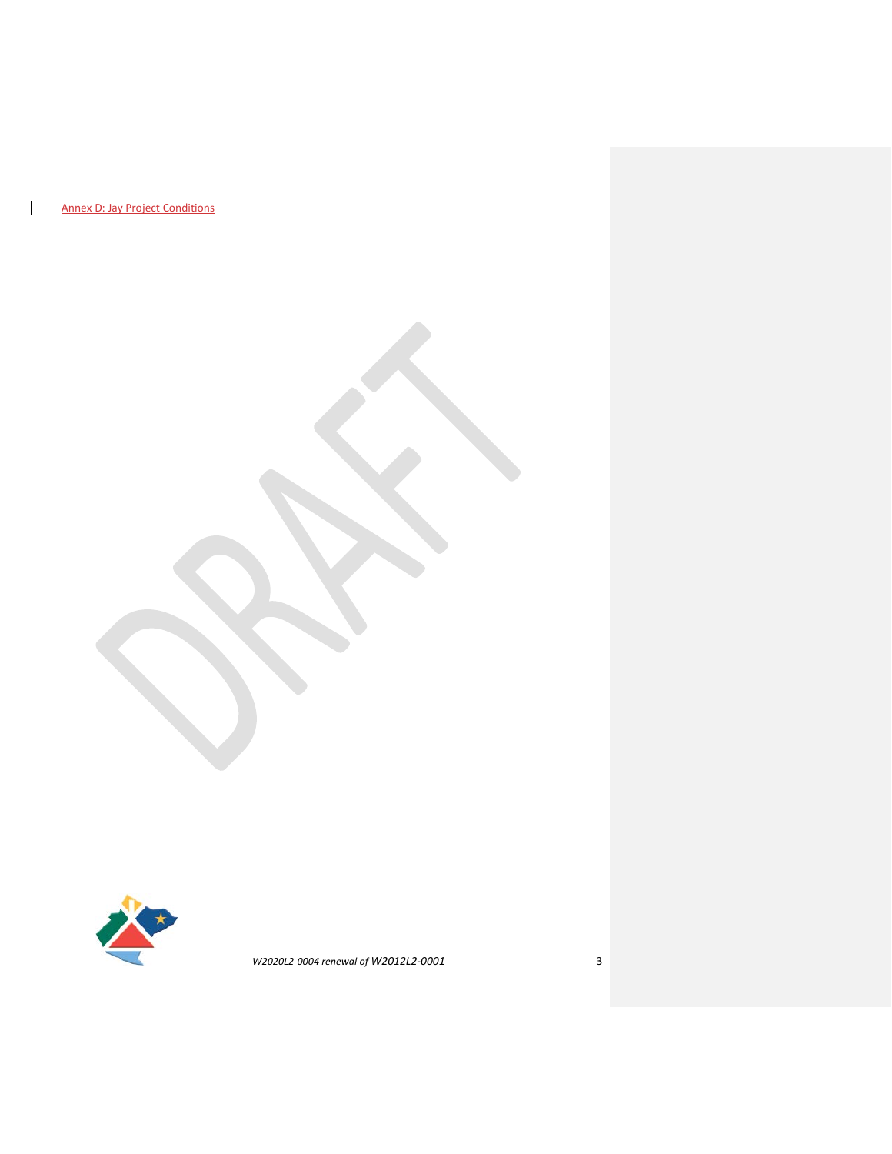Annex D: Jay Project Conditions

 $\overline{\phantom{a}}$ 

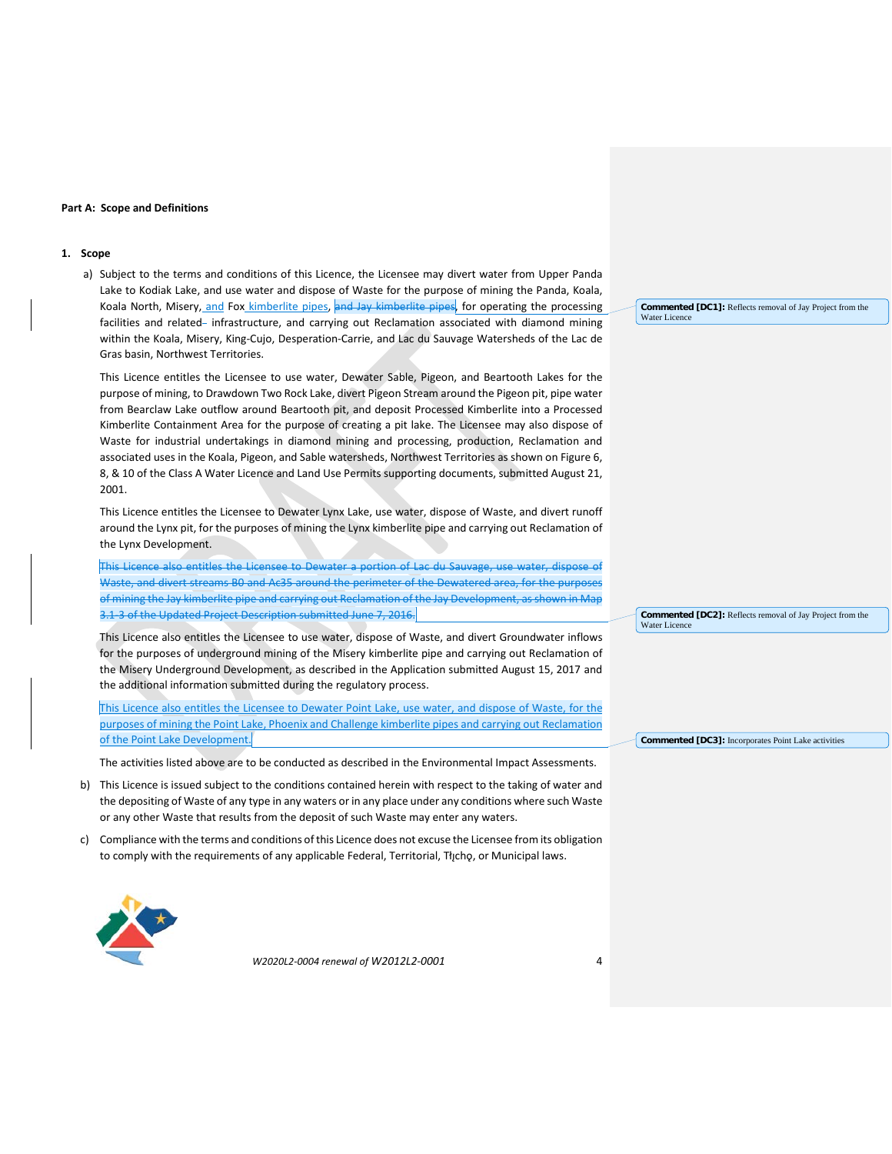#### **Part A: Scope and Definitions**

#### **1. Scope**

a) Subject to the terms and conditions of this Licence, the Licensee may divert water from Upper Panda Lake to Kodiak Lake, and use water and dispose of Waste for the purpose of mining the Panda, Koala, Koala North, Misery, and Fox kimberlite pipes, and Jay kimberlite pipes, for operating the processing facilities and related- infrastructure, and carrying out Reclamation associated with diamond mining within the Koala, Misery, King-Cujo, Desperation-Carrie, and Lac du Sauvage Watersheds of the Lac de Gras basin, Northwest Territories.

This Licence entitles the Licensee to use water, Dewater Sable, Pigeon, and Beartooth Lakes for the purpose of mining, to Drawdown Two Rock Lake, divert Pigeon Stream around the Pigeon pit, pipe water from Bearclaw Lake outflow around Beartooth pit, and deposit Processed Kimberlite into a Processed Kimberlite Containment Area for the purpose of creating a pit lake. The Licensee may also dispose of Waste for industrial undertakings in diamond mining and processing, production, Reclamation and associated uses in the Koala, Pigeon, and Sable watersheds, Northwest Territories as shown on Figure 6, 8, & 10 of the Class A Water Licence and Land Use Permits supporting documents, submitted August 21, 2001.

This Licence entitles the Licensee to Dewater Lynx Lake, use water, dispose of Waste, and divert runoff around the Lynx pit, for the purposes of mining the Lynx kimberlite pipe and carrying out Reclamation of the Lynx Development.

This Licence also entitles the Licensee to Dewater a portion of Lac du Sauvage, use water, dispose of Waste, and divert streams B0 and Ac35 around the perimeter of the Dewatered area, for the purposes of mining the Jay kimberlite pipe and carrying out Reclamation of the Jay Development, as shown in Map 3.1-3 of the Updated Project Description submitted June 7, 2016.

This Licence also entitles the Licensee to use water, dispose of Waste, and divert Groundwater inflows for the purposes of underground mining of the Misery kimberlite pipe and carrying out Reclamation of the Misery Underground Development, as described in the Application submitted August 15, 2017 and the additional information submitted during the regulatory process.

This Licence also entitles the Licensee to Dewater Point Lake, use water, and dispose of Waste, for the purposes of mining the Point Lake, Phoenix and Challenge kimberlite pipes and carrying out Reclamation of the Point Lake Development.

The activities listed above are to be conducted as described in the Environmental Impact Assessments.

- b) This Licence is issued subject to the conditions contained herein with respect to the taking of water and the depositing of Waste of any type in any waters or in any place under any conditions where such Waste or any other Waste that results from the deposit of such Waste may enter any waters.
- c) Compliance with the terms and conditions of this Licence does not excuse the Licensee from its obligation to comply with the requirements of any applicable Federal, Territorial, Tłįchǫ, or Municipal laws.



*W2020L2-0004 renewal of W2012L2-0001* 4

**Commented [DC1]:** Reflects removal of Jay Project from the Water Licence

**Commented [DC2]:** Reflects removal of Jay Project from the Water Licence

**Commented [DC3]:** Incorporates Point Lake activities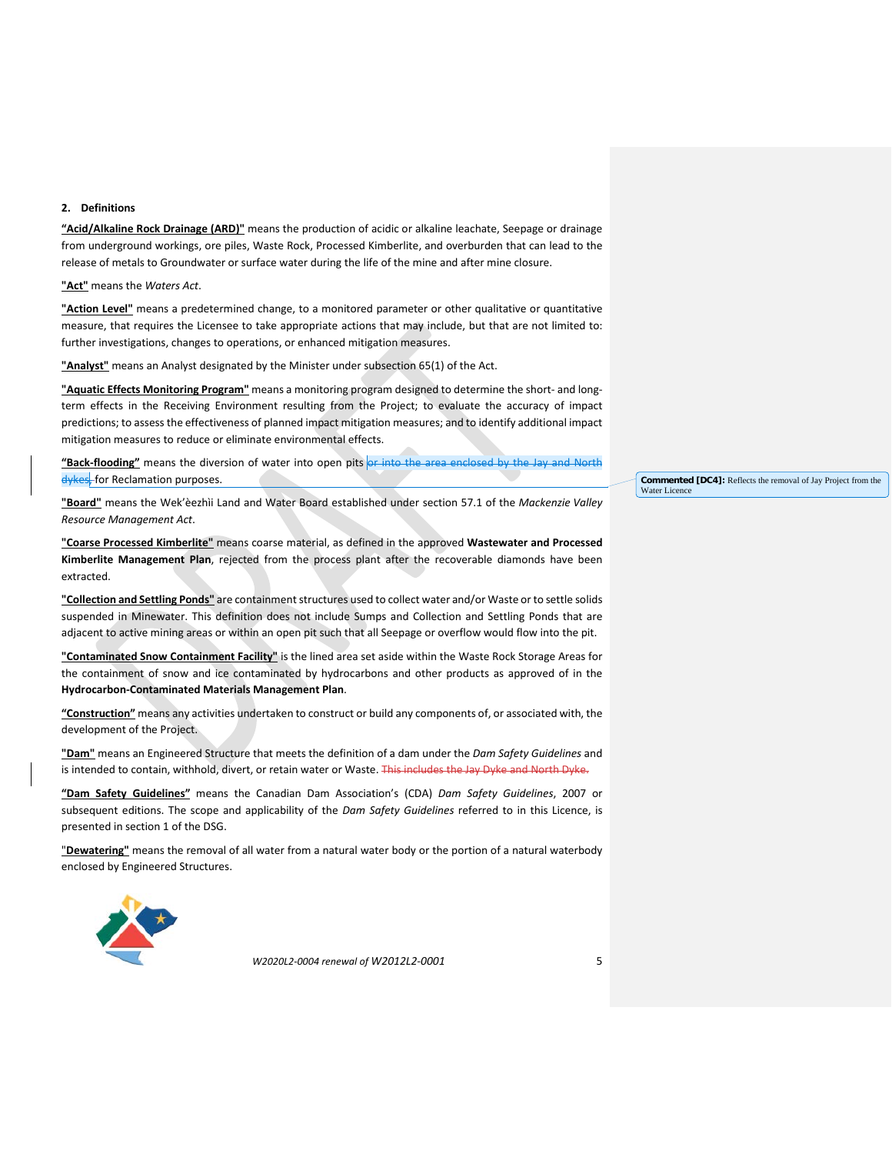### **2. Definitions**

**"Acid/Alkaline Rock Drainage (ARD)"** means the production of acidic or alkaline leachate, Seepage or drainage from underground workings, ore piles, Waste Rock, Processed Kimberlite, and overburden that can lead to the release of metals to Groundwater or surface water during the life of the mine and after mine closure.

**"Act"** means the *Waters Act*.

**"Action Level"** means a predetermined change, to a monitored parameter or other qualitative or quantitative measure, that requires the Licensee to take appropriate actions that may include, but that are not limited to: further investigations, changes to operations, or enhanced mitigation measures.

**"Analyst"** means an Analyst designated by the Minister under subsection 65(1) of the Act.

**"Aquatic Effects Monitoring Program"** means a monitoring program designed to determine the short- and longterm effects in the Receiving Environment resulting from the Project; to evaluate the accuracy of impact predictions; to assess the effectiveness of planned impact mitigation measures; and to identify additional impact mitigation measures to reduce or eliminate environmental effects.

**"Back-flooding"** means the diversion of water into open pits or into the area enclosed by the Jay and North dykes, for Reclamation purposes.

**"Board"** means the Wek'èezhìi Land and Water Board established under section 57.1 of the *Mackenzie Valley Resource Management Act*.

**"Coarse Processed Kimberlite"** means coarse material, as defined in the approved **Wastewater and Processed Kimberlite Management Plan**, rejected from the process plant after the recoverable diamonds have been extracted.

**"Collection and Settling Ponds"** are containment structures used to collect water and/or Waste or to settle solids suspended in Minewater. This definition does not include Sumps and Collection and Settling Ponds that are adjacent to active mining areas or within an open pit such that all Seepage or overflow would flow into the pit.

**"Contaminated Snow Containment Facility"** is the lined area set aside within the Waste Rock Storage Areas for the containment of snow and ice contaminated by hydrocarbons and other products as approved of in the **Hydrocarbon-Contaminated Materials Management Plan**.

**"Construction"** means any activities undertaken to construct or build any components of, or associated with, the development of the Project.

**"Dam"** means an Engineered Structure that meets the definition of a dam under the *Dam Safety Guidelines* and is intended to contain, withhold, divert, or retain water or Waste. This includes the Jay Dyke and North Dyke.

**"Dam Safety Guidelines"** means the Canadian Dam Association's (CDA) *Dam Safety Guidelines*, 2007 or subsequent editions. The scope and applicability of the *Dam Safety Guidelines* referred to in this Licence, is presented in section 1 of the DSG.

"**Dewatering"** means the removal of all water from a natural water body or the portion of a natural waterbody enclosed by Engineered Structures.



*W2020L2-0004 renewal of W2012L2-0001* 5

**Commented [DC4]:** Reflects the removal of Jay Project from the Water Licence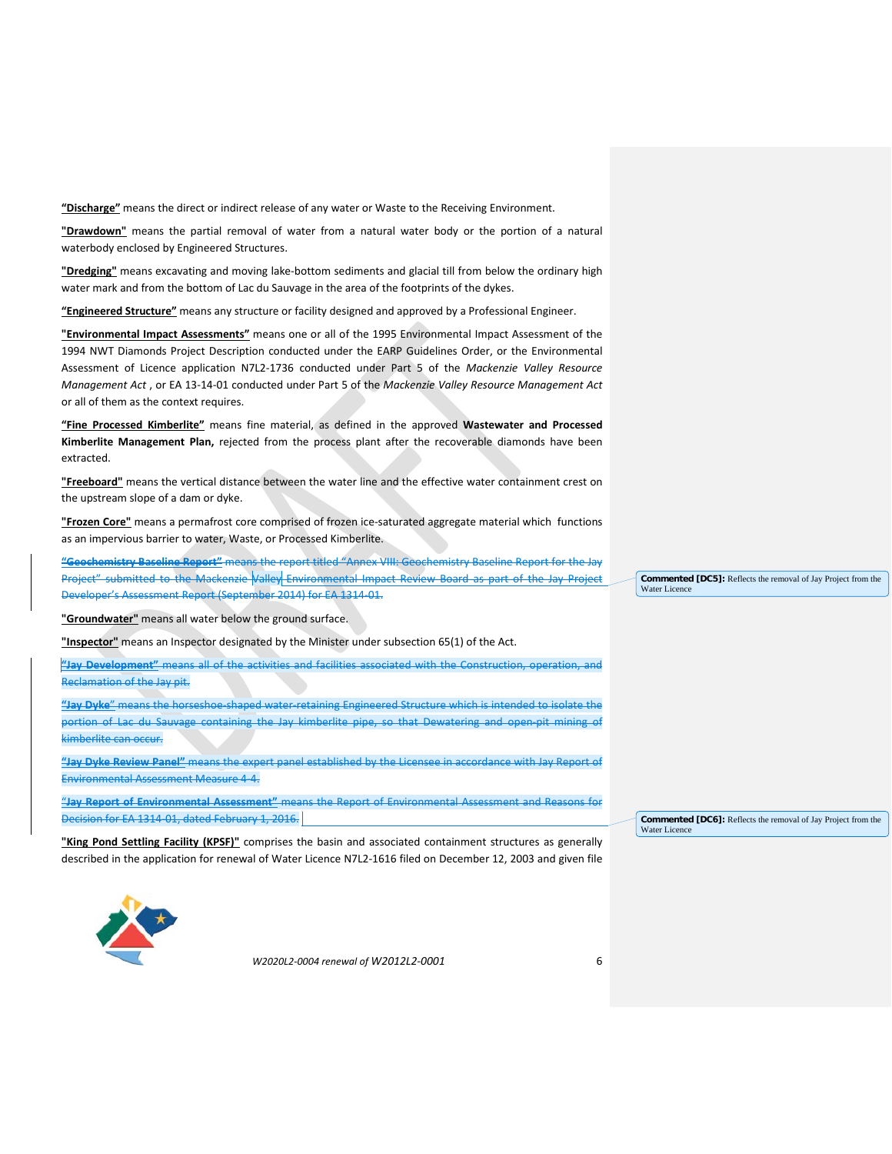**"Discharge"** means the direct or indirect release of any water or Waste to the Receiving Environment.

**"Drawdown"** means the partial removal of water from a natural water body or the portion of a natural waterbody enclosed by Engineered Structures.

**"Dredging"** means excavating and moving lake-bottom sediments and glacial till from below the ordinary high water mark and from the bottom of Lac du Sauvage in the area of the footprints of the dykes.

**"Engineered Structure"** means any structure or facility designed and approved by a Professional Engineer.

**"Environmental Impact Assessments"** means one or all of the 1995 Environmental Impact Assessment of the 1994 NWT Diamonds Project Description conducted under the EARP Guidelines Order, or the Environmental Assessment of Licence application N7L2-1736 conducted under Part 5 of the *Mackenzie Valley Resource Management Act* , or EA 13-14-01 conducted under Part 5 of the *Mackenzie Valley Resource Management Act* or all of them as the context requires.

**"Fine Processed Kimberlite"** means fine material, as defined in the approved **Wastewater and Processed Kimberlite Management Plan,** rejected from the process plant after the recoverable diamonds have been extracted.

**"Freeboard"** means the vertical distance between the water line and the effective water containment crest on the upstream slope of a dam or dyke.

**"Frozen Core"** means a permafrost core comprised of frozen ice-saturated aggregate material which functions as an impervious barrier to water, Waste, or Processed Kimberlite.

**"Geochemistry Baseline Report"** means the report titled "Annex VIII: Geochemistry Baseline Report for the Jay Project" submitted to the Mackenzie Valley Environmental Impact Review Board as part of the Jay Project Developer's Assessment Report (September 2014) for EA 1314-01.

**"Groundwater"** means all water below the ground surface.

**"Inspector"** means an Inspector designated by the Minister under subsection 65(1) of the Act.

**"Jay Development"** means all of the activities and facilities associated with the Construction, operation, and Reclamation of the Jay pit.

**"Jay Dyke**" means the horseshoe-shaped water-retaining Engineered Structure which is intended to isolate the portion of Lac du Sauvage containing the Jay kimberlite pipe, so that Dewatering and open-pit mining of kimberlite can occur.

**"Jay Dyke Review Panel"** means the expert panel established by the Licensee in accordance with Jay Report of Environmental Assessment Measure 4-4.

"**Jay Report of Environmental Assessment"** means the Report of Environmental Assessment and Reasons for Decision for EA 1314-01, dated February 1, 2016.

**"King Pond Settling Facility (KPSF)"** comprises the basin and associated containment structures as generally described in the application for renewal of Water Licence N7L2-1616 filed on December 12, 2003 and given file **Commented [DC5]:** Reflects the removal of Jay Project from the Water Licence

**Commented [DC6]:** Reflects the removal of Jay Project from the Water Licenc

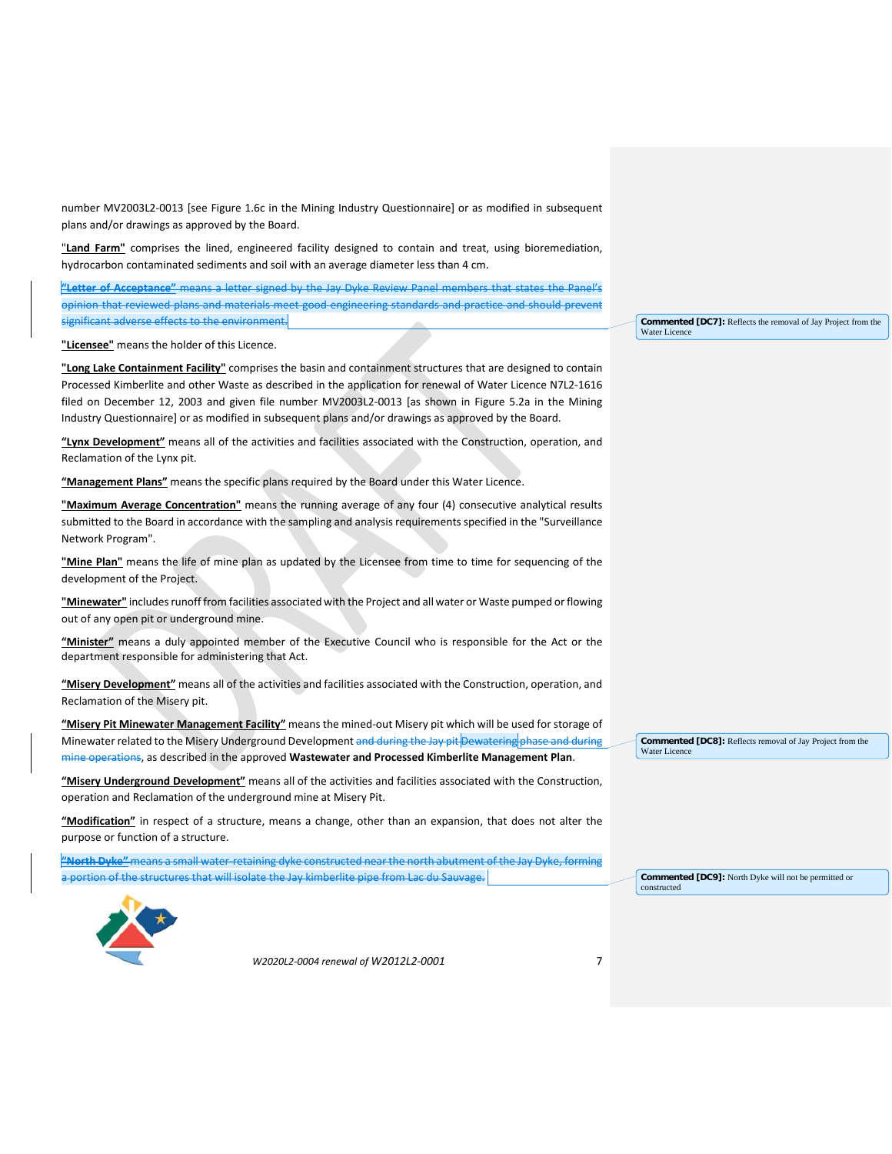number MV2003L2-0013 [see Figure 1.6c in the Mining Industry Questionnaire] or as modified in subsequent plans and/or drawings as approved by the Board.

"**Land Farm"** comprises the lined, engineered facility designed to contain and treat, using bioremediation, hydrocarbon contaminated sediments and soil with an average diameter less than 4 cm.

**"Letter of Acceptance"** means a letter signed by the Jay Dyke Review Panel members that states the Panel's opinion that reviewed plans and materials meet good engineering standards and practice and should prevent significant adverse effects to the environm

**"Licensee"** means the holder of this Licence.

**"Long Lake Containment Facility"** comprises the basin and containment structures that are designed to contain Processed Kimberlite and other Waste as described in the application for renewal of Water Licence N7L2-1616 filed on December 12, 2003 and given file number MV2003L2-0013 [as shown in Figure 5.2a in the Mining Industry Questionnaire] or as modified in subsequent plans and/or drawings as approved by the Board.

**"Lynx Development"** means all of the activities and facilities associated with the Construction, operation, and Reclamation of the Lynx pit.

**"Management Plans"** means the specific plans required by the Board under this Water Licence.

**"Maximum Average Concentration"** means the running average of any four (4) consecutive analytical results submitted to the Board in accordance with the sampling and analysis requirements specified in the "Surveillance Network Program".

**"Mine Plan"** means the life of mine plan as updated by the Licensee from time to time for sequencing of the development of the Project.

**"Minewater"** includes runoff from facilities associated with the Project and all water or Waste pumped or flowing out of any open pit or underground mine.

**"Minister"** means a duly appointed member of the Executive Council who is responsible for the Act or the department responsible for administering that Act.

**"Misery Development"** means all of the activities and facilities associated with the Construction, operation, and Reclamation of the Misery pit.

**"Misery Pit Minewater Management Facility"** means the mined-out Misery pit which will be used for storage of Minewater related to the Misery Underground Development and during the Jay pit Dewatering phase and during mine operations, as described in the approved **Wastewater and Processed Kimberlite Management Plan**.

**"Misery Underground Development"** means all of the activities and facilities associated with the Construction, operation and Reclamation of the underground mine at Misery Pit.

**"Modification"** in respect of a structure, means a change, other than an expansion, that does not alter the purpose or function of a structure.

**"North Dyke"** means a small water-retaining dyke constructed near the north abutment of the Jay Dyke, forming of the structures that will isolate the Jay kimberlite pipe from Lac du Sauvage.

**Commented [DC8]:** Reflects removal of Jay Project from the

Water Licence

**Commented [DC9]:** North Dyke will not be permitted or constructed



*W2020L2-0004 renewal of W2012L2-0001* 7

**Commented [DC7]:** Reflects the removal of Jay Project from the Water Licence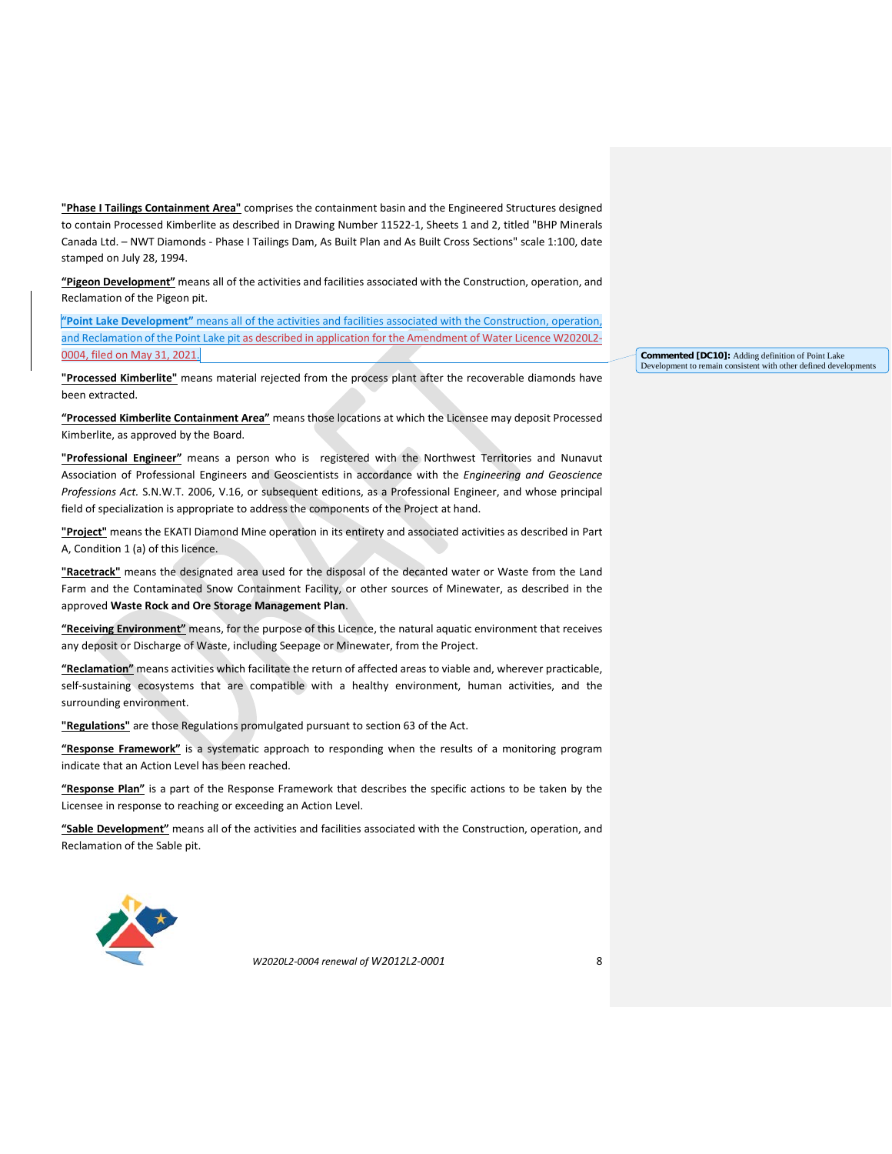**"Phase I Tailings Containment Area"** comprises the containment basin and the Engineered Structures designed to contain Processed Kimberlite as described in Drawing Number 11522-1, Sheets 1 and 2, titled "BHP Minerals Canada Ltd. – NWT Diamonds - Phase I Tailings Dam, As Built Plan and As Built Cross Sections" scale 1:100, date stamped on July 28, 1994.

**"Pigeon Development"** means all of the activities and facilities associated with the Construction, operation, and Reclamation of the Pigeon pit.

**"Point Lake Development"** means all of the activities and facilities associated with the Construction, operation, and Reclamation of the Point Lake pit as described in application for the Amendment of Water Licence W2020L2- 0004, filed on May 31, 2021.

**"Processed Kimberlite"** means material rejected from the process plant after the recoverable diamonds have been extracted.

**"Processed Kimberlite Containment Area"** means those locations at which the Licensee may deposit Processed Kimberlite, as approved by the Board.

**"Professional Engineer"** means a person who is registered with the Northwest Territories and Nunavut Association of Professional Engineers and Geoscientists in accordance with the *Engineering and Geoscience Professions Act.* S.N.W.T. 2006, V.16, or subsequent editions, as a Professional Engineer, and whose principal field of specialization is appropriate to address the components of the Project at hand.

**"Project"** means the EKATI Diamond Mine operation in its entirety and associated activities as described in Part A, Condition 1 (a) of this licence.

**"Racetrack"** means the designated area used for the disposal of the decanted water or Waste from the Land Farm and the Contaminated Snow Containment Facility, or other sources of Minewater, as described in the approved **Waste Rock and Ore Storage Management Plan**.

**"Receiving Environment"** means, for the purpose of this Licence, the natural aquatic environment that receives any deposit or Discharge of Waste, including Seepage or Minewater, from the Project.

**"Reclamation"** means activities which facilitate the return of affected areas to viable and, wherever practicable, self-sustaining ecosystems that are compatible with a healthy environment, human activities, and the surrounding environment.

**"Regulations"** are those Regulations promulgated pursuant to section 63 of the Act.

**"Response Framework"** is a systematic approach to responding when the results of a monitoring program indicate that an Action Level has been reached.

**"Response Plan"** is a part of the Response Framework that describes the specific actions to be taken by the Licensee in response to reaching or exceeding an Action Level.

**"Sable Development"** means all of the activities and facilities associated with the Construction, operation, and Reclamation of the Sable pit.



*W2020L2-0004 renewal of W2012L2-0001* 8

**Commented [DC10]:** Adding definition of Point Lake Development to remain consistent with other defined developments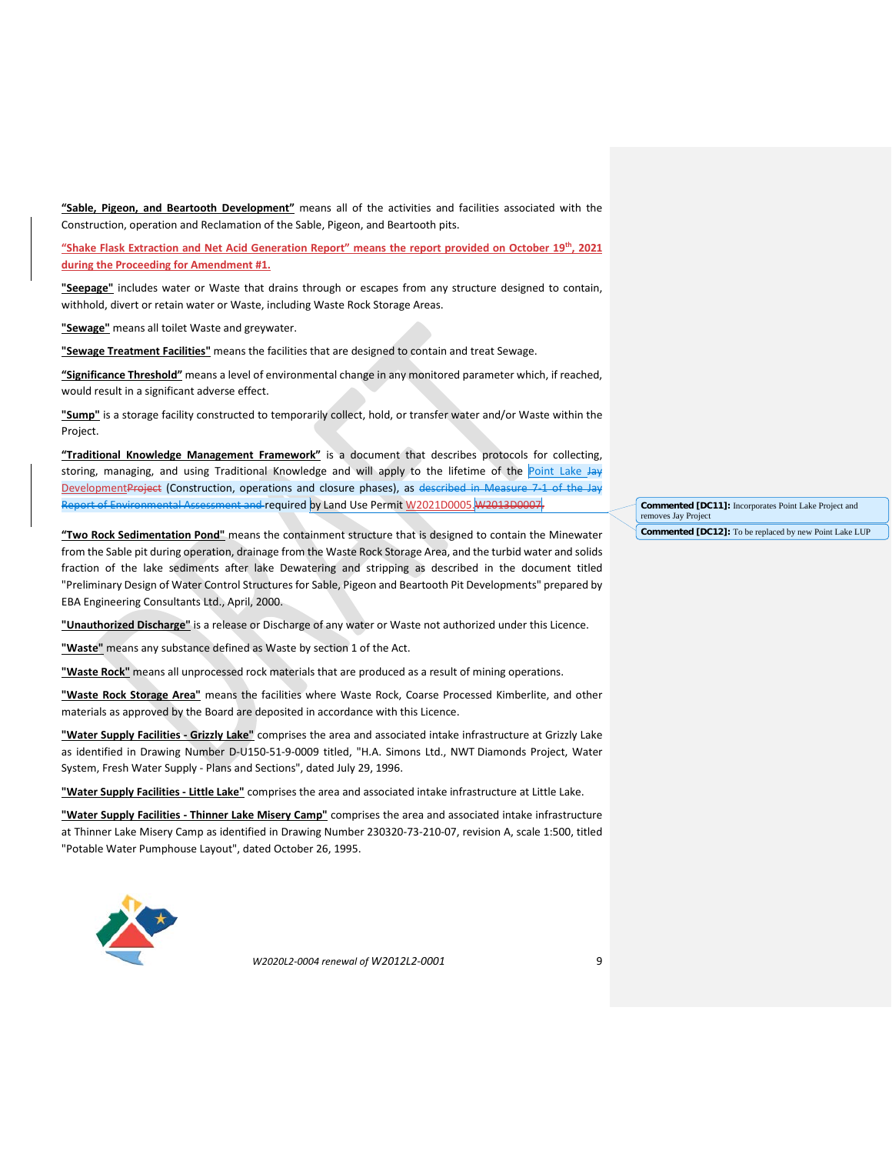**"Sable, Pigeon, and Beartooth Development"** means all of the activities and facilities associated with the Construction, operation and Reclamation of the Sable, Pigeon, and Beartooth pits.

**"Shake Flask Extraction and Net Acid Generation Report" means the report provided on October 19th, 2021 during the Proceeding for Amendment #1.** 

**"Seepage"** includes water or Waste that drains through or escapes from any structure designed to contain, withhold, divert or retain water or Waste, including Waste Rock Storage Areas.

**"Sewage"** means all toilet Waste and greywater.

**"Sewage Treatment Facilities"** means the facilities that are designed to contain and treat Sewage.

**"Significance Threshold"** means a level of environmental change in any monitored parameter which, if reached, would result in a significant adverse effect.

**"Sump"** is a storage facility constructed to temporarily collect, hold, or transfer water and/or Waste within the Project.

**"Traditional Knowledge Management Framework"** is a document that describes protocols for collecting, storing, managing, and using Traditional Knowledge and will apply to the lifetime of the **Point Lake Jay** DevelopmentProject (Construction, operations and closure phases), as described in Measure 7-1 of the Jay Report of Environmental Assessment and required by Land Use Permit W2021D0005. W2013D0007.

**"Two Rock Sedimentation Pond"** means the containment structure that is designed to contain the Minewater from the Sable pit during operation, drainage from the Waste Rock Storage Area, and the turbid water and solids fraction of the lake sediments after lake Dewatering and stripping as described in the document titled "Preliminary Design of Water Control Structures for Sable, Pigeon and Beartooth Pit Developments" prepared by EBA Engineering Consultants Ltd., April, 2000.

**"Unauthorized Discharge"** is a release or Discharge of any water or Waste not authorized under this Licence.

**"Waste"** means any substance defined as Waste by section 1 of the Act.

**"Waste Rock"** means all unprocessed rock materials that are produced as a result of mining operations.

**"Waste Rock Storage Area"** means the facilities where Waste Rock, Coarse Processed Kimberlite, and other materials as approved by the Board are deposited in accordance with this Licence.

**"Water Supply Facilities - Grizzly Lake"** comprises the area and associated intake infrastructure at Grizzly Lake as identified in Drawing Number D-U150-51-9-0009 titled, "H.A. Simons Ltd., NWT Diamonds Project, Water System, Fresh Water Supply - Plans and Sections", dated July 29, 1996.

**"Water Supply Facilities - Little Lake"** comprises the area and associated intake infrastructure at Little Lake.

**"Water Supply Facilities - Thinner Lake Misery Camp"** comprises the area and associated intake infrastructure at Thinner Lake Misery Camp as identified in Drawing Number 230320-73-210-07, revision A, scale 1:500, titled "Potable Water Pumphouse Layout", dated October 26, 1995.



*W2020L2-0004 renewal of W2012L2-0001* 9

**Commented [DC11]:** Incorporates Point Lake Project and removes Jay Project

**Commented [DC12]:** To be replaced by new Point Lake LUP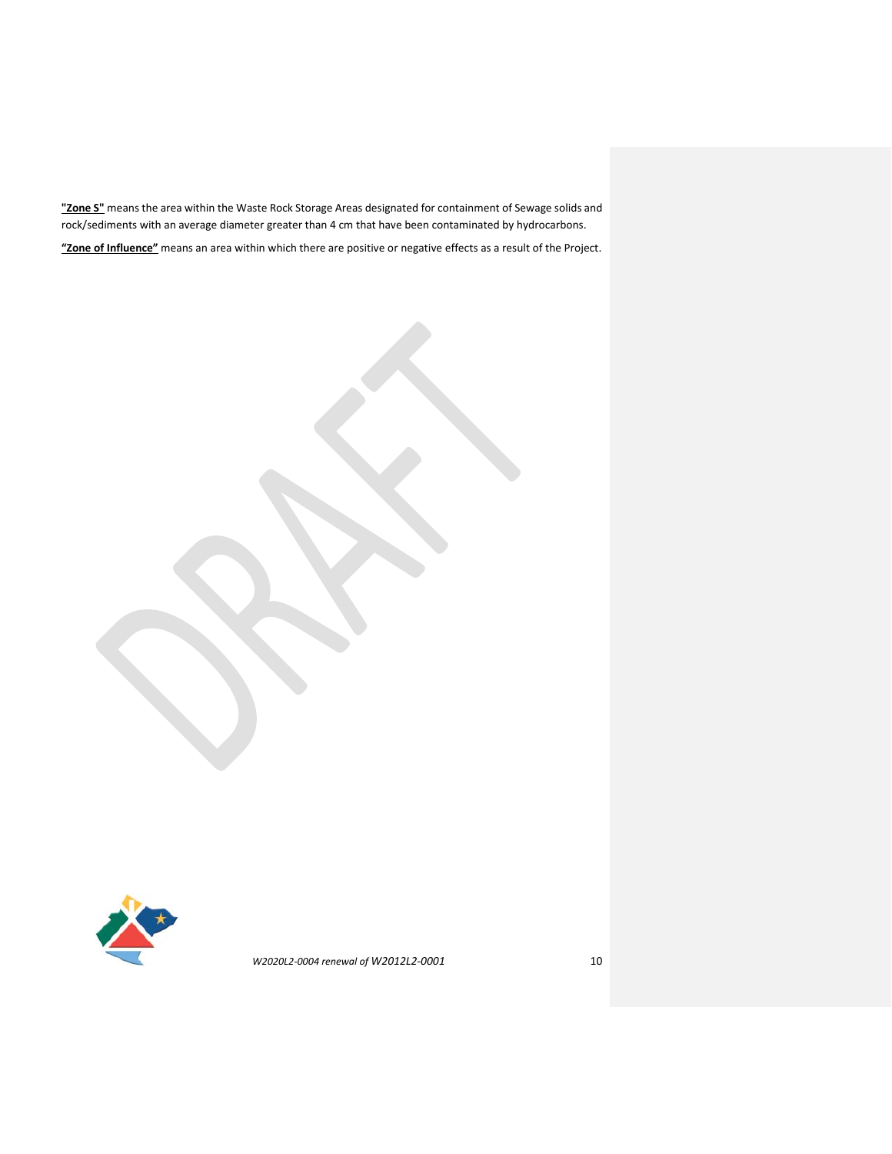**"Zone S"** means the area within the Waste Rock Storage Areas designated for containment of Sewage solids and rock/sediments with an average diameter greater than 4 cm that have been contaminated by hydrocarbons.

**"Zone of Influence"** means an area within which there are positive or negative effects as a result of the Project.

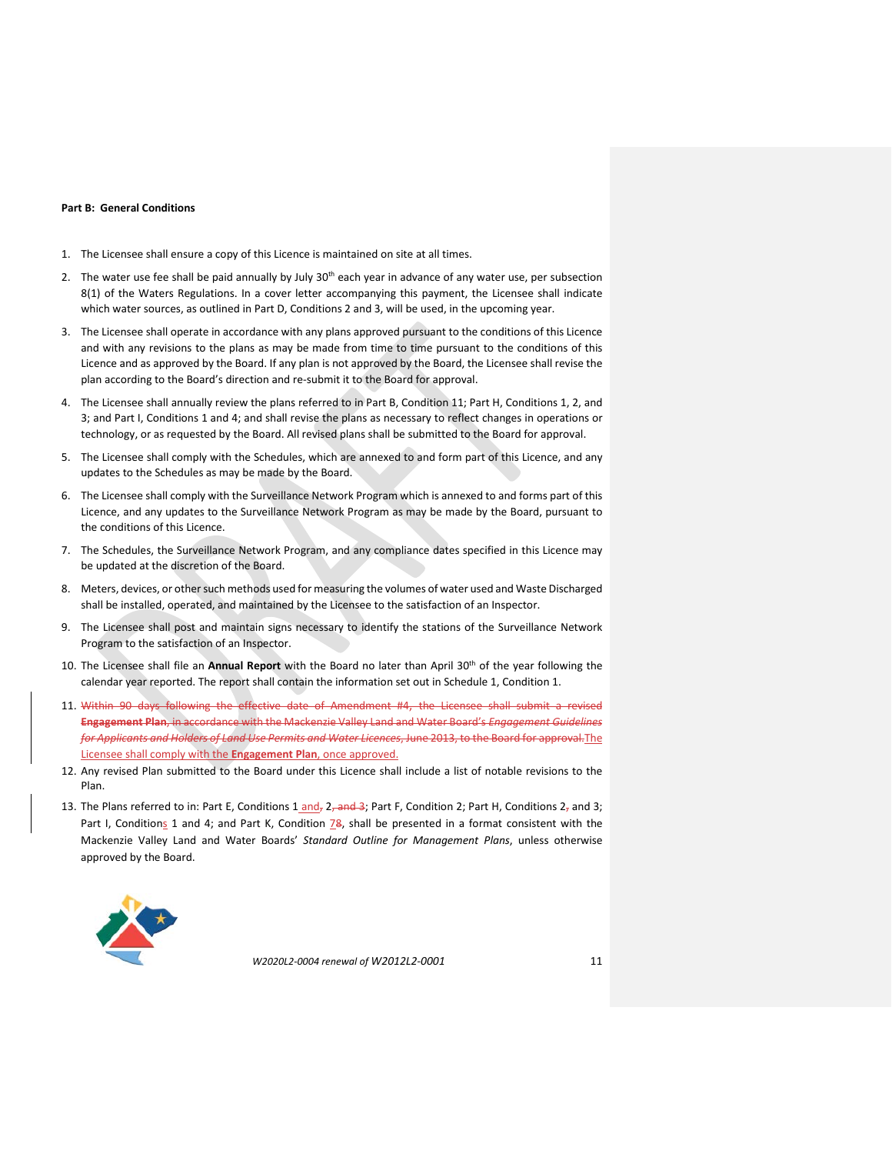#### **Part B: General Conditions**

- 1. The Licensee shall ensure a copy of this Licence is maintained on site at all times.
- 2. The water use fee shall be paid annually by July  $30<sup>th</sup>$  each year in advance of any water use, per subsection 8(1) of the Waters Regulations. In a cover letter accompanying this payment, the Licensee shall indicate which water sources, as outlined in Part D, Conditions 2 and 3, will be used, in the upcoming year.
- 3. The Licensee shall operate in accordance with any plans approved pursuant to the conditions of this Licence and with any revisions to the plans as may be made from time to time pursuant to the conditions of this Licence and as approved by the Board. If any plan is not approved by the Board, the Licensee shall revise the plan according to the Board's direction and re-submit it to the Board for approval.
- 4. The Licensee shall annually review the plans referred to in Part B, Condition 11; Part H, Conditions 1, 2, and 3; and Part I, Conditions 1 and 4; and shall revise the plans as necessary to reflect changes in operations or technology, or as requested by the Board. All revised plans shall be submitted to the Board for approval.
- 5. The Licensee shall comply with the Schedules, which are annexed to and form part of this Licence, and any updates to the Schedules as may be made by the Board.
- 6. The Licensee shall comply with the Surveillance Network Program which is annexed to and forms part of this Licence, and any updates to the Surveillance Network Program as may be made by the Board, pursuant to the conditions of this Licence.
- 7. The Schedules, the Surveillance Network Program, and any compliance dates specified in this Licence may be updated at the discretion of the Board.
- 8. Meters, devices, or other such methods used for measuring the volumes of water used and Waste Discharged shall be installed, operated, and maintained by the Licensee to the satisfaction of an Inspector.
- 9. The Licensee shall post and maintain signs necessary to identify the stations of the Surveillance Network Program to the satisfaction of an Inspector.
- 10. The Licensee shall file an **Annual Report** with the Board no later than April 30th of the year following the calendar year reported. The report shall contain the information set out in Schedule 1, Condition 1.
- 11. Within 90 days following the effective date of Amendment #4, the Licensee shall submit a revised **Engagement Plan**, in accordance with the Mackenzie Valley Land and Water Board's *Engagement Guidelines for Applicants and Holders of Land Use Permits and Water Licences*, June 2013, to the Board for approval.The Licensee shall comply with the **Engagement Plan**, once approved.
- 12. Any revised Plan submitted to the Board under this Licence shall include a list of notable revisions to the Plan.
- 13. The Plans referred to in: Part E, Conditions  $1$  and,  $2$ , and  $3$ ; Part F, Condition 2; Part H, Conditions  $2_7$  and 3; Part I, Conditions 1 and 4; and Part K, Condition  $\frac{78}{9}$ , shall be presented in a format consistent with the Mackenzie Valley Land and Water Boards' *Standard Outline for Management Plans*, unless otherwise approved by the Board.

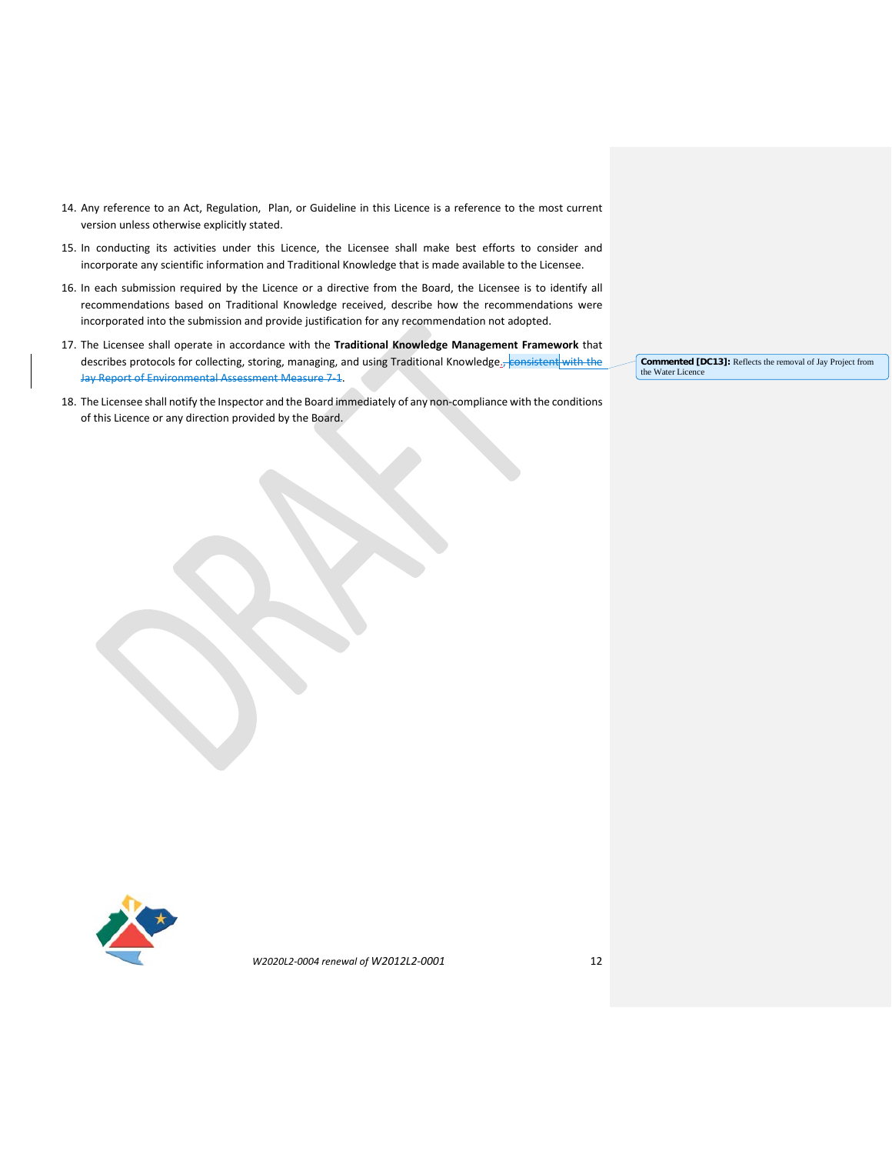- 14. Any reference to an Act, Regulation, Plan, or Guideline in this Licence is a reference to the most current version unless otherwise explicitly stated.
- 15. In conducting its activities under this Licence, the Licensee shall make best efforts to consider and incorporate any scientific information and Traditional Knowledge that is made available to the Licensee.
- 16. In each submission required by the Licence or a directive from the Board, the Licensee is to identify all recommendations based on Traditional Knowledge received, describe how the recommendations were incorporated into the submission and provide justification for any recommendation not adopted.
- 17. The Licensee shall operate in accordance with the **Traditional Knowledge Management Framework** that describes protocols for collecting, storing, managing, and using Traditional Knowledge., consistent with the Jay Report of Environmental Assessment Measure 7-1.
- 18. The Licensee shall notify the Inspector and the Board immediately of any non-compliance with the conditions of this Licence or any direction provided by the Board.

**Commented [DC13]:** Reflects the removal of Jay Project from the Water Licence

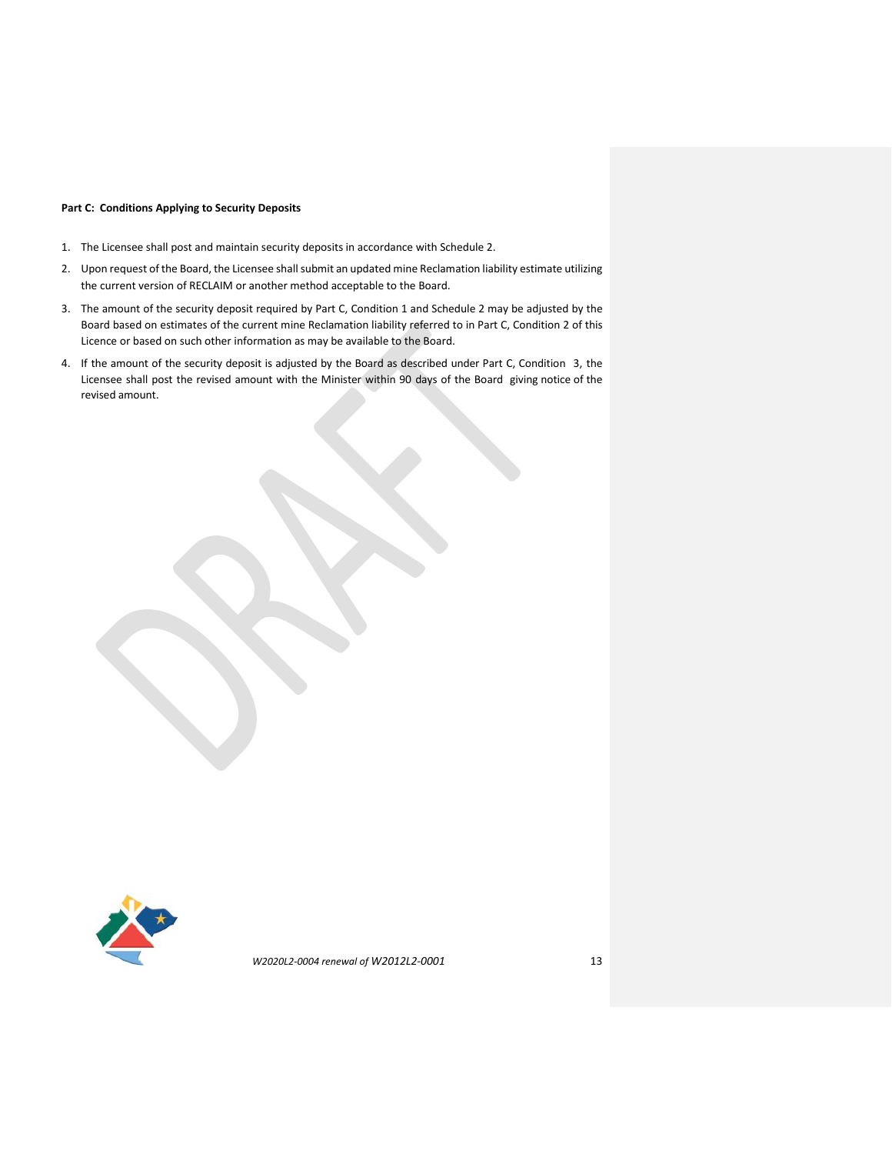## **Part C: Conditions Applying to Security Deposits**

- 1. The Licensee shall post and maintain security deposits in accordance with Schedule 2.
- 2. Upon request of the Board, the Licensee shall submit an updated mine Reclamation liability estimate utilizing the current version of RECLAIM or another method acceptable to the Board.
- 3. The amount of the security deposit required by Part C, Condition 1 and Schedule 2 may be adjusted by the Board based on estimates of the current mine Reclamation liability referred to in Part C, Condition 2 of this Licence or based on such other information as may be available to the Board.
- 4. If the amount of the security deposit is adjusted by the Board as described under Part C, Condition 3, the Licensee shall post the revised amount with the Minister within 90 days of the Board giving notice of the revised amount.

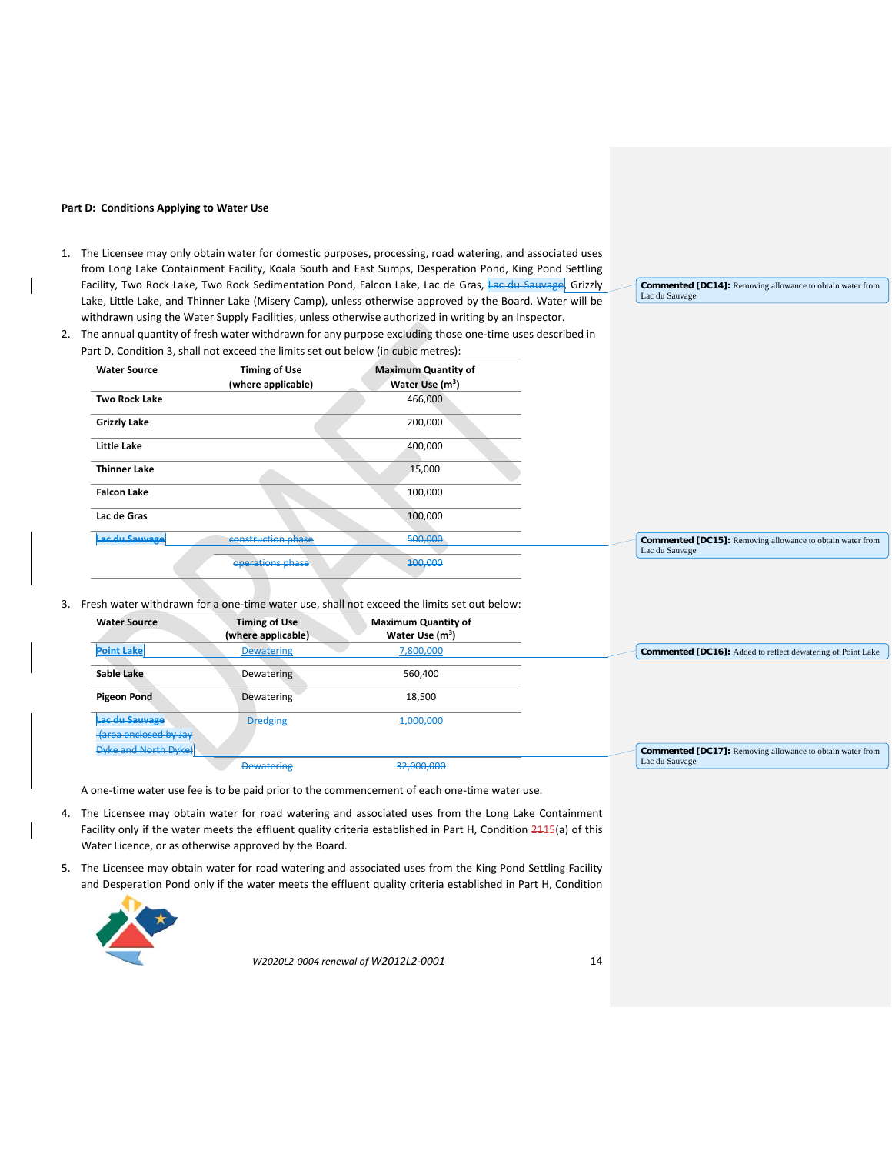#### **Part D: Conditions Applying to Water Use**

- 1. The Licensee may only obtain water for domestic purposes, processing, road watering, and associated uses from Long Lake Containment Facility, Koala South and East Sumps, Desperation Pond, King Pond Settling Facility, Two Rock Lake, Two Rock Sedimentation Pond, Falcon Lake, Lac de Gras, Lac du Sauvage, Grizzly Lake, Little Lake, and Thinner Lake (Misery Camp), unless otherwise approved by the Board. Water will be withdrawn using the Water Supply Facilities, unless otherwise authorized in writing by an Inspector.
- 2. The annual quantity of fresh water withdrawn for any purpose excluding those one-time uses described in Part D, Condition 3, shall not exceed the limits set out below (in cubic metres):

| <b>Water Source</b>  | <b>Timing of Use</b><br>(where applicable) | <b>Maximum Quantity of</b><br>Water Use $(m^3)$ |
|----------------------|--------------------------------------------|-------------------------------------------------|
| <b>Two Rock Lake</b> |                                            | 466,000                                         |
| <b>Grizzly Lake</b>  |                                            | 200,000                                         |
| <b>Little Lake</b>   |                                            | 400,000                                         |
| <b>Thinner Lake</b>  |                                            | 15,000                                          |
| <b>Falcon Lake</b>   |                                            | 100,000                                         |
| Lac de Gras          |                                            | 100,000                                         |
| Lac du Sauvage       | construction phase                         | 500,000                                         |
|                      | operations phase                           | 400,000                                         |

3. Fresh water withdrawn for a one-time water use, shall not exceed the limits set out below:

| <b>Water Source</b>                                                       | <b>Timing of Use</b><br>(where applicable) | <b>Maximum Quantity of</b><br>Water Use $(m3)$ |
|---------------------------------------------------------------------------|--------------------------------------------|------------------------------------------------|
| <b>Point Lake</b>                                                         | <b>Dewatering</b>                          | 7,800,000                                      |
| Sable Lake                                                                | Dewatering                                 | 560,400                                        |
| <b>Pigeon Pond</b>                                                        | Dewatering                                 | 18,500                                         |
| Lac du Sauvage                                                            | <b>Dredging</b>                            | 4,000,000                                      |
| <b><i><u><b>{area enclosed by Jay</b></u></i></b><br>Dyke and North Dyke) |                                            |                                                |
|                                                                           | <b>Dewatering</b>                          | 32,000,000                                     |

A one-time water use fee is to be paid prior to the commencement of each one-time water use.

- 4. The Licensee may obtain water for road watering and associated uses from the Long Lake Containment Facility only if the water meets the effluent quality criteria established in Part H, Condition  $\frac{2415}{a}$  of this Water Licence, or as otherwise approved by the Board.
- 5. The Licensee may obtain water for road watering and associated uses from the King Pond Settling Facility and Desperation Pond only if the water meets the effluent quality criteria established in Part H, Condition



*W2020L2-0004 renewal of W2012L2-0001* 14

**Commented [DC14]:** Removing allowance to obtain water from

Lac du Sauvage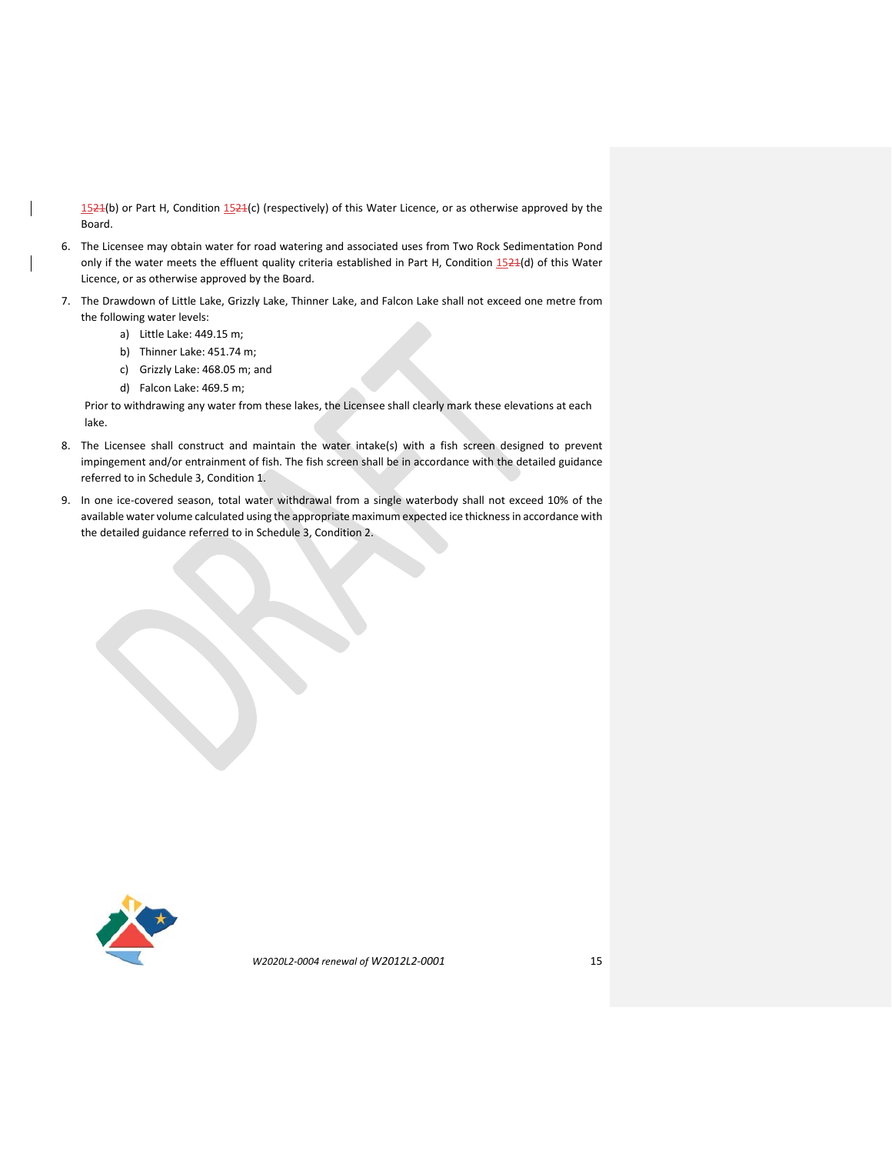1524(b) or Part H, Condition 1524(c) (respectively) of this Water Licence, or as otherwise approved by the Board.

- 6. The Licensee may obtain water for road watering and associated uses from Two Rock Sedimentation Pond only if the water meets the effluent quality criteria established in Part H, Condition 1524(d) of this Water Licence, or as otherwise approved by the Board.
- 7. The Drawdown of Little Lake, Grizzly Lake, Thinner Lake, and Falcon Lake shall not exceed one metre from the following water levels:
	- a) Little Lake: 449.15 m;
	- b) Thinner Lake: 451.74 m;
	- c) Grizzly Lake: 468.05 m; and
	- d) Falcon Lake: 469.5 m;

Prior to withdrawing any water from these lakes, the Licensee shall clearly mark these elevations at each lake.

- 8. The Licensee shall construct and maintain the water intake(s) with a fish screen designed to prevent impingement and/or entrainment of fish. The fish screen shall be in accordance with the detailed guidance referred to in Schedule 3, Condition 1.
- 9. In one ice-covered season, total water withdrawal from a single waterbody shall not exceed 10% of the available water volume calculated using the appropriate maximum expected ice thickness in accordance with the detailed guidance referred to in Schedule 3, Condition 2.

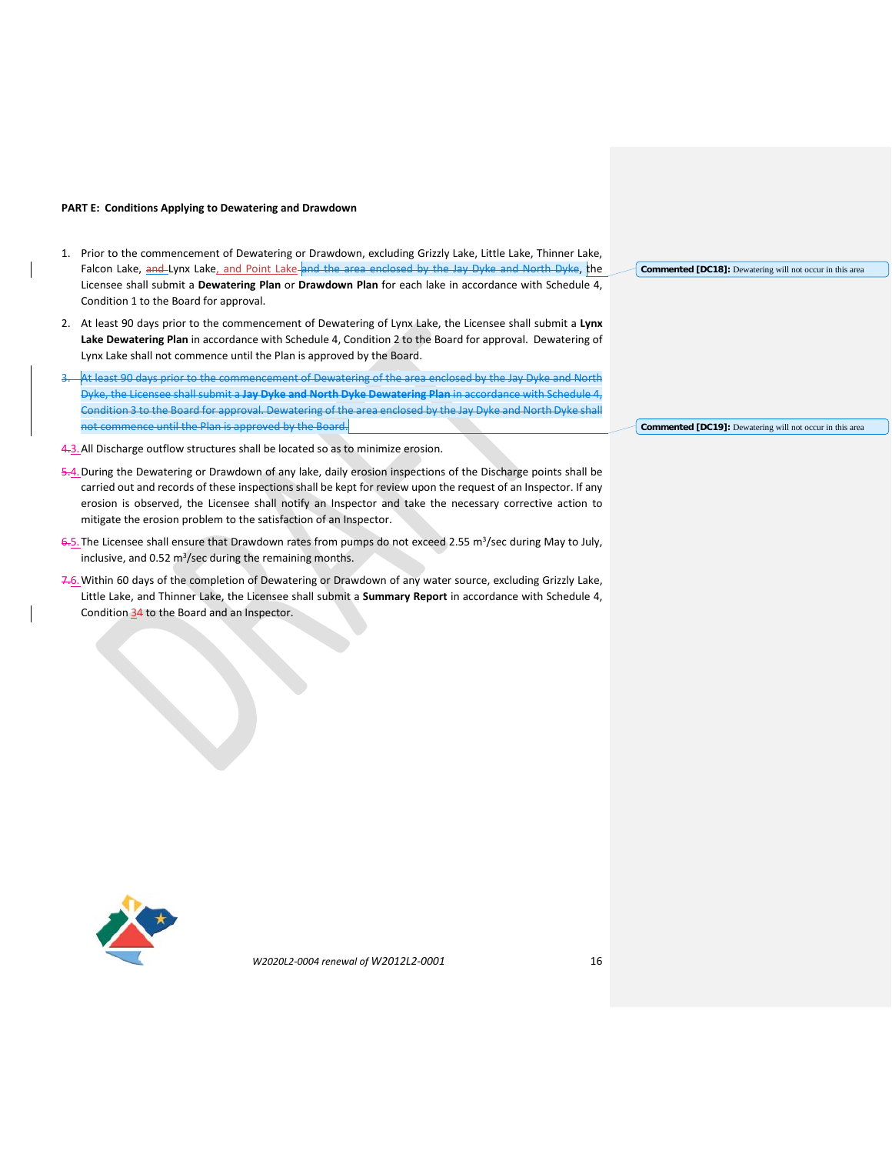#### **PART E: Conditions Applying to Dewatering and Drawdown**

- 1. Prior to the commencement of Dewatering or Drawdown, excluding Grizzly Lake, Little Lake, Thinner Lake, Falcon Lake, and Lynx Lake, and Point Lake and the area enclosed by the Jay Dyke and North Dyke, the Licensee shall submit a **Dewatering Plan** or **Drawdown Plan** for each lake in accordance with Schedule 4, Condition 1 to the Board for approval.
- 2. At least 90 days prior to the commencement of Dewatering of Lynx Lake, the Licensee shall submit a **Lynx Lake Dewatering Plan** in accordance with Schedule 4, Condition 2 to the Board for approval. Dewatering of Lynx Lake shall not commence until the Plan is approved by the Board.
- At least 90 days prior to the commencement of Dewatering of the area enclosed by the Jay Dyke and North Dyke, the Licensee shall submit a **Jay Dyke and North Dyke Dewatering Plan** in accordance with Schedule 4, Condition 3 to the Board for approval. Dewatering of the area enclosed by the Jay Dyke and North Dyke shall not commence until the Plan is approved by the Board.
- 4.3. All Discharge outflow structures shall be located so as to minimize erosion.

5.4.During the Dewatering or Drawdown of any lake, daily erosion inspections of the Discharge points shall be carried out and records of these inspections shall be kept for review upon the request of an Inspector. If any erosion is observed, the Licensee shall notify an Inspector and take the necessary corrective action to mitigate the erosion problem to the satisfaction of an Inspector.

- 6-5. The Licensee shall ensure that Drawdown rates from pumps do not exceed 2.55 m<sup>3</sup>/sec during May to July, inclusive, and 0.52 m<sup>3</sup>/sec during the remaining months.
- 7.6.Within 60 days of the completion of Dewatering or Drawdown of any water source, excluding Grizzly Lake, Little Lake, and Thinner Lake, the Licensee shall submit a **Summary Report** in accordance with Schedule 4, Condition 34 to the Board and an Inspector.



**Commented [DC19]:** Dewatering will not occur in this area

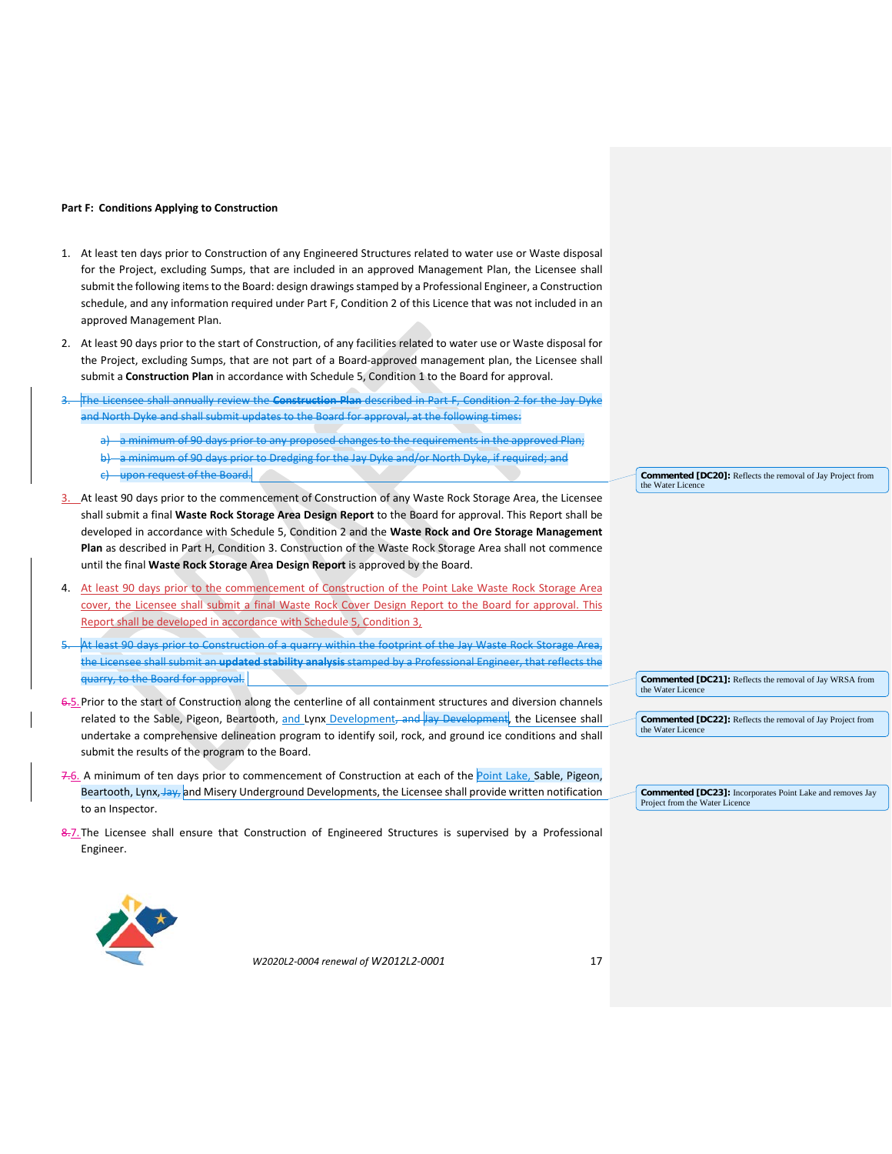#### **Part F: Conditions Applying to Construction**

- 1. At least ten days prior to Construction of any Engineered Structures related to water use or Waste disposal for the Project, excluding Sumps, that are included in an approved Management Plan, the Licensee shall submit the following itemsto the Board: design drawings stamped by a Professional Engineer, a Construction schedule, and any information required under Part F, Condition 2 of this Licence that was not included in an approved Management Plan.
- 2. At least 90 days prior to the start of Construction, of any facilities related to water use or Waste disposal for the Project, excluding Sumps, that are not part of a Board-approved management plan, the Licensee shall submit a **Construction Plan** in accordance with Schedule 5, Condition 1 to the Board for approval.
- 3. The Licensee shall annually review the **Construction Plan** described in Part F, Condition 2 for the Jay Dyke and North Dyke and shall submit updates to the Board for approval, at the following times:
	- a) a minimum of 90 days prior to any proposed changes to the requirements in the approved Plan;
	- b) a minimum of 90 days prior to Dredging for the Jay Dyke and/or North Dyke, if required; and c) upon request of the Board.
- 3. At least 90 days prior to the commencement of Construction of any Waste Rock Storage Area, the Licensee shall submit a final **Waste Rock Storage Area Design Report** to the Board for approval. This Report shall be developed in accordance with Schedule 5, Condition 2 and the **Waste Rock and Ore Storage Management Plan** as described in Part H, Condition 3. Construction of the Waste Rock Storage Area shall not commence until the final **Waste Rock Storage Area Design Report** is approved by the Board.
- 4. At least 90 days prior to the commencement of Construction of the Point Lake Waste Rock Storage Area cover, the Licensee shall submit a final Waste Rock Cover Design Report to the Board for approval. This Report shall be developed in accordance with Schedule 5, Condition 3,
- At least 90 days prior to Construction of a quarry within the footprint of the Jay Waste Rock Storage Area, the Licensee shall submit an **updated stability analysis** stamped by a Professional Engineer, that reflects the quarry, to the Board for approval.
- 6.5. Prior to the start of Construction along the centerline of all containment structures and diversion channels related to the Sable, Pigeon, Beartooth, and Lynx Development, and Jay Development, the Licensee shall undertake a comprehensive delineation program to identify soil, rock, and ground ice conditions and shall submit the results of the program to the Board.
- 7.6. A minimum of ten days prior to commencement of Construction at each of the Point Lake, Sable, Pigeon, Beartooth, Lynx, Jay, and Misery Underground Developments, the Licensee shall provide written notification to an Inspector.
- 8.7. The Licensee shall ensure that Construction of Engineered Structures is supervised by a Professional Engineer.



*W2020L2-0004 renewal of W2012L2-0001* 17

**Commented [DC20]:** Reflects the removal of Jay Project from the Water Licence

**Commented [DC21]:** Reflects the removal of Jay WRSA from the Water Licene

**Commented [DC22]:** Reflects the removal of Jay Project from the Water Licence

**Commented [DC23]:** Incorporates Point Lake and removes Jay Project from the Water Licence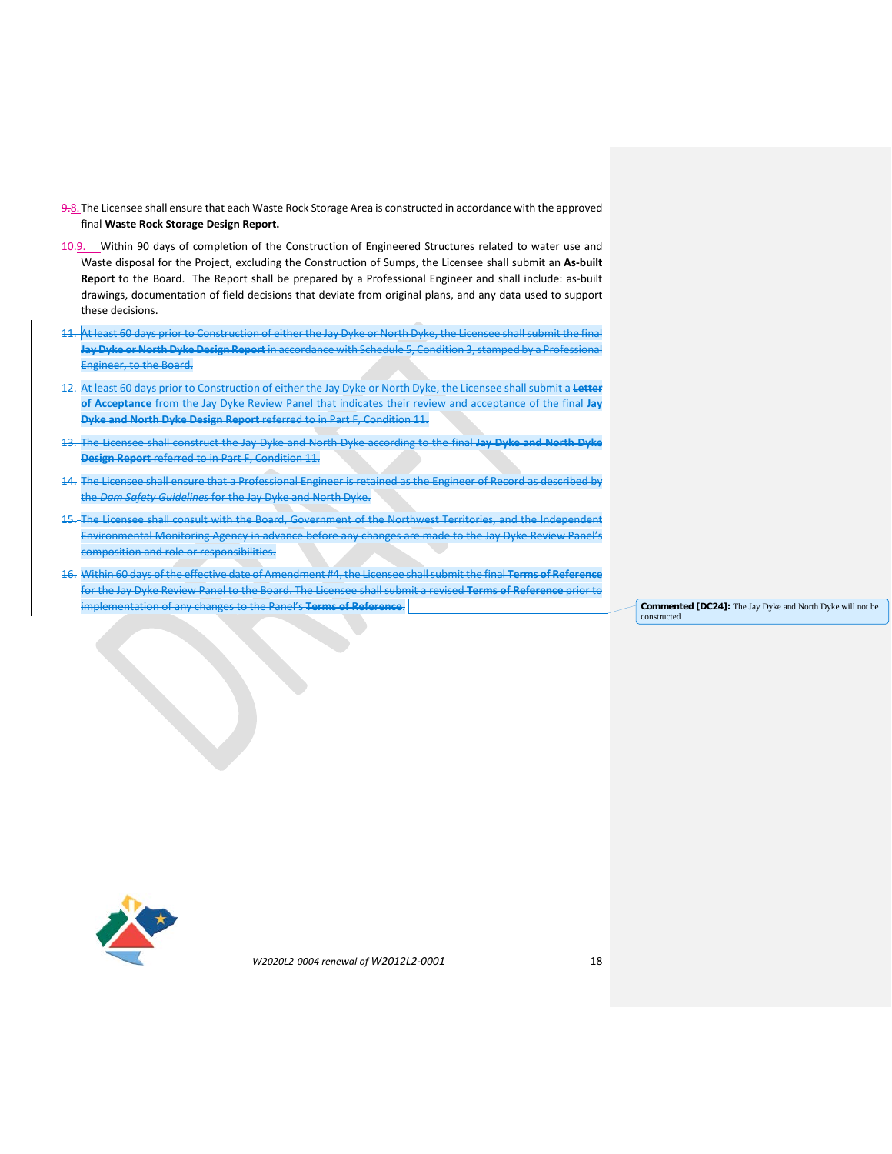- 9.8.The Licensee shall ensure that each Waste Rock Storage Area is constructed in accordance with the approved final **Waste Rock Storage Design Report.**
- 10.9. Within 90 days of completion of the Construction of Engineered Structures related to water use and Waste disposal for the Project, excluding the Construction of Sumps, the Licensee shall submit an **As-built Report** to the Board. The Report shall be prepared by a Professional Engineer and shall include: as-built drawings, documentation of field decisions that deviate from original plans, and any data used to support these decisions.
- 11. At least 60 days prior to Construction of either the Jay Dyke or North Dyke, the Licensee shall submit the final **Jay Dyke or North Dyke Design Report** in accordance with Schedule 5, Condition 3, stamped by a Professional Engineer, to the Board.
- 12. At least 60 days prior to Construction of either the Jay Dyke or North Dyke, the Licensee shall submit a **Letter of Acceptance** from the Jay Dyke Review Panel that indicates their review and acceptance of the final **Jay Dyke and North Dyke Design Report** referred to in Part F, Condition 11**.**
- 13. The Licensee shall construct the Jay Dyke and North Dyke according to the final **Jay Dyke and North Dyke Design Report** referred to in Part F, Condition 11.
- The Licensee shall ensure that a Professional Engineer is retained as the Engineer of Record as described by the *Dam Safety Guidelines* for the Jay Dyke and North Dyke.
- 15. The Licensee shall consult with the Board, Government of the Northwest Territories, and the Independent Environmental Monitoring Agency in advance before any changes are made to the Jay Dyke Review Panel's composition and role or responsibilities.
- 16. Within 60 days of the effective date of Amendment #4, the Licensee shall submit the final **Terms of Reference** for the Jay Dyke Review Panel to the Board. The Licensee shall submit a revised **Terms of Reference** prior to implementation of any changes to the Panel's **Terms of Reference**. **Commented [DC24]:** The Jay Dyke and North Dyke will not be

constructed

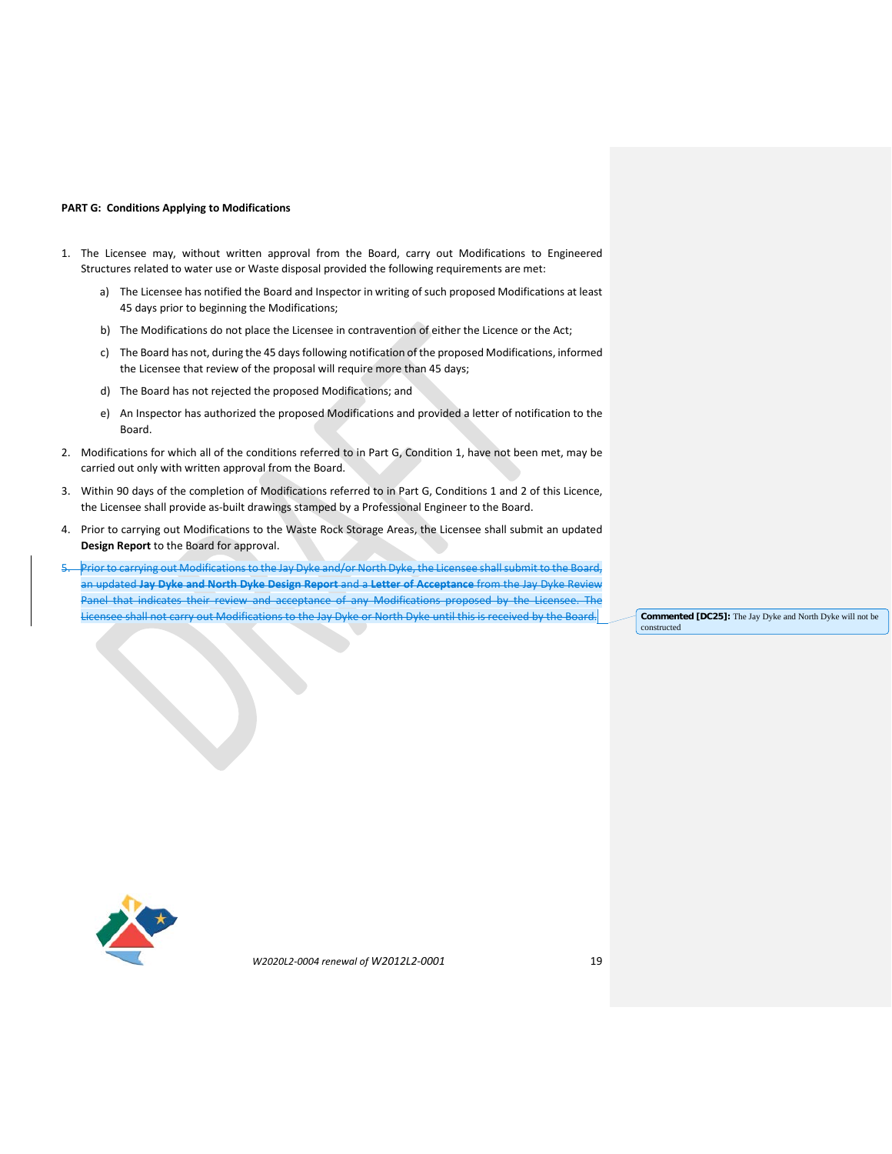### **PART G: Conditions Applying to Modifications**

- 1. The Licensee may, without written approval from the Board, carry out Modifications to Engineered Structures related to water use or Waste disposal provided the following requirements are met:
	- a) The Licensee has notified the Board and Inspector in writing of such proposed Modifications at least 45 days prior to beginning the Modifications;
	- b) The Modifications do not place the Licensee in contravention of either the Licence or the Act;
	- c) The Board has not, during the 45 days following notification of the proposed Modifications, informed the Licensee that review of the proposal will require more than 45 days;
	- d) The Board has not rejected the proposed Modifications; and
	- e) An Inspector has authorized the proposed Modifications and provided a letter of notification to the Board.
- 2. Modifications for which all of the conditions referred to in Part G, Condition 1, have not been met, may be carried out only with written approval from the Board.
- 3. Within 90 days of the completion of Modifications referred to in Part G, Conditions 1 and 2 of this Licence, the Licensee shall provide as-built drawings stamped by a Professional Engineer to the Board.
- 4. Prior to carrying out Modifications to the Waste Rock Storage Areas, the Licensee shall submit an updated **Design Report** to the Board for approval.
- Prior to carrying out Modifications to the Jay Dyke and/or North Dyke, the Licensee shall submit to the Board, an updated **Jay Dyke and North Dyke Design Report** and a **Letter of Acceptance** from the Jay Dyke Review Panel that indicates their review and acceptance of any Modifications proposed by the Licensee Licensee shall not carry out Modifications to the Jay Dyke or North Dyke until this is received by the Board. **Commented [DC25]:** The Jay Dyke and North Dyke will not be

constructed

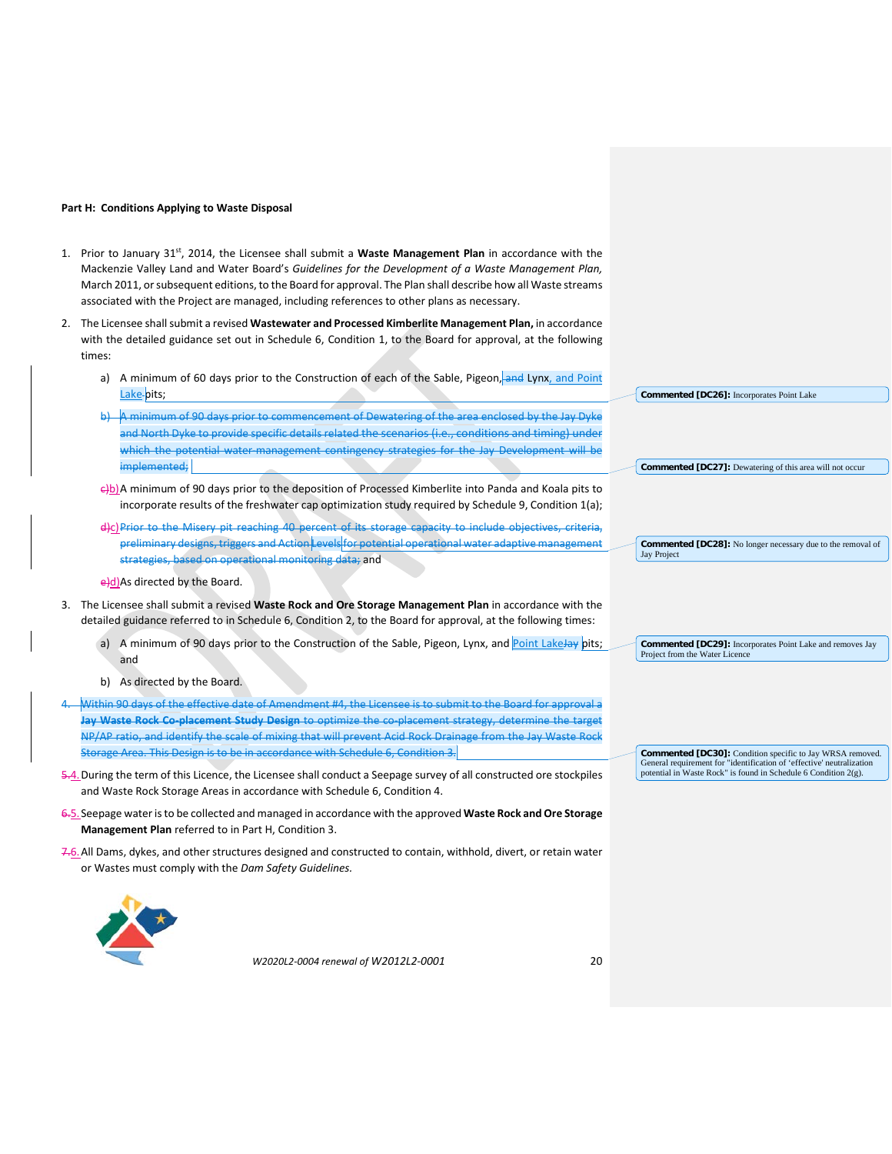#### **Part H: Conditions Applying to Waste Disposal**

- 1. Prior to January 31st, 2014, the Licensee shall submit a **Waste Management Plan** in accordance with the Mackenzie Valley Land and Water Board's *Guidelines for the Development of a Waste Management Plan,*  March 2011, or subsequent editions, to the Board for approval. The Plan shall describe how all Waste streams associated with the Project are managed, including references to other plans as necessary.
- 2. The Licensee shall submit a revised **Wastewater and Processed Kimberlite Management Plan,** in accordance with the detailed guidance set out in Schedule 6, Condition 1, to the Board for approval, at the following times:
	- a) A minimum of 60 days prior to the Construction of each of the Sable, Pigeon, and Lynx, and Point Lake-pits;
	- b) A minimum of 90 days prior to commencement of Dewatering of the area enclosed by the Jay Dyke and North Dyke to provide specific details related the scenarios (i.e., conditions and timing) unde which the potential water management contingency strategies for the Jay Development will be implemented;
	- e)b)A minimum of 90 days prior to the deposition of Processed Kimberlite into Panda and Koala pits to incorporate results of the freshwater cap optimization study required by Schedule 9, Condition 1(a);
	- d)c)Prior to the Misery pit reaching 40 percent of its storage capacity to include objectives, criteria, preliminary designs, triggers and Action Levels for potential operational water adaptive management strategies, based on operational monitoring data; and
	- e)d)As directed by the Board.
- 3. The Licensee shall submit a revised **Waste Rock and Ore Storage Management Plan** in accordance with the detailed guidance referred to in Schedule 6, Condition 2, to the Board for approval, at the following times:
	- a) A minimum of 90 days prior to the Construction of the Sable, Pigeon, Lynx, and Point LakeJay pits; and
	- b) As directed by the Board.
- 4. Within 90 days of the effective date of Amendment #4, the Licensee is to submit to the Board for approval a Jay Waste Rock Co-placement Study Design to optimize the co-placement strategy, determine the targe NP/AP ratio, and identify the scale of mixing that will prevent Acid Rock Drainage from the Jay Waste Rock Storage Area. This Design is to be in accordance with Schedule 6, Condition 3.
- 5.4.During the term of this Licence, the Licensee shall conduct a Seepage survey of all constructed ore stockpiles and Waste Rock Storage Areas in accordance with Schedule 6, Condition 4.
- 6.5.Seepage water is to be collected and managed in accordance with the approved **Waste Rock and Ore Storage Management Plan** referred to in Part H, Condition 3.
- 7.6.All Dams, dykes, and other structures designed and constructed to contain, withhold, divert, or retain water or Wastes must comply with the *Dam Safety Guidelines.*



*W2020L2-0004 renewal of W2012L2-0001* 20

| ╚             |                                                                                          |
|---------------|------------------------------------------------------------------------------------------|
|               | Commented [DC26]: Incorporates Point Lake                                                |
|               |                                                                                          |
|               |                                                                                          |
| u T           |                                                                                          |
|               |                                                                                          |
|               | Commented [DC27]: Dewatering of this area will not occur                                 |
| C             |                                                                                          |
|               |                                                                                          |
| ;             |                                                                                          |
| 5             |                                                                                          |
| ŧ             | <b>Commented [DC28]:</b> No longer necessary due to the removal of<br><b>Jay Project</b> |
|               |                                                                                          |
|               |                                                                                          |
|               |                                                                                          |
| ë             |                                                                                          |
|               |                                                                                          |
| ;             | Commented [DC29]: Incorporates Point Lake and removes Jay                                |
|               | Project from the Water Licence                                                           |
|               |                                                                                          |
|               |                                                                                          |
|               |                                                                                          |
| $\frac{1}{t}$ |                                                                                          |
|               |                                                                                          |
|               |                                                                                          |
|               | Commented [DC30]: Condition specific to Jay WRSA removed.                                |

General requirement for "identification of 'effective' neutralization potential in Waste Rock" is found in Schedule 6 Condition 2(g).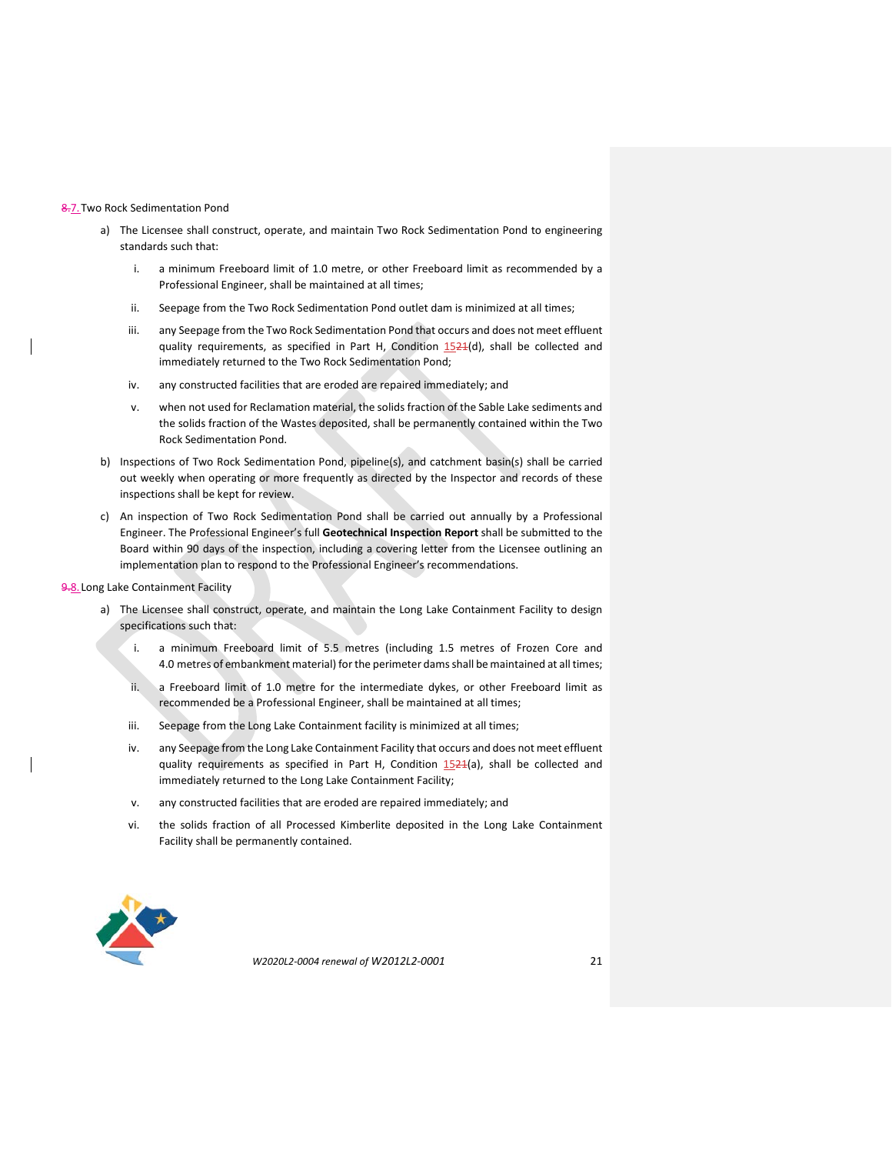#### 8.7.Two Rock Sedimentation Pond

- a) The Licensee shall construct, operate, and maintain Two Rock Sedimentation Pond to engineering standards such that:
	- i. a minimum Freeboard limit of 1.0 metre, or other Freeboard limit as recommended by a Professional Engineer, shall be maintained at all times;
	- ii. Seepage from the Two Rock Sedimentation Pond outlet dam is minimized at all times;
	- iii. any Seepage from the Two Rock Sedimentation Pond that occurs and does not meet effluent quality requirements, as specified in Part H, Condition 1524(d), shall be collected and immediately returned to the Two Rock Sedimentation Pond;
	- iv. any constructed facilities that are eroded are repaired immediately; and
	- v. when not used for Reclamation material, the solids fraction of the Sable Lake sediments and the solids fraction of the Wastes deposited, shall be permanently contained within the Two Rock Sedimentation Pond.
- b) Inspections of Two Rock Sedimentation Pond, pipeline(s), and catchment basin(s) shall be carried out weekly when operating or more frequently as directed by the Inspector and records of these inspections shall be kept for review.
- c) An inspection of Two Rock Sedimentation Pond shall be carried out annually by a Professional Engineer. The Professional Engineer's full **Geotechnical Inspection Report** shall be submitted to the Board within 90 days of the inspection, including a covering letter from the Licensee outlining an implementation plan to respond to the Professional Engineer's recommendations.

#### 9.8. Long Lake Containment Facility

- a) The Licensee shall construct, operate, and maintain the Long Lake Containment Facility to design specifications such that:
	- i. a minimum Freeboard limit of 5.5 metres (including 1.5 metres of Frozen Core and 4.0 metres of embankment material) for the perimeter dams shall be maintained at all times;
	- ii. a Freeboard limit of 1.0 metre for the intermediate dykes, or other Freeboard limit as recommended be a Professional Engineer, shall be maintained at all times;
	- iii. Seepage from the Long Lake Containment facility is minimized at all times;
	- iv. any Seepage from the Long Lake Containment Facility that occurs and does not meet effluent quality requirements as specified in Part H, Condition  $1524(a)$ , shall be collected and immediately returned to the Long Lake Containment Facility;
	- v. any constructed facilities that are eroded are repaired immediately; and
	- vi. the solids fraction of all Processed Kimberlite deposited in the Long Lake Containment Facility shall be permanently contained.

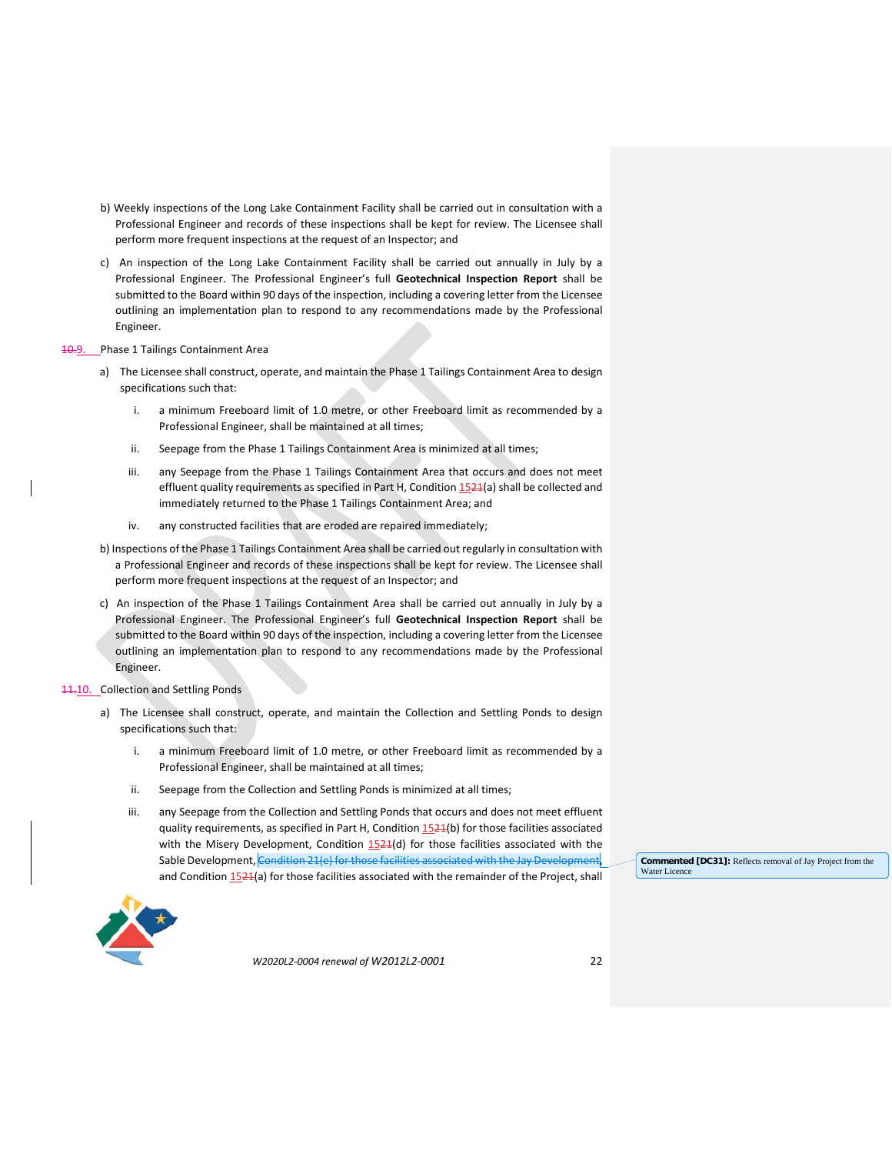- b) Weekly inspections of the Long Lake Containment Facility shall be carried out in consultation with a Professional Engineer and records of these inspections shall be kept for review. The Licensee shall perform more frequent inspections at the request of an Inspector; and
- c) An inspection of the Long Lake Containment Facility shall be carried out annually in July by a Professional Engineer. The Professional Engineer's full **Geotechnical Inspection Report** shall be submitted to the Board within 90 days of the inspection, including a covering letter from the Licensee outlining an implementation plan to respond to any recommendations made by the Professional Engineer.

#### 10.9. Phase 1 Tailings Containment Area

- a) The Licensee shall construct, operate, and maintain the Phase 1 Tailings Containment Area to design specifications such that:
	- i. a minimum Freeboard limit of 1.0 metre, or other Freeboard limit as recommended by a Professional Engineer, shall be maintained at all times;
	- ii. Seepage from the Phase 1 Tailings Containment Area is minimized at all times;
	- iii. any Seepage from the Phase 1 Tailings Containment Area that occurs and does not meet effluent quality requirements as specified in Part H, Condition 1521(a) shall be collected and immediately returned to the Phase 1 Tailings Containment Area; and
	- iv. any constructed facilities that are eroded are repaired immediately;
- b) Inspections of the Phase 1 Tailings Containment Area shall be carried out regularly in consultation with a Professional Engineer and records of these inspections shall be kept for review. The Licensee shall perform more frequent inspections at the request of an Inspector; and
- c) An inspection of the Phase 1 Tailings Containment Area shall be carried out annually in July by a Professional Engineer. The Professional Engineer's full **Geotechnical Inspection Report** shall be submitted to the Board within 90 days of the inspection, including a covering letter from the Licensee outlining an implementation plan to respond to any recommendations made by the Professional Engineer.

### 11.10. Collection and Settling Ponds

- a) The Licensee shall construct, operate, and maintain the Collection and Settling Ponds to design specifications such that:
	- i. a minimum Freeboard limit of 1.0 metre, or other Freeboard limit as recommended by a Professional Engineer, shall be maintained at all times;
	- ii. Seepage from the Collection and Settling Ponds is minimized at all times;
	- iii. any Seepage from the Collection and Settling Ponds that occurs and does not meet effluent quality requirements, as specified in Part H, Condition 1521(b) for those facilities associated with the Misery Development, Condition  $1524(d)$  for those facilities associated with the Sable Development, Condition 21(e) for those facilities associated with the Jay Deve and Condition 1524(a) for those facilities associated with the remainder of the Project, shall

**Commented [DC31]:** Reflects removal of Jay Project from the Water Licence

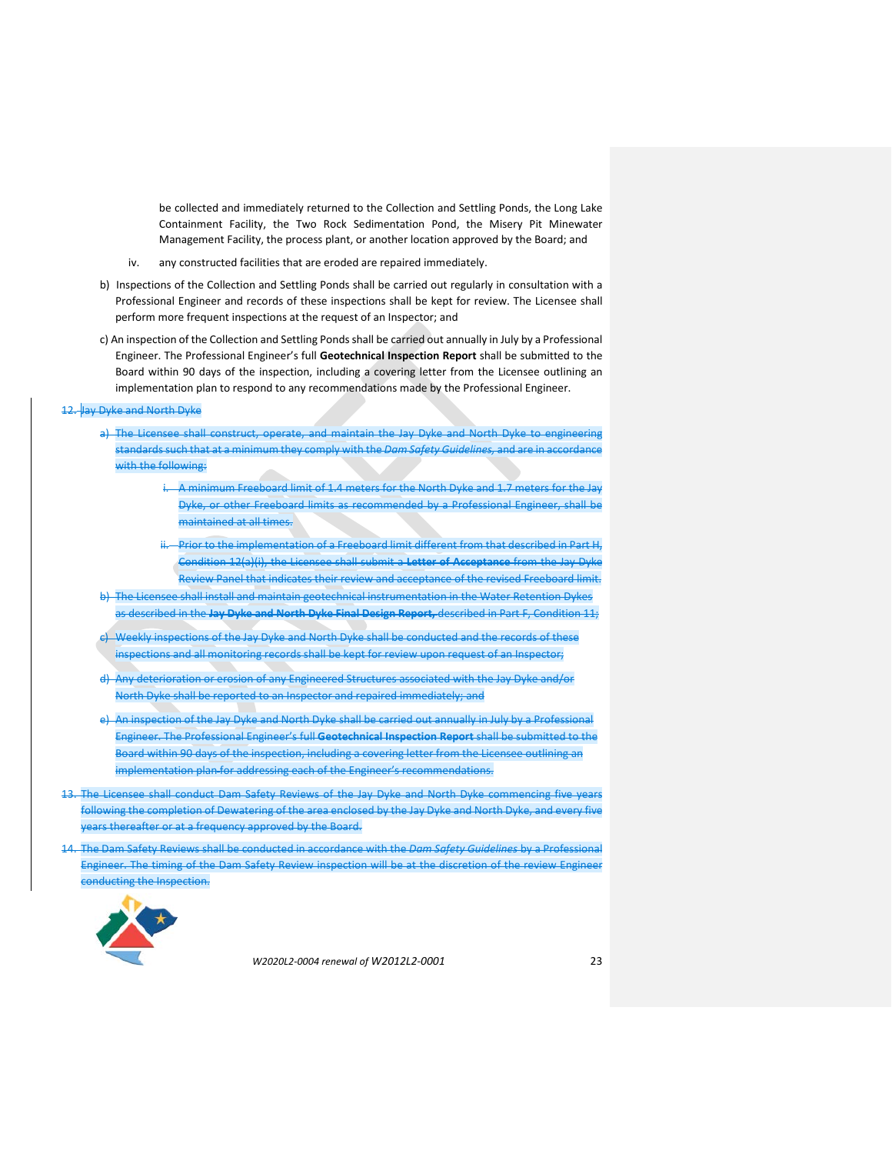be collected and immediately returned to the Collection and Settling Ponds, the Long Lake Containment Facility, the Two Rock Sedimentation Pond, the Misery Pit Minewater Management Facility, the process plant, or another location approved by the Board; and

- iv. any constructed facilities that are eroded are repaired immediately.
- b) Inspections of the Collection and Settling Ponds shall be carried out regularly in consultation with a Professional Engineer and records of these inspections shall be kept for review. The Licensee shall perform more frequent inspections at the request of an Inspector; and
- c) An inspection of the Collection and Settling Ponds shall be carried out annually in July by a Professional Engineer. The Professional Engineer's full **Geotechnical Inspection Report** shall be submitted to the Board within 90 days of the inspection, including a covering letter from the Licensee outlining an implementation plan to respond to any recommendations made by the Professional Engineer.

# 12. Jay Dyke and North Dyke

- a) The Licensee shall construct, operate, and maintain the Jay Dyke and North Dyke to engineering standards such that at a minimum they comply with the *Dam Safety Guidelines,* and are in accordance with the following:
	- i. A minimum Freeboard limit of 1.4 meters for the North Dyke and 1.7 meters for the Jay Dyke, or other Freeboard limits as recommended by a Professional Engineer, shall be maintained at all times.
	- Prior to the implementation of a Freeboard limit different from that described in Part H, Condition 12(a)(i), the Licensee shall submit a **Letter of Acceptance** from the Jay Dyke Review Panel that indicates their review and acceptance of the revised Freeboard limit.
- b) The Licensee shall install and maintain geotechnical instrumentation in the Water Retention Dykes as described in the **Jay Dyke and North Dyke Final Design Report,** described in Part F, Condition 11;
- c) Weekly inspections of the Jay Dyke and North Dyke shall be conducted and the records of these inspections and all monitoring records shall be kept for review upon request of an Inspector;
- d) Any deterioration or erosion of any Engineered Structures associated with the Jay Dyke and/or North Dyke shall be reported to an Inspector and repaired immediately; and
- e) An inspection of the Jay Dyke and North Dyke shall be carried out annually in July by a Professional Engineer. The Professional Engineer's full **Geotechnical Inspection Report** shall be submitted to the Board within 90 days of the inspection, including a covering letter from the Licensee outlining an implementation plan for addressing each of the Engineer's recommendations.
- The Licensee shall conduct Dam Safety Reviews of the Jay Dyke and North Dyke commencing five years following the completion of Dewatering of the area enclosed by the Jay Dyke and North Dyke, and every five years thereafter or at a frequency approved by the Board.
- 14. The Dam Safety Reviews shall be conducted in accordance with the *Dam Safety Guidelines* by a Professional Engineer. The timing of the Dam Safety Review inspection will be at the discretion of the review Engineer conducting the Inspection.

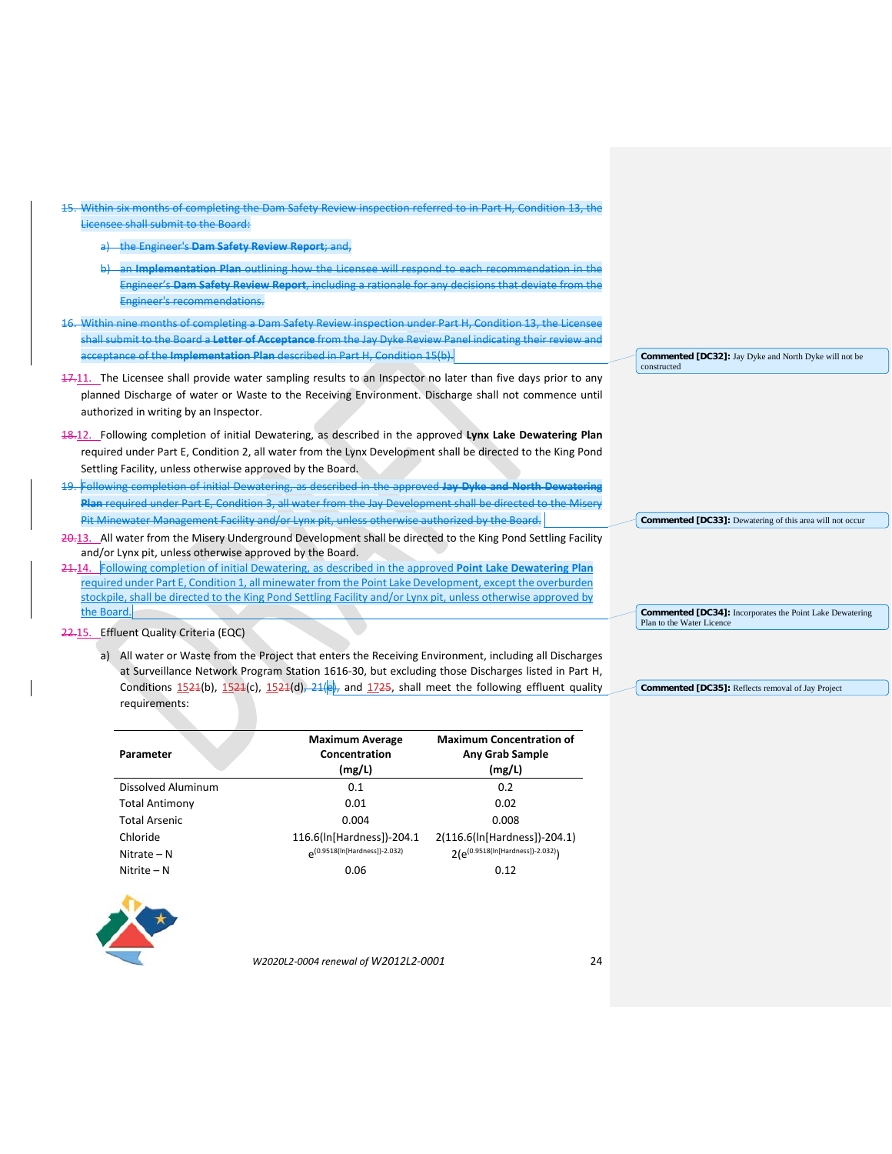| Within six months of completing the Dam Safety Review inspection referred to in Part H, Condition 13, the                   |                                                                 |
|-----------------------------------------------------------------------------------------------------------------------------|-----------------------------------------------------------------|
| Licensee shall submit to the Board:                                                                                         |                                                                 |
| the Engineer's Dam Safety Review Report; and,                                                                               |                                                                 |
| an Implementation Plan outlining how the Licensee will respond to each recommendation in the                                |                                                                 |
| Engineer's Dam Safety Review Report, including a rationale for any decisions that deviate from the                          |                                                                 |
| Engineer's recommendations.                                                                                                 |                                                                 |
| Within nine months of completing a Dam Safety Review inspection under Part H, Condition 13, the Licensee                    |                                                                 |
| shall submit to the Board a <mark>Letter of Acceptance</mark> from the Jay Dyke Review Panel indicating their review and    |                                                                 |
| acceptance of the Implementation Plan described in Part H. Condition 15(b).                                                 | <b>Commented [DC32]:</b> Jay Dyke and North Dyke will not be    |
| 47.11. The Licensee shall provide water sampling results to an Inspector no later than five days prior to any               | constructed                                                     |
| planned Discharge of water or Waste to the Receiving Environment. Discharge shall not commence until                        |                                                                 |
| authorized in writing by an Inspector.                                                                                      |                                                                 |
|                                                                                                                             |                                                                 |
|                                                                                                                             |                                                                 |
| 18.12. Following completion of initial Dewatering, as described in the approved Lynx Lake Dewatering Plan                   |                                                                 |
| required under Part E, Condition 2, all water from the Lynx Development shall be directed to the King Pond                  |                                                                 |
| Settling Facility, unless otherwise approved by the Board.                                                                  |                                                                 |
| 19. Following completion of initial Dewatering, as described in the approved Jay Dyke and North Dewatering                  |                                                                 |
| Plan required under Part E, Condition 3, all water from the Jay Development shall be directed to the Misery                 |                                                                 |
| Pit Minewater Management Facility and/or Lynx pit, unless otherwise authorized by the Board.                                | <b>Commented [DC33]:</b> Dewatering of this area will not occur |
| 20.13. All water from the Misery Underground Development shall be directed to the King Pond Settling Facility               |                                                                 |
| and/or Lynx pit, unless otherwise approved by the Board.                                                                    |                                                                 |
| 24.14. Following completion of initial Dewatering, as described in the approved Point Lake Dewatering Plan                  |                                                                 |
| required under Part E, Condition 1, all minewater from the Point Lake Development, except the overburden                    |                                                                 |
| stockpile, shall be directed to the King Pond Settling Facility and/or Lynx pit, unless otherwise approved by<br>the Board. | <b>Commented [DC34]:</b> Incorporates the Point Lake Dewatering |

22.15. Effluent Quality Criteria (EQC)

a) All water or Waste from the Project that enters the Receiving Environment, including all Discharges at Surveillance Network Program Station 1616-30, but excluding those Discharges listed in Part H, Conditions  $1521(b)$ ,  $1521(c)$ ,  $1521(d)$ ,  $21(e)$ , and  $1725$ , shall meet the following effluent quality requirements:

| Parameter             | <b>Maximum Average</b><br>Concentration<br>(mg/L) | <b>Maximum Concentration of</b><br><b>Any Grab Sample</b><br>(mg/L) |
|-----------------------|---------------------------------------------------|---------------------------------------------------------------------|
| Dissolved Aluminum    | 0.1                                               | 0.2                                                                 |
| <b>Total Antimony</b> | 0.01                                              | 0.02                                                                |
| <b>Total Arsenic</b>  | 0.004                                             | 0.008                                                               |
| Chloride              | 116.6(In[Hardness])-204.1                         | 2(116.6(ln[Hardness])-204.1)                                        |
| Nitrate – N           | (0.9518(ln[Hardness])-2.032)                      | 2(e <sup>(0.9518(ln[Hardness])-2.032)</sup> )                       |
| Nitrite – N           | 0.06                                              | 0.12                                                                |



*W2020L2-0004 renewal of W2012L2-0001* 24

**Commented [DC35]:** Reflects removal of Jay Project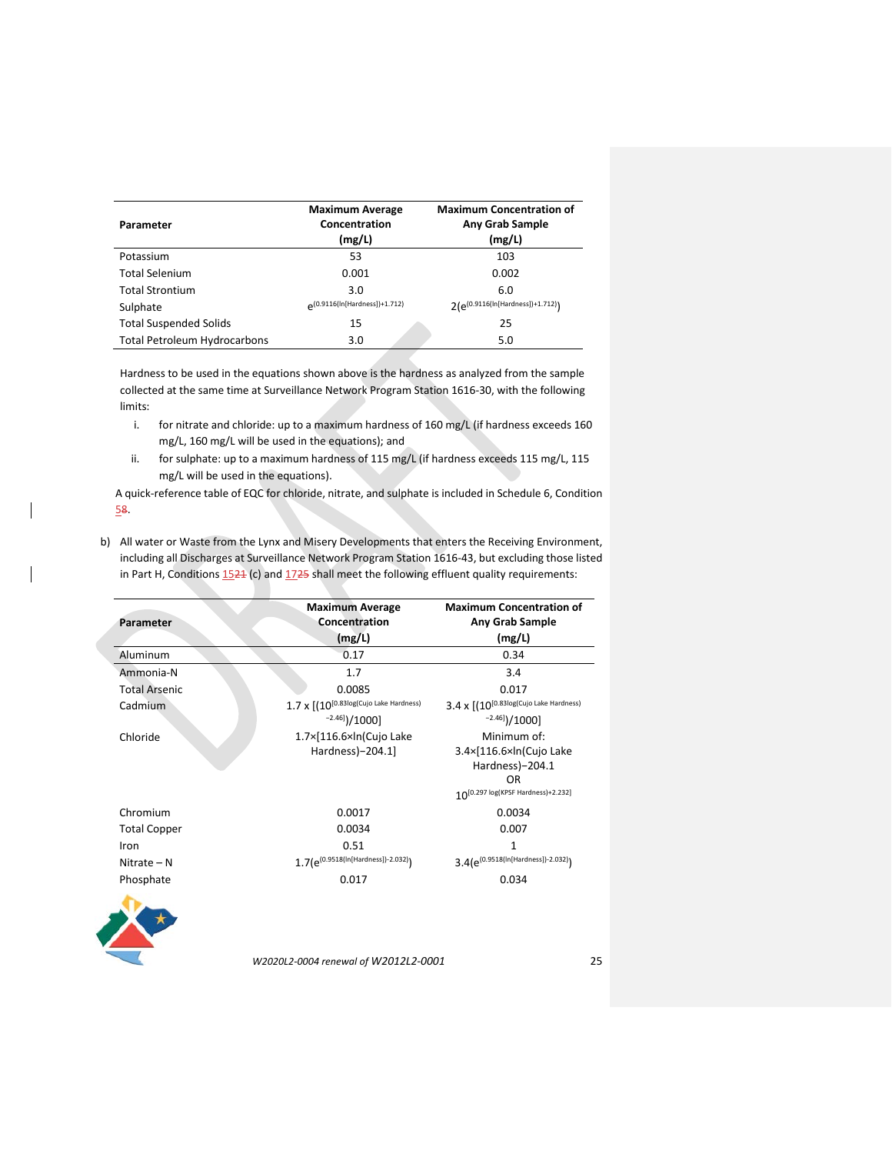| Parameter                           | <b>Maximum Average</b><br>Concentration<br>(mg/L) | <b>Maximum Concentration of</b><br><b>Any Grab Sample</b><br>(mg/L) |
|-------------------------------------|---------------------------------------------------|---------------------------------------------------------------------|
| Potassium                           | 53                                                | 103                                                                 |
| <b>Total Selenium</b>               | 0.001                                             | 0.002                                                               |
| <b>Total Strontium</b>              | 3.0                                               | 6.0                                                                 |
| Sulphate                            | (0.9116(In[Hardness])+1.712)                      | $2(e^{(0.9116(ln[Hardness])+1.712)})$                               |
| <b>Total Suspended Solids</b>       | 15                                                | 25                                                                  |
| <b>Total Petroleum Hydrocarbons</b> | 3.0                                               | 5.0                                                                 |

Hardness to be used in the equations shown above is the hardness as analyzed from the sample collected at the same time at Surveillance Network Program Station 1616-30, with the following limits:

- i. for nitrate and chloride: up to a maximum hardness of 160 mg/L (if hardness exceeds 160 mg/L, 160 mg/L will be used in the equations); and
- ii. for sulphate: up to a maximum hardness of 115 mg/L (if hardness exceeds 115 mg/L, 115 mg/L will be used in the equations).

A quick-reference table of EQC for chloride, nitrate, and sulphate is included in Schedule 6, Condition 58.

b) All water or Waste from the Lynx and Misery Developments that enters the Receiving Environment, including all Discharges at Surveillance Network Program Station 1616-43, but excluding those listed in Part H, Conditions  $1524$  (c) and  $1725$  shall meet the following effluent quality requirements:

| <b>Maximum Average</b><br>Concentration         | <b>Maximum Concentration of</b><br>Any Grab Sample<br>(mg/L)                                                  |
|-------------------------------------------------|---------------------------------------------------------------------------------------------------------------|
|                                                 | 0.34                                                                                                          |
|                                                 | 3.4                                                                                                           |
| 0.0085                                          | 0.017                                                                                                         |
|                                                 | $3.4 \times [(10^{[0.83\text{log(Cujo Lake Hardness})}$                                                       |
| $^{-2.46}$ ]/1000]                              | $^{-2.46}$ ]/1000]                                                                                            |
| 1.7×[116.6×ln(Cujo Lake<br>Hardness)-204.1]     | Minimum of:<br>3.4×[116.6×ln(Cujo Lake<br>Hardness)-204.1<br><b>OR</b><br>1 0[0.297 log(KPSF Hardness)+2.232] |
| 0.0017                                          | 0.0034                                                                                                        |
| 0.0034                                          | 0.007                                                                                                         |
| 0.51<br>$1.7(e^{(0.9518(ln[Hardness])-2.032)})$ | $\mathbf{1}$<br>3.4(e(0.9518(In[Hardness])-2.032))                                                            |
| 0.017                                           | 0.034                                                                                                         |
| W2020L2-0004 renewal of W2012L2-0001            |                                                                                                               |
|                                                 | (mg/L)<br>0.17<br>1.7<br>$1.7$ X $[(10^{[0.83\text{log(Cujo Lake Hardness})}$                                 |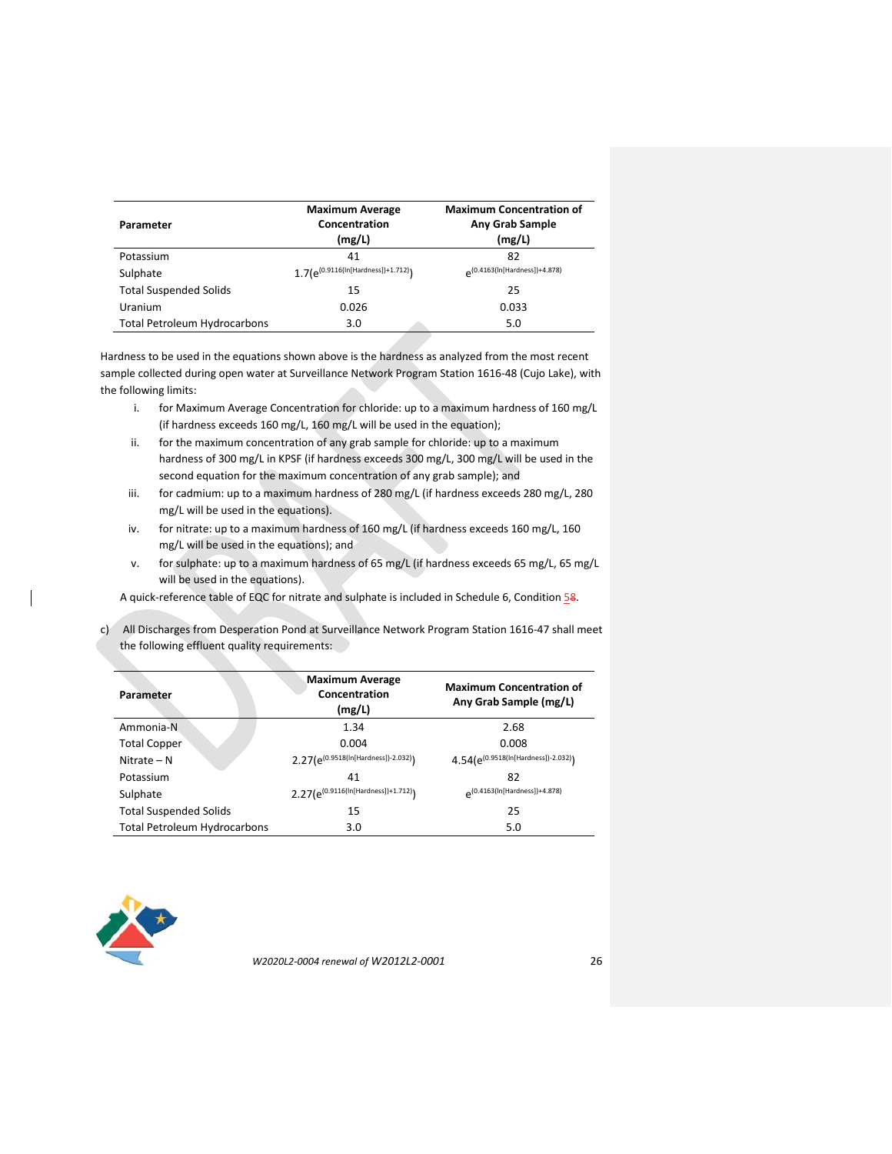| Parameter                           | <b>Maximum Average</b><br>Concentration<br>(mg/L) | <b>Maximum Concentration of</b><br><b>Any Grab Sample</b><br>(mg/L) |
|-------------------------------------|---------------------------------------------------|---------------------------------------------------------------------|
| Potassium                           | 41                                                | 82                                                                  |
| Sulphate                            | 1.7(e <sup>(0.9116(ln[Hardness])+1.712)</sup> )   | (0.4163(In[Hardness])+4.878)                                        |
| <b>Total Suspended Solids</b>       | 15                                                | 25                                                                  |
| Uranium                             | 0.026                                             | 0.033                                                               |
| <b>Total Petroleum Hydrocarbons</b> | 3.0                                               | 5.0                                                                 |

Hardness to be used in the equations shown above is the hardness as analyzed from the most recent sample collected during open water at Surveillance Network Program Station 1616-48 (Cujo Lake), with the following limits:

- i. for Maximum Average Concentration for chloride: up to a maximum hardness of 160 mg/L (if hardness exceeds 160 mg/L, 160 mg/L will be used in the equation);
- ii. for the maximum concentration of any grab sample for chloride: up to a maximum hardness of 300 mg/L in KPSF (if hardness exceeds 300 mg/L, 300 mg/L will be used in the second equation for the maximum concentration of any grab sample); and
- iii. for cadmium: up to a maximum hardness of 280 mg/L (if hardness exceeds 280 mg/L, 280 mg/L will be used in the equations).
- iv. for nitrate: up to a maximum hardness of 160 mg/L (if hardness exceeds 160 mg/L, 160 mg/L will be used in the equations); and
- v. for sulphate: up to a maximum hardness of 65 mg/L (if hardness exceeds 65 mg/L, 65 mg/L will be used in the equations).

A quick-reference table of EQC for nitrate and sulphate is included in Schedule 6, Condition 58.

c) All Discharges from Desperation Pond at Surveillance Network Program Station 1616-47 shall meet the following effluent quality requirements:

| Parameter                           | <b>Maximum Average</b><br>Concentration<br>(mg/L) | <b>Maximum Concentration of</b><br>Any Grab Sample (mg/L) |
|-------------------------------------|---------------------------------------------------|-----------------------------------------------------------|
| Ammonia-N                           | 1.34                                              | 2.68                                                      |
| <b>Total Copper</b>                 | 0.004                                             | 0.008                                                     |
| Nitrate $- N$                       | $2.27(e^{(0.9518(ln[Hardness])-2.032)})$          | $4.54(e^{(0.9518(ln[Hardness])-2.032)})$                  |
| Potassium                           | 41                                                | 82                                                        |
| Sulphate                            | 2.27(e(0.9116(ln[Hardness])+1.712))               | (0.4163(In[Hardness])+4.878)                              |
| <b>Total Suspended Solids</b>       | 15                                                | 25                                                        |
| <b>Total Petroleum Hydrocarbons</b> | 3.0                                               | 5.0                                                       |

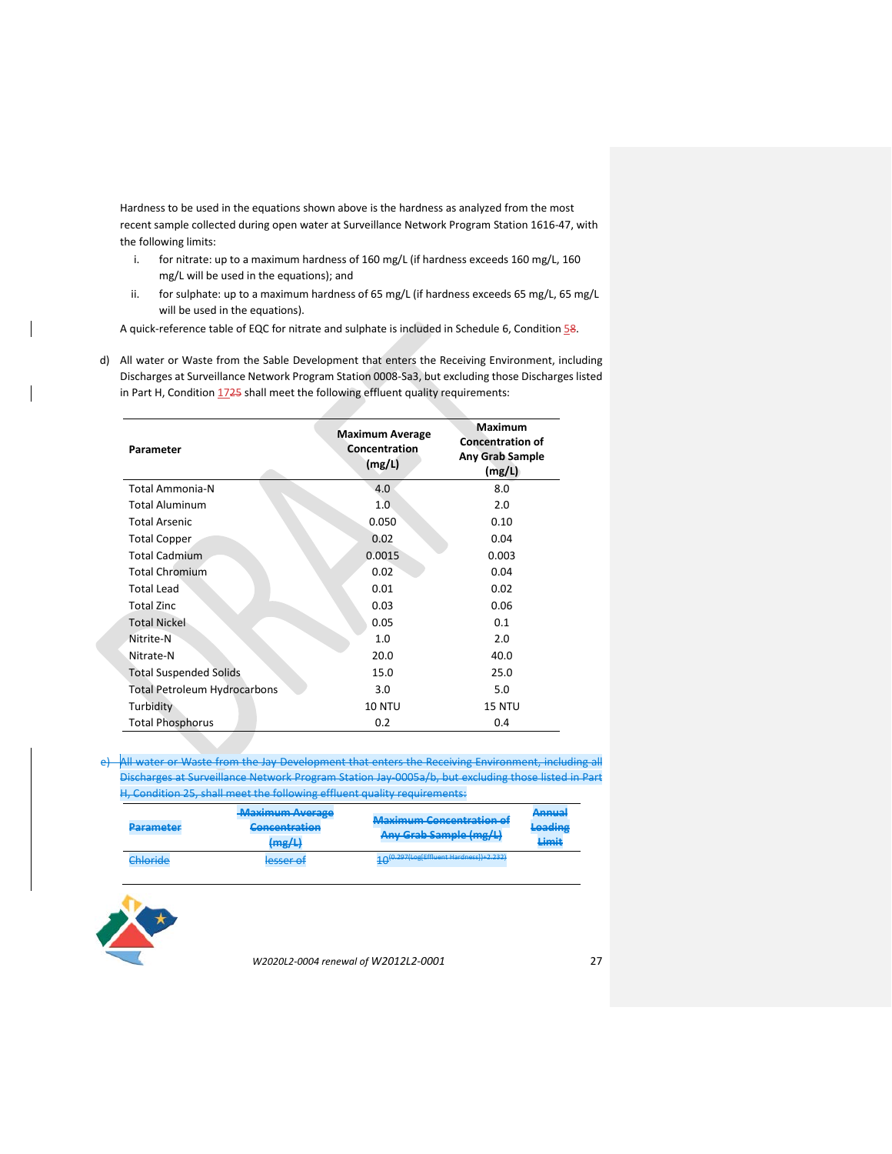Hardness to be used in the equations shown above is the hardness as analyzed from the most recent sample collected during open water at Surveillance Network Program Station 1616-47, with the following limits:

- i. for nitrate: up to a maximum hardness of 160 mg/L (if hardness exceeds 160 mg/L, 160 mg/L will be used in the equations); and
- ii. for sulphate: up to a maximum hardness of 65 mg/L (if hardness exceeds 65 mg/L, 65 mg/L will be used in the equations).

A quick-reference table of EQC for nitrate and sulphate is included in Schedule 6, Condition 58.

d) All water or Waste from the Sable Development that enters the Receiving Environment, including Discharges at Surveillance Network Program Station 0008-Sa3, but excluding those Discharges listed in Part H, Condition  $1725$  shall meet the following effluent quality requirements:

| Parameter                           | <b>Maximum Average</b><br>Concentration<br>(mg/L) | <b>Maximum</b><br><b>Concentration of</b><br><b>Any Grab Sample</b><br>(mg/L) |
|-------------------------------------|---------------------------------------------------|-------------------------------------------------------------------------------|
| <b>Total Ammonia-N</b>              | 4.0                                               | 8.0                                                                           |
| <b>Total Aluminum</b>               | 1.0                                               | 2.0                                                                           |
| <b>Total Arsenic</b>                | 0.050                                             | 0.10                                                                          |
| <b>Total Copper</b>                 | 0.02                                              | 0.04                                                                          |
| <b>Total Cadmium</b>                | 0.0015                                            | 0.003                                                                         |
| <b>Total Chromium</b>               | 0.02                                              | 0.04                                                                          |
| <b>Total Lead</b>                   | 0.01                                              | 0.02                                                                          |
| <b>Total Zinc</b>                   | 0.03                                              | 0.06                                                                          |
| <b>Total Nickel</b>                 | 0.05                                              | 0.1                                                                           |
| Nitrite-N                           | 1.0                                               | 2.0                                                                           |
| Nitrate-N                           | 20.0                                              | 40.0                                                                          |
| <b>Total Suspended Solids</b>       | 15.0                                              | 25.0                                                                          |
| <b>Total Petroleum Hydrocarbons</b> | 3.0                                               | 5.0                                                                           |
| Turbidity                           | <b>10 NTU</b>                                     | 15 NTU                                                                        |
| <b>Total Phosphorus</b>             | 0.2                                               | 0.4                                                                           |

e) All water or Waste from the Jay Development that enters the Receiving Environment, Discharges at Surveillance Network Program Station Jay-0005a/b, but excluding those listed i H, Condition 25, shall meet the following effluent quality requirements:

| Daramotor<br><del>rarameter</del>          | <b>Maximum Average</b><br>Concontration<br><del>concentration</del><br>$(m\sigma/l)$<br>$\frac{1}{2}$ | Mavimum Concentration of<br>Any Grah Sample (ma/l)<br><del>nny uraw sampic (mg/s)</del> | Annual<br>mmaa<br><b>Loading</b><br>tvaams<br>Limit |
|--------------------------------------------|-------------------------------------------------------------------------------------------------------|-----------------------------------------------------------------------------------------|-----------------------------------------------------|
| <sup>n</sup> hlarida<br><del>enronae</del> | laccar at<br><b>STATISTICS</b>                                                                        | (0.297(Log[Effluent Hardness])+2.232)                                                   |                                                     |

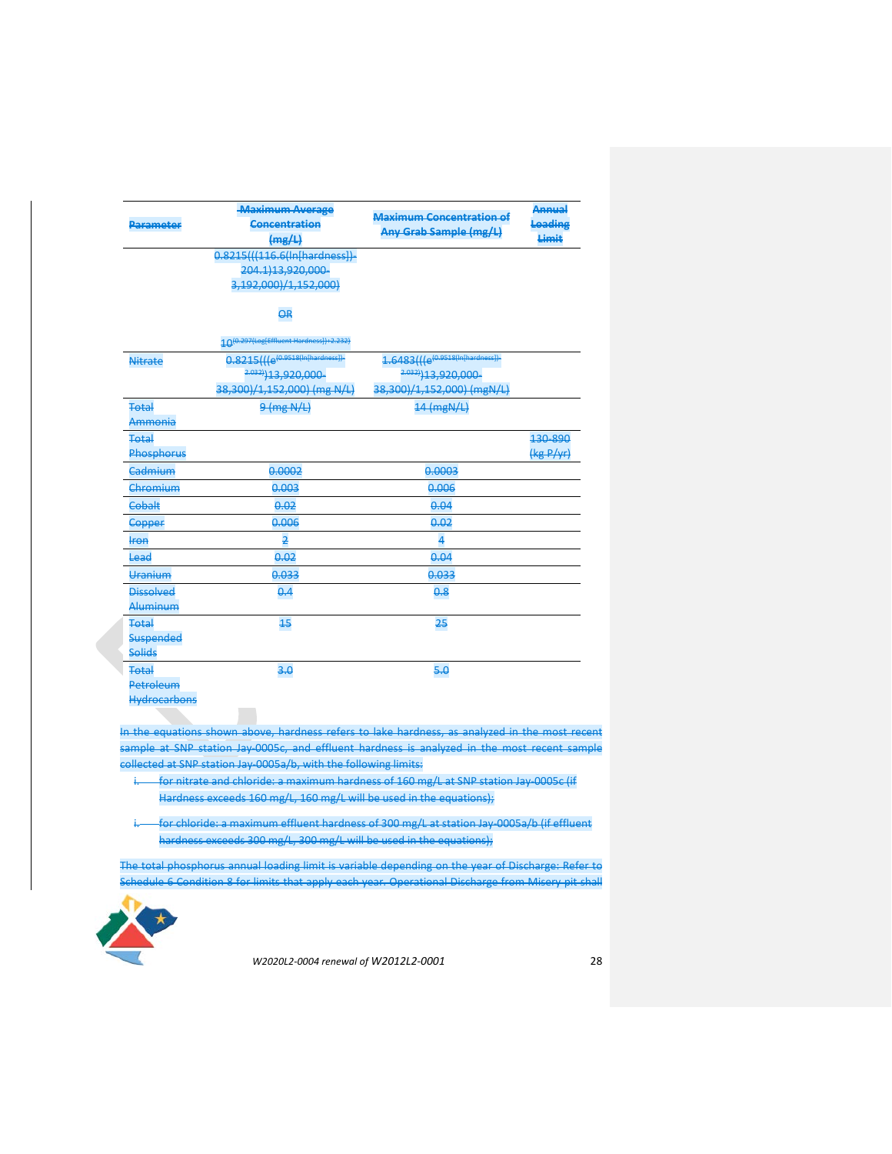| Parameter                                        | <b>Maximum Average</b><br>Concentration<br>(mg/L)                                                      | <b>Maximum Concentration of</b><br>Any Grab Sample (mg/L)                               | Annual<br>Loading<br>Limit |
|--------------------------------------------------|--------------------------------------------------------------------------------------------------------|-----------------------------------------------------------------------------------------|----------------------------|
|                                                  | 0.8215(((116.6(In[hardness])-<br>204.1)13,920,000-<br>3,192,000)/1,152,000)                            |                                                                                         |                            |
|                                                  | $\overline{a}$                                                                                         |                                                                                         |                            |
|                                                  | 10(0.297(Log[Effluent Hardness])+2.232)                                                                |                                                                                         |                            |
| <b>Nitrate</b>                                   | $0.8215$ ( $(e^{(0.9518(ln[hardness])}$<br>2.032) <sub>13,920,000</sub><br>38,300)/1,152,000) (mg N/L) | $1.6483(((e^{(0.9518(ln[hardness])}$<br>2.032) 13,920,000<br>38,300)/1,152,000) (mgN/L) |                            |
| Total                                            | $9$ (mg N/L)                                                                                           | $14$ (mgN/L)                                                                            |                            |
| Ammonia                                          |                                                                                                        |                                                                                         |                            |
| <b>Total</b><br>Phosphorus                       |                                                                                                        |                                                                                         | 130-890<br>(kg P/yr)       |
| Cadmium                                          | 0.0002                                                                                                 | 0.0003                                                                                  |                            |
| Chromium                                         | 0.003                                                                                                  | 0.006                                                                                   |                            |
| Cobalt                                           | 0.02                                                                                                   | 0.04                                                                                    |                            |
| <b>Copper</b>                                    | 0.006                                                                                                  | 0.02                                                                                    |                            |
| <del>lron</del>                                  | $\overline{2}$                                                                                         | 4                                                                                       |                            |
| Lead                                             | 0.02                                                                                                   | 0.04                                                                                    |                            |
| Uranium                                          | 0.033                                                                                                  | 0.033                                                                                   |                            |
| Dissolved<br>Aluminum                            | 0.4                                                                                                    | 0.8                                                                                     |                            |
| Total<br><b>Suspended</b><br><b>Solids</b>       | 15                                                                                                     | 25                                                                                      |                            |
| <b>Total</b><br>Petroleum<br><b>Hydrocarbons</b> | 3.0                                                                                                    | 5.0                                                                                     |                            |

In the equations shown above, hardness refers to lake hardness, as analyzed in the most recent sample at SNP station Jay-0005c, and effluent hardness is analyzed in the most recent sample collected at SNP station Jay-0005a/b, with the following limits:

- i. for nitrate and chloride: a maximum hardness of 160 mg/L at SNP station Jay 0005c (if Hardness exceeds 160 mg/L, 160 mg/L will be used in the equations);
- i. for chloride: a maximum effluent hardness of 300 mg/L at station Jay-0005a/b (if effluent hardness exceeds 300 mg/L, 300 mg/L will be used in the equations);

The total phosphorus annual loading limit is variable depending on the year of Discharge: Refer to Schedule 6 Condition 8 for limits that apply each year. Operational Discharge from Misery pit shall

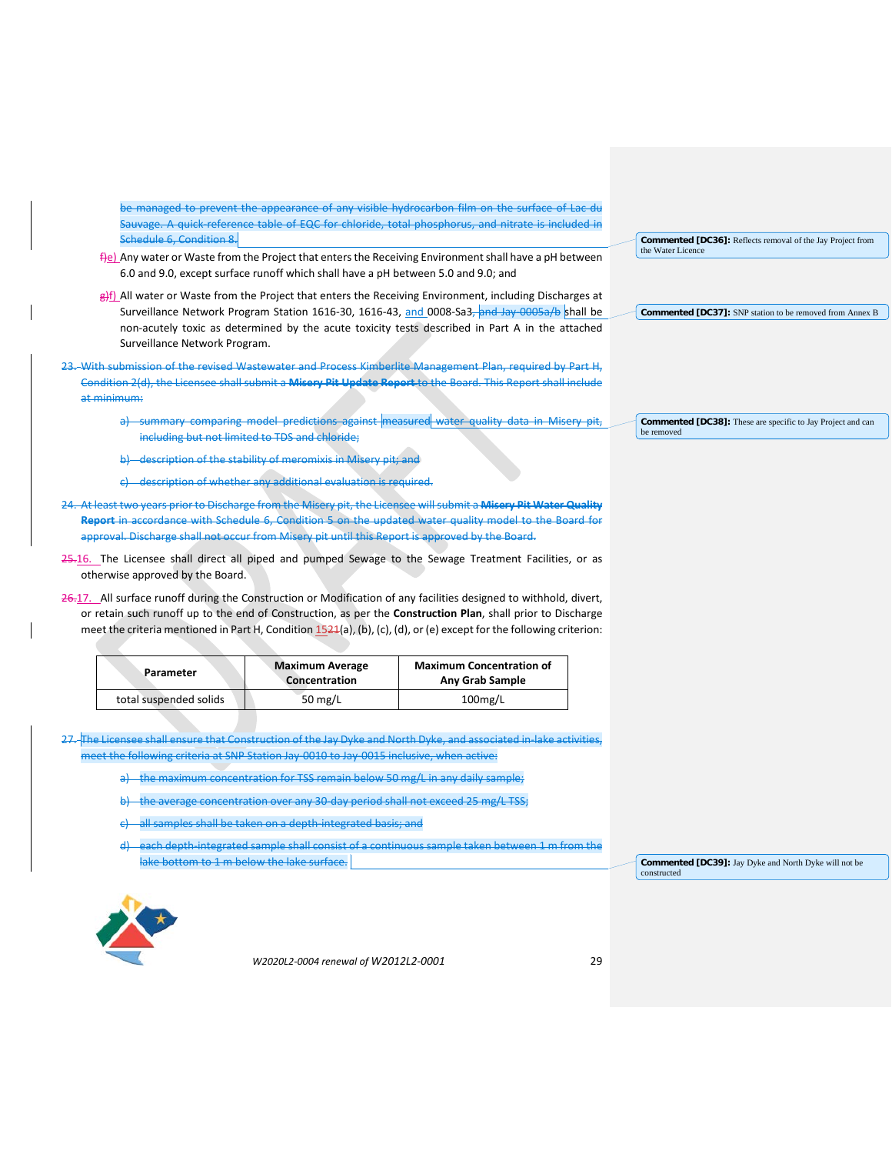be managed to prevent the appearance of any visible hydrocarbon film on the surface of Lac du Sauvage. A quick-reference table of EQC for chloride, total phosphorus, and nitrate is included in Schedule 6, Condition 8.

- $\frac{f}{f}e$ ) Any water or Waste from the Project that enters the Receiving Environment shall have a pH between 6.0 and 9.0, except surface runoff which shall have a pH between 5.0 and 9.0; and
- g)f) All water or Waste from the Project that enters the Receiving Environment, including Discharges at Surveillance Network Program Station 1616-30, 1616-43, and 0008-Sa3, and Jay-0005a/b shall be non-acutely toxic as determined by the acute toxicity tests described in Part A in the attached Surveillance Network Program.
- 23. With submission of the revised Wastewater and Process Kimberlite Management Plan, required by Part H, Condition 2(d), the Licensee shall submit a **Misery Pit Update Report** to the Board. This Report shall include at minimum:
	- a) summary comparing model predictions against measured water quality data in Misery pit, including but not limited to TDS and chloride;
	- b) description of the stability of meromixis in Misery pit; and
	- c) description of whether any additional evaluation is required.
- 24. At least two years prior to Discharge from the Misery pit, the Licensee will submit a **Misery Pit Water Quality Report** in accordance with Schedule 6, Condition 5 on the updated water quality model to the Board for approval. Discharge shall not occur from Misery pit until this Report is approved by the Board.
- 25.16. The Licensee shall direct all piped and pumped Sewage to the Sewage Treatment Facilities, or as otherwise approved by the Board.
- 26.17. All surface runoff during the Construction or Modification of any facilities designed to withhold, divert, or retain such runoff up to the end of Construction, as per the **Construction Plan**, shall prior to Discharge meet the criteria mentioned in Part H, Condition 1521(a), (b), (c), (d), or (e) except for the following criterion:

| Parameter              | <b>Maximum Average</b><br>Concentration | <b>Maximum Concentration of</b><br>Any Grab Sample |
|------------------------|-----------------------------------------|----------------------------------------------------|
| total suspended solids | 50 $mg/L$                               | $100$ mg/L                                         |

- 27. The Licensee shall ensure that Construction of the Jay Dyke and North Dyke, and associated in lake activities, meet the following criteria at SNP Station Jay-0010 to Jay-0015 inclusive, when active:
	- a) the maximum concentration for TSS remain below 50 mg/L in any daily sample;
	- b) the average concentration over any 30-day period shall not exceed 25 mg/L TSS;
	- all samples shall be taken on a depth-integrated basis; and
	- each depth-integrated sample shall consist of a continuous sample taken between 1 m from the lake bottom to 1 m below the lake surface.

**Commented [DC39]:** Jay Dyke and North Dyke will not be constructed



*W2020L2-0004 renewal of W2012L2-0001* 29

**Commented [DC36]:** Reflects removal of the Jay Project from the Water Licence

**Commented [DC37]:** SNP station to be removed from Annex B

**Commented [DC38]:** These are specific to Jay Project and can be removed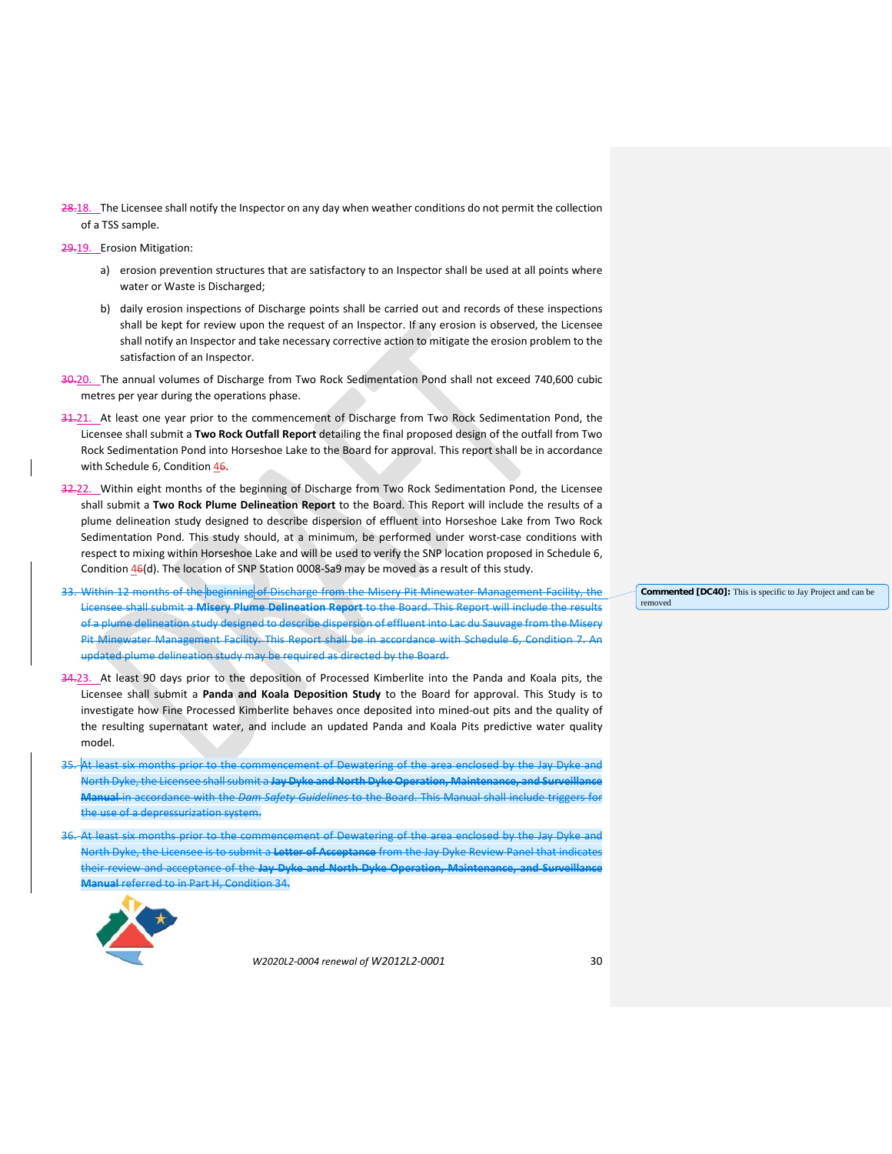28.18. The Licensee shall notify the Inspector on any day when weather conditions do not permit the collection of a TSS sample.

29.19. Erosion Mitigation:

- a) erosion prevention structures that are satisfactory to an Inspector shall be used at all points where water or Waste is Discharged;
- b) daily erosion inspections of Discharge points shall be carried out and records of these inspections shall be kept for review upon the request of an Inspector. If any erosion is observed, the Licensee shall notify an Inspector and take necessary corrective action to mitigate the erosion problem to the satisfaction of an Inspector.
- 30.20. The annual volumes of Discharge from Two Rock Sedimentation Pond shall not exceed 740,600 cubic metres per year during the operations phase.
- 31.21. At least one year prior to the commencement of Discharge from Two Rock Sedimentation Pond, the Licensee shall submit a **Two Rock Outfall Report** detailing the final proposed design of the outfall from Two Rock Sedimentation Pond into Horseshoe Lake to the Board for approval. This report shall be in accordance with Schedule 6, Condition 46.
- 32.22. Within eight months of the beginning of Discharge from Two Rock Sedimentation Pond, the Licensee shall submit a **Two Rock Plume Delineation Report** to the Board. This Report will include the results of a plume delineation study designed to describe dispersion of effluent into Horseshoe Lake from Two Rock Sedimentation Pond. This study should, at a minimum, be performed under worst-case conditions with respect to mixing within Horseshoe Lake and will be used to verify the SNP location proposed in Schedule 6, Condition 46(d). The location of SNP Station 0008-Sa9 may be moved as a result of this study.
- 33. Within 12 months of the beginning of Discharge from the Misery Pit Minewater Management Facility, the Licensee shall submit a **Misery Plume Delineation Report** to the Board. This Report will include the results of a plume delineation study designed to describe dispersion of effluent into Lac du Sauvage from the Misery Pit Minewater Management Facility. This Report shall be in accordance with Schedule 6, Condition 7. An updated plume delineation study may be required as directed by the Board.
- 34.23. At least 90 days prior to the deposition of Processed Kimberlite into the Panda and Koala pits, the Licensee shall submit a **Panda and Koala Deposition Study** to the Board for approval. This Study is to investigate how Fine Processed Kimberlite behaves once deposited into mined-out pits and the quality of the resulting supernatant water, and include an updated Panda and Koala Pits predictive water quality model.
- At least six months prior to the commencement of Dewatering of the area enclosed by the Jay Dyke and North Dyke, the Licensee shall submit a **Jay Dyke and North Dyke Operation, Maintenance, and Surveillance Manual** in accordance with the *Dam Safety Guidelines* to the Board. This Manual shall include triggers for the use of a depressurization system.
- At least six months prior to the commencement of Dewatering of the area enclosed by the Jay Dyke and North Dyke, the Licensee is to submit a **Letter of Acceptance** from the Jay Dyke Review Panel that indicates their review and acceptance of the **Jay Dyke and North Dyke Operation, Maintenance, and Surveillance Manual** referred to in Part H, Condition 34.



*W2020L2-0004 renewal of W2012L2-0001* 30

**Commented [DC40]:** This is specific to Jay Project and can be removed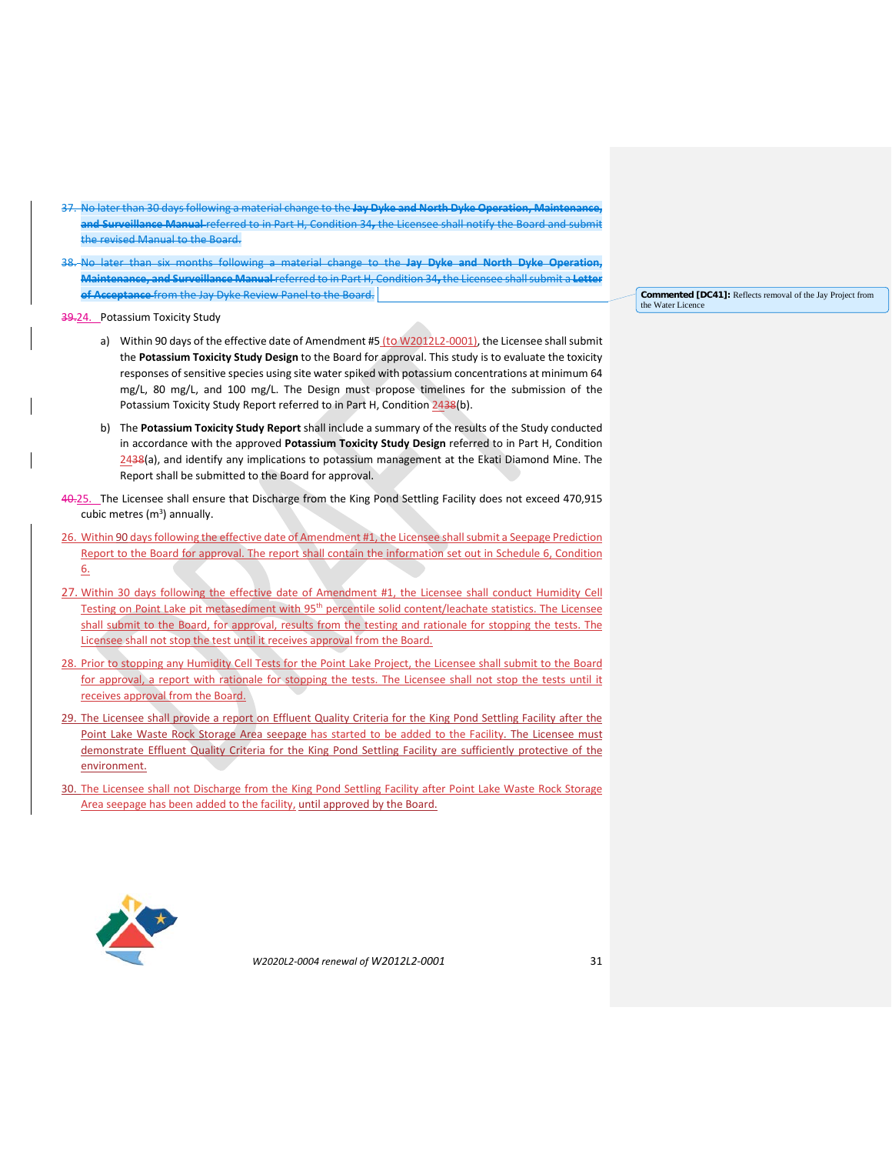- 37. No later than 30 days following a material change to the **Jay Dyke and North Dyke Operation, Maintenance, and Surveillance Manual** referred to in Part H, Condition 34**,** the Licensee shall notify the Board and submit the revised Manual to the Board.
- 38. No later than six months following a material change to the **Jay Dyke and North Dyke Operation, Maintenance, and Surveillance Manual** referred to in Part H, Condition 34**,** the Licensee shall submit a **Letter of Acceptance** from the Jay Dyke Review Panel to the Board.

39.24. Potassium Toxicity Study

- a) Within 90 days of the effective date of Amendment #5 (to W2012L2-0001), the Licensee shall submit the **Potassium Toxicity Study Design** to the Board for approval. This study is to evaluate the toxicity responses of sensitive species using site water spiked with potassium concentrations at minimum 64 mg/L, 80 mg/L, and 100 mg/L. The Design must propose timelines for the submission of the Potassium Toxicity Study Report referred to in Part H, Condition 2438(b).
- b) The **Potassium Toxicity Study Report** shall include a summary of the results of the Study conducted in accordance with the approved **Potassium Toxicity Study Design** referred to in Part H, Condition 2438(a), and identify any implications to potassium management at the Ekati Diamond Mine. The Report shall be submitted to the Board for approval.
- 40.25. The Licensee shall ensure that Discharge from the King Pond Settling Facility does not exceed 470,915 cubic metres  $(m^3)$  annually.
- 26. Within 90 days following the effective date of Amendment #1, the Licensee shall submit a Seepage Prediction Report to the Board for approval. The report shall contain the information set out in Schedule 6, Condition 6.
- 27. Within 30 days following the effective date of Amendment #1, the Licensee shall conduct Humidity Cell Testing on Point Lake pit metasediment with 95<sup>th</sup> percentile solid content/leachate statistics. The Licensee shall submit to the Board, for approval, results from the testing and rationale for stopping the tests. The Licensee shall not stop the test until it receives approval from the Board.
- 28. Prior to stopping any Humidity Cell Tests for the Point Lake Project, the Licensee shall submit to the Board for approval, a report with rationale for stopping the tests. The Licensee shall not stop the tests until it receives approval from the Board.
- 29. The Licensee shall provide a report on Effluent Quality Criteria for the King Pond Settling Facility after the Point Lake Waste Rock Storage Area seepage has started to be added to the Facility. The Licensee must demonstrate Effluent Quality Criteria for the King Pond Settling Facility are sufficiently protective of the environment.
- 30. The Licensee shall not Discharge from the King Pond Settling Facility after Point Lake Waste Rock Storage Area seepage has been added to the facility, until approved by the Board.



*W2020L2-0004 renewal of W2012L2-0001* 31

**Commented [DC41]:** Reflects removal of the Jay Project from the Water Licen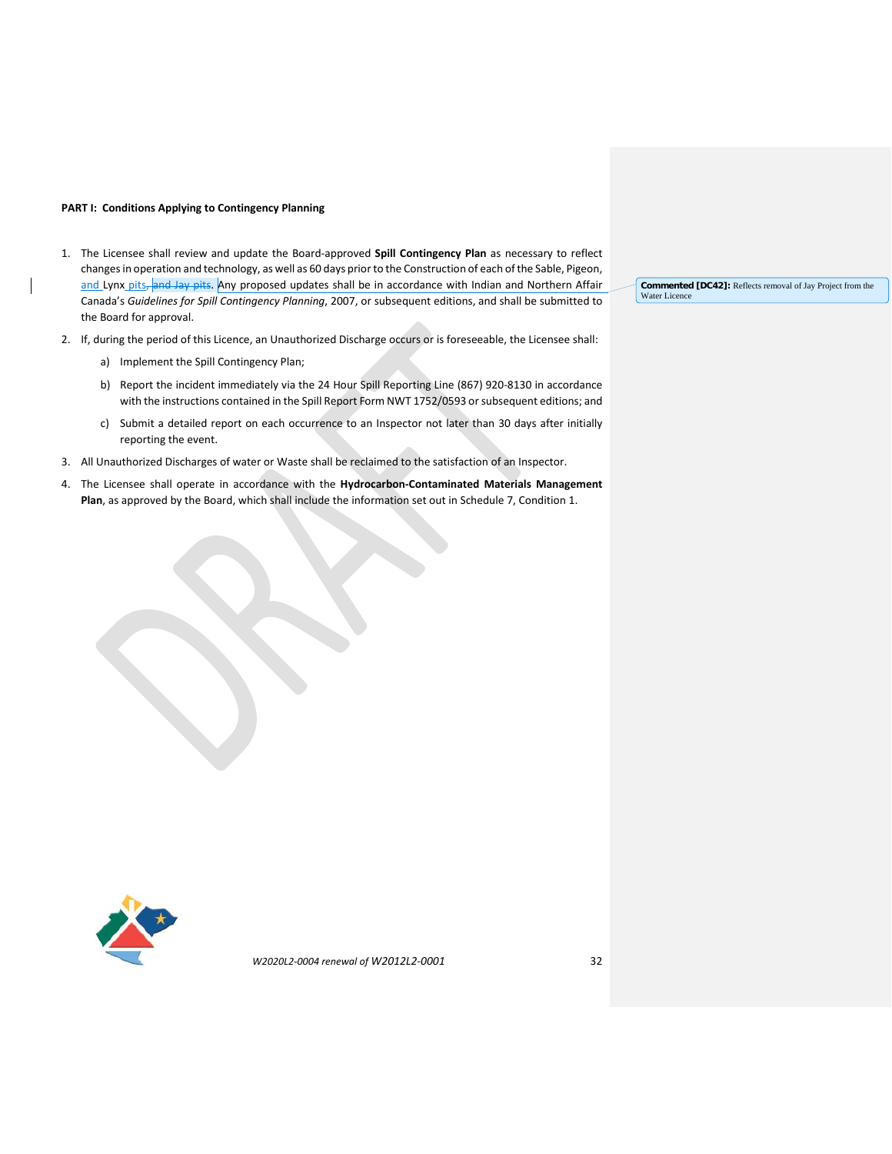## **PART I: Conditions Applying to Contingency Planning**

- 1. The Licensee shall review and update the Board-approved **Spill Contingency Plan** as necessary to reflect changes in operation and technology, as well as 60 days prior to the Construction of each ofthe Sable, Pigeon, and Lynx pits, and Jay pits. Any proposed updates shall be in accordance with Indian and Northern Affair Canada's *Guidelines for Spill Contingency Planning*, 2007, or subsequent editions, and shall be submitted to the Board for approval.
- 2. If, during the period of this Licence, an Unauthorized Discharge occurs or is foreseeable, the Licensee shall:
	- a) Implement the Spill Contingency Plan;
	- b) Report the incident immediately via the 24 Hour Spill Reporting Line (867) 920-8130 in accordance with the instructions contained in the Spill Report Form NWT 1752/0593 or subsequent editions; and
	- c) Submit a detailed report on each occurrence to an Inspector not later than 30 days after initially reporting the event.
- 3. All Unauthorized Discharges of water or Waste shall be reclaimed to the satisfaction of an Inspector.
- 4. The Licensee shall operate in accordance with the **Hydrocarbon-Contaminated Materials Management Plan**, as approved by the Board, which shall include the information set out in Schedule 7, Condition 1.

**Commented [DC42]:** Reflects removal of Jay Project from the Water Licence

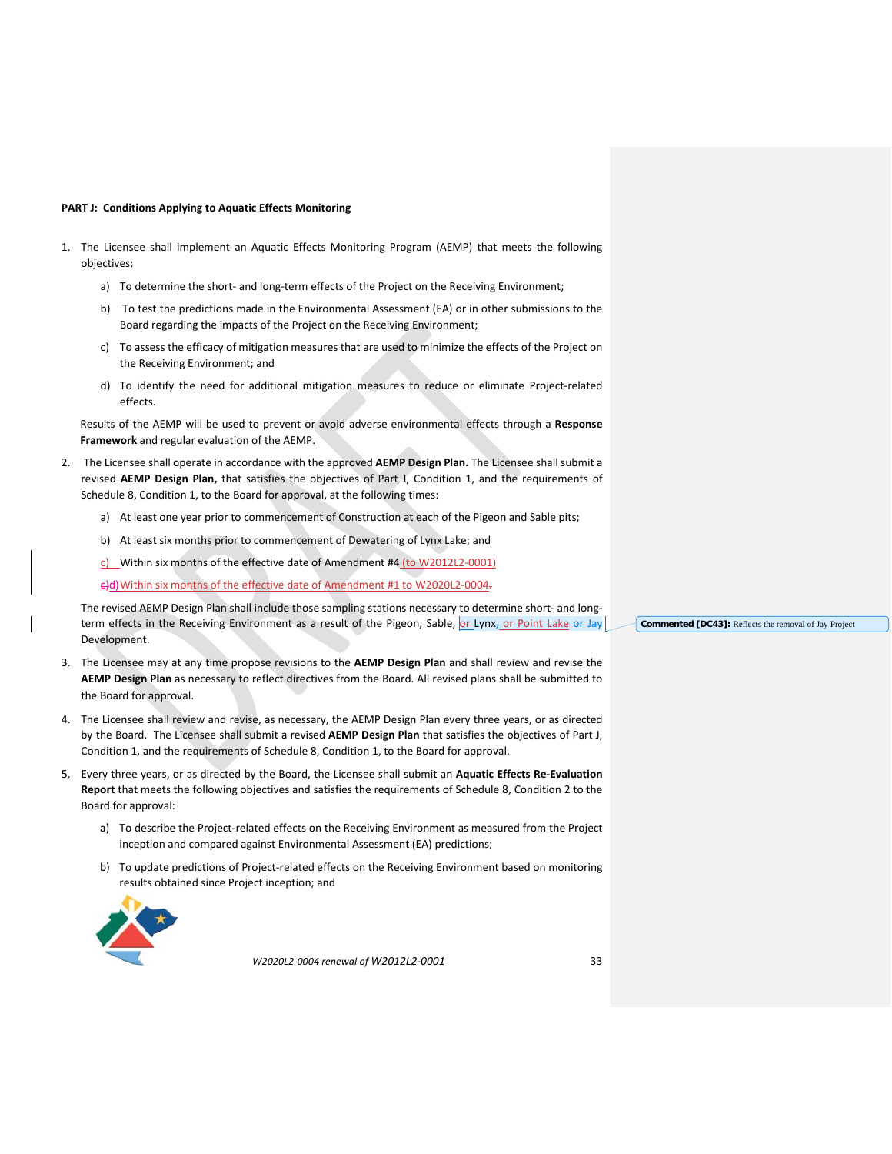#### **PART J: Conditions Applying to Aquatic Effects Monitoring**

- 1. The Licensee shall implement an Aquatic Effects Monitoring Program (AEMP) that meets the following objectives:
	- a) To determine the short- and long-term effects of the Project on the Receiving Environment;
	- b) To test the predictions made in the Environmental Assessment (EA) or in other submissions to the Board regarding the impacts of the Project on the Receiving Environment;
	- c) To assess the efficacy of mitigation measures that are used to minimize the effects of the Project on the Receiving Environment; and
	- d) To identify the need for additional mitigation measures to reduce or eliminate Project-related effects.

Results of the AEMP will be used to prevent or avoid adverse environmental effects through a **Response Framework** and regular evaluation of the AEMP.

- 2. The Licensee shall operate in accordance with the approved **AEMP Design Plan.** The Licensee shall submit a revised **AEMP Design Plan,** that satisfies the objectives of Part J, Condition 1, and the requirements of Schedule 8, Condition 1, to the Board for approval, at the following times:
	- a) At least one year prior to commencement of Construction at each of the Pigeon and Sable pits;
	- b) At least six months prior to commencement of Dewatering of Lynx Lake; and
	- c) Within six months of the effective date of Amendment #4 (to W2012L2-0001)

c)d)Within six months of the effective date of Amendment #1 to W2020L2-0004.

The revised AEMP Design Plan shall include those sampling stations necessary to determine short- and longterm effects in the Receiving Environment as a result of the Pigeon, Sable, or Lynx, or Point Lake or Jay Development.

- 3. The Licensee may at any time propose revisions to the **AEMP Design Plan** and shall review and revise the **AEMP Design Plan** as necessary to reflect directives from the Board. All revised plans shall be submitted to the Board for approval.
- 4. The Licensee shall review and revise, as necessary, the AEMP Design Plan every three years, or as directed by the Board. The Licensee shall submit a revised **AEMP Design Plan** that satisfies the objectives of Part J, Condition 1, and the requirements of Schedule 8, Condition 1, to the Board for approval.
- 5. Every three years, or as directed by the Board, the Licensee shall submit an **Aquatic Effects Re-Evaluation Report** that meets the following objectives and satisfies the requirements of Schedule 8, Condition 2 to the Board for approval:
	- a) To describe the Project-related effects on the Receiving Environment as measured from the Project inception and compared against Environmental Assessment (EA) predictions;
	- b) To update predictions of Project-related effects on the Receiving Environment based on monitoring results obtained since Project inception; and



*W2020L2-0004 renewal of W2012L2-0001* 33

**Commented [DC43]:** Reflects the removal of Jay Project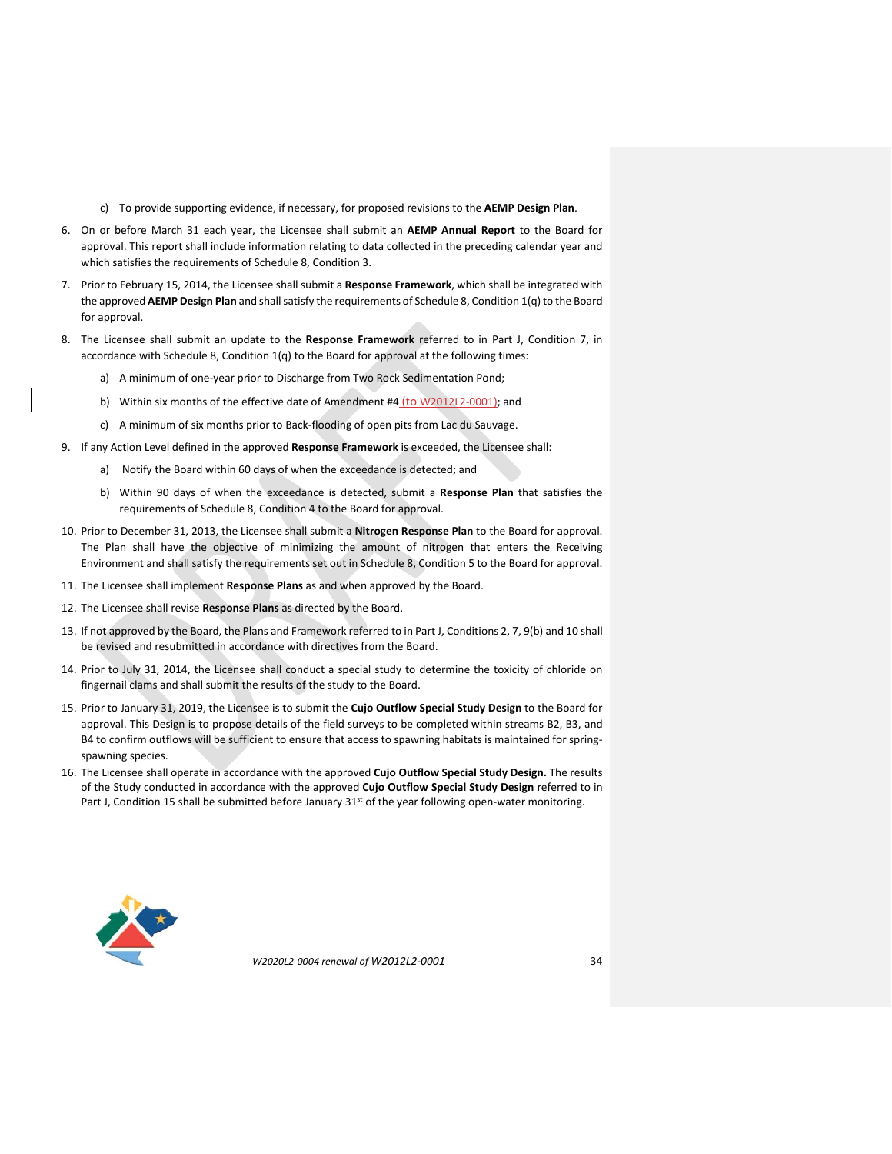- c) To provide supporting evidence, if necessary, for proposed revisions to the **AEMP Design Plan**.
- 6. On or before March 31 each year, the Licensee shall submit an **AEMP Annual Report** to the Board for approval. This report shall include information relating to data collected in the preceding calendar year and which satisfies the requirements of Schedule 8, Condition 3.
- 7. Prior to February 15, 2014, the Licensee shall submit a **Response Framework**, which shall be integrated with the approved **AEMP Design Plan** and shall satisfy the requirements of Schedule 8, Condition 1(q) to the Board for approval.
- 8. The Licensee shall submit an update to the **Response Framework** referred to in Part J, Condition 7, in accordance with Schedule 8, Condition 1(q) to the Board for approval at the following times:
	- a) A minimum of one-year prior to Discharge from Two Rock Sedimentation Pond;
	- b) Within six months of the effective date of Amendment #4 (to W2012L2-0001); and
	- c) A minimum of six months prior to Back-flooding of open pits from Lac du Sauvage.
- 9. If any Action Level defined in the approved **Response Framework** is exceeded, the Licensee shall:
	- a) Notify the Board within 60 days of when the exceedance is detected; and
	- b) Within 90 days of when the exceedance is detected, submit a **Response Plan** that satisfies the requirements of Schedule 8, Condition 4 to the Board for approval.
- 10. Prior to December 31, 2013, the Licensee shall submit a **Nitrogen Response Plan** to the Board for approval. The Plan shall have the objective of minimizing the amount of nitrogen that enters the Receiving Environment and shall satisfy the requirements set out in Schedule 8, Condition 5 to the Board for approval.
- 11. The Licensee shall implement **Response Plans** as and when approved by the Board.
- 12. The Licensee shall revise **Response Plans** as directed by the Board.
- 13. If not approved by the Board, the Plans and Framework referred to in Part J, Conditions 2, 7, 9(b) and 10 shall be revised and resubmitted in accordance with directives from the Board.
- 14. Prior to July 31, 2014, the Licensee shall conduct a special study to determine the toxicity of chloride on fingernail clams and shall submit the results of the study to the Board.
- 15. Prior to January 31, 2019, the Licensee is to submit the **Cujo Outflow Special Study Design** to the Board for approval. This Design is to propose details of the field surveys to be completed within streams B2, B3, and B4 to confirm outflows will be sufficient to ensure that access to spawning habitats is maintained for springspawning species.
- 16. The Licensee shall operate in accordance with the approved **Cujo Outflow Special Study Design.** The results of the Study conducted in accordance with the approved **Cujo Outflow Special Study Design** referred to in Part J, Condition 15 shall be submitted before January 31<sup>st</sup> of the year following open-water monitoring.

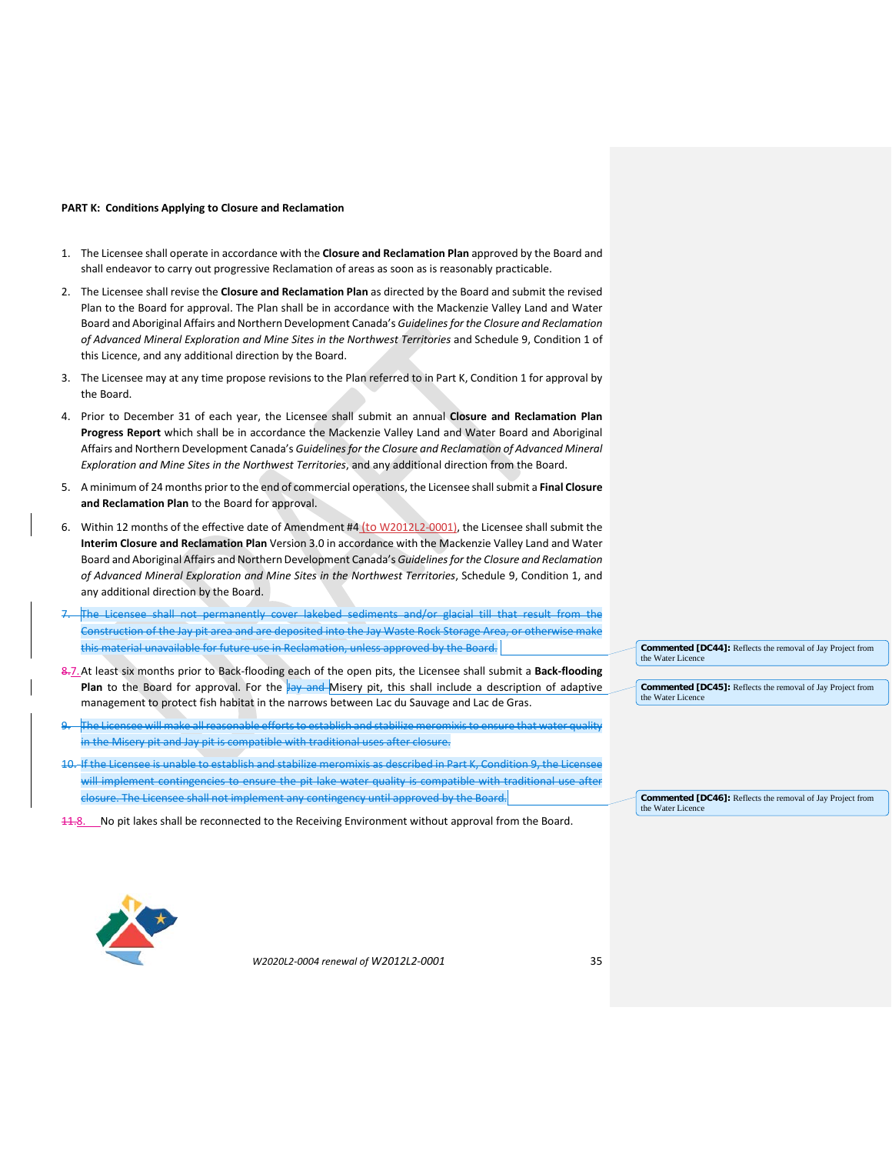#### **PART K: Conditions Applying to Closure and Reclamation**

- 1. The Licensee shall operate in accordance with the **Closure and Reclamation Plan** approved by the Board and shall endeavor to carry out progressive Reclamation of areas as soon as is reasonably practicable.
- 2. The Licensee shall revise the **Closure and Reclamation Plan** as directed by the Board and submit the revised Plan to the Board for approval. The Plan shall be in accordance with the Mackenzie Valley Land and Water Board and Aboriginal Affairs and Northern Development Canada's *Guidelines for the Closure and Reclamation of Advanced Mineral Exploration and Mine Sites in the Northwest Territories* and Schedule 9, Condition 1 of this Licence, and any additional direction by the Board.
- 3. The Licensee may at any time propose revisions to the Plan referred to in Part K, Condition 1 for approval by the Board.
- 4. Prior to December 31 of each year, the Licensee shall submit an annual **Closure and Reclamation Plan Progress Report** which shall be in accordance the Mackenzie Valley Land and Water Board and Aboriginal Affairs and Northern Development Canada's *Guidelines for the Closure and Reclamation of Advanced Mineral Exploration and Mine Sites in the Northwest Territories*, and any additional direction from the Board.
- 5. A minimum of 24 months prior to the end of commercial operations, the Licensee shall submit a **Final Closure and Reclamation Plan** to the Board for approval.
- 6. Within 12 months of the effective date of Amendment #4 (to W2012L2-0001), the Licensee shall submit the **Interim Closure and Reclamation Plan** Version 3.0 in accordance with the Mackenzie Valley Land and Water Board and Aboriginal Affairs and Northern Development Canada's *Guidelines for the Closure and Reclamation of Advanced Mineral Exploration and Mine Sites in the Northwest Territories*, Schedule 9, Condition 1, and any additional direction by the Board.
- 7. The Licensee shall not permanently cover lakebed sediments and/or glacial till that result from the Construction of the Jay pit area and are deposited into the Jay Waste Rock Storage Area, or otherwise make this material unavailable for future use in Reclamation, unless approved by the Board.
- 8.7.At least six months prior to Back-flooding each of the open pits, the Licensee shall submit a **Back-flooding Plan** to the Board for approval. For the lay and Misery pit, this shall include a description of adaptive management to protect fish habitat in the narrows between Lac du Sauvage and Lac de Gras.
- 9. The Licensee will make all reasonable efforts to establish and stabilize meromixis to ensure that water quality in the Misery pit and Jay pit is compatible with traditional uses after closure.
- 10. If the Licensee is unable to establish and stabilize meromixis as described in Part K, Condition 9, the Licensee will implement contingencies to ensure the pit lake water quality is compatible with traditional use after closure. The Licensee shall not implement any contingency until approved by the Board.
- 11.8. No pit lakes shall be reconnected to the Receiving Environment without approval from the Board.

**Commented [DC44]:** Reflects the removal of Jay Project from the Water Licence

**Commented [DC45]:** Reflects the removal of Jay Project from the Water Licenc

**Commented [DC46]:** Reflects the removal of Jay Project from the Water Licence

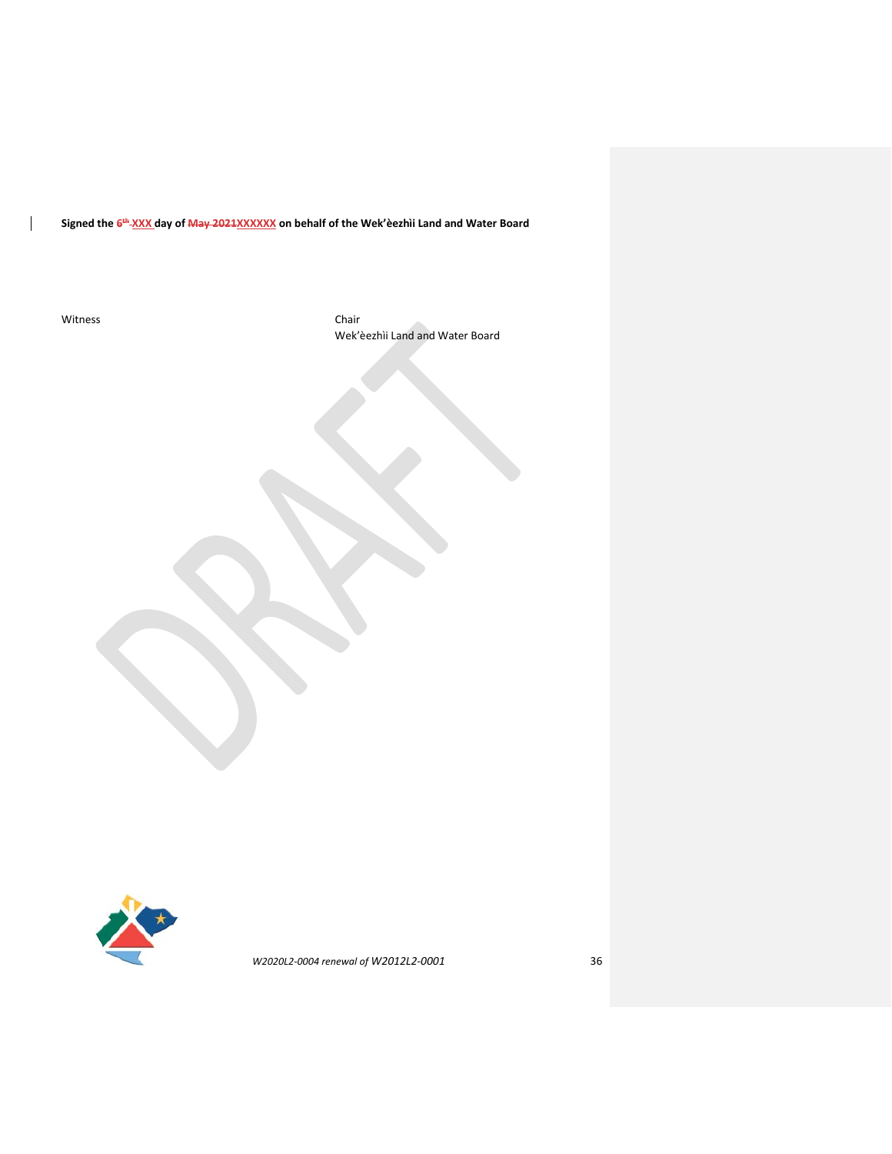**Signed the 6th XXX day of May 2021XXXXXX on behalf of the Wek'èezhìi Land and Water Board**

Witness Chair

 $\mathsf{l}$ 

Wek'èezhìi Land and Water Board

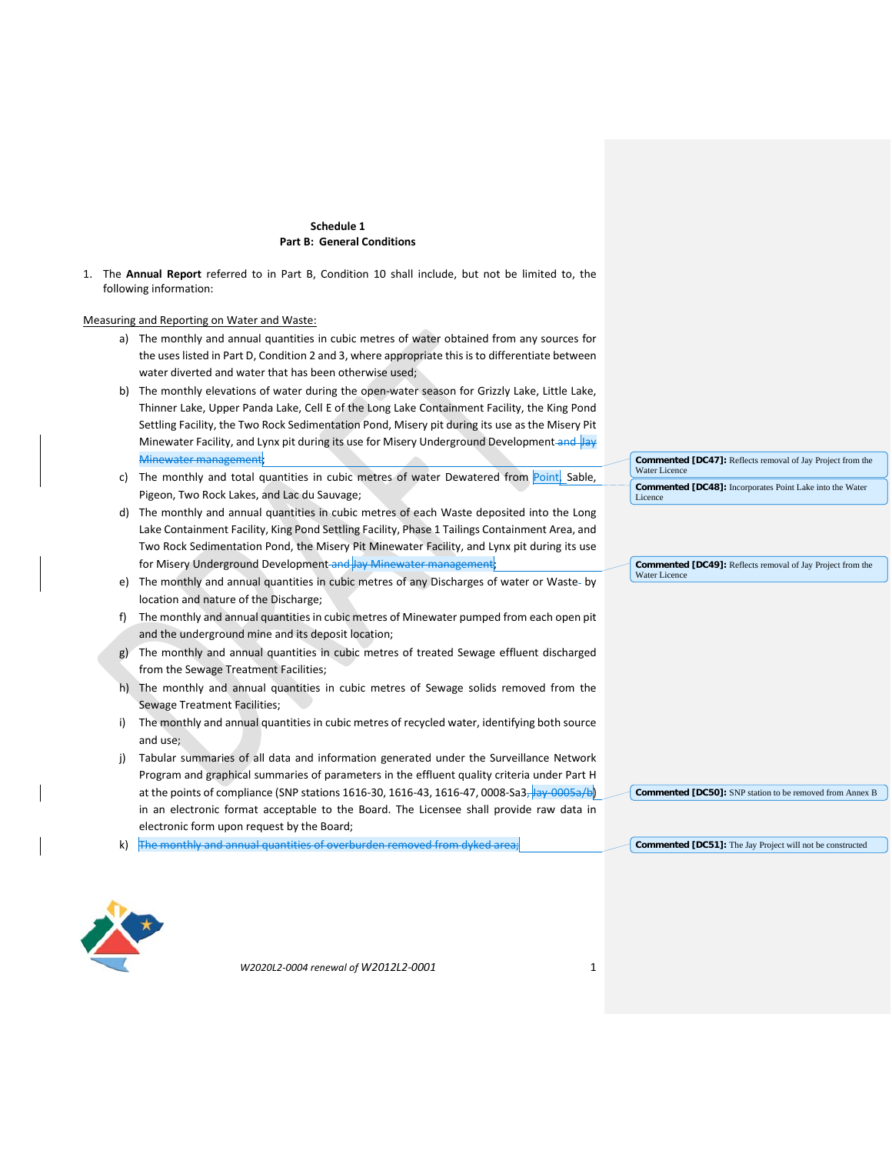## **Schedule 1 Part B: General Conditions**

1. The **Annual Report** referred to in Part B, Condition 10 shall include, but not be limited to, the following information:

Measuring and Reporting on Water and Waste:

- a) The monthly and annual quantities in cubic metres of water obtained from any sources for the uses listed in Part D, Condition 2 and 3, where appropriate this is to differentiate between water diverted and water that has been otherwise used;
- b) The monthly elevations of water during the open-water season for Grizzly Lake, Little Lake, Thinner Lake, Upper Panda Lake, Cell E of the Long Lake Containment Facility, the King Pond Settling Facility, the Two Rock Sedimentation Pond, Misery pit during its use as the Misery Pit Minewater Facility, and Lynx pit during its use for Misery Underground Development and Jay Minewater management;
- c) The monthly and total quantities in cubic metres of water Dewatered from Point, Sable, Pigeon, Two Rock Lakes, and Lac du Sauvage;
- d) The monthly and annual quantities in cubic metres of each Waste deposited into the Long Lake Containment Facility, King Pond Settling Facility, Phase 1 Tailings Containment Area, and Two Rock Sedimentation Pond, the Misery Pit Minewater Facility, and Lynx pit during its use for Misery Underground Development and Jay Minewater management;
- e) The monthly and annual quantities in cubic metres of any Discharges of water or Waste by location and nature of the Discharge;
- f) The monthly and annual quantities in cubic metres of Minewater pumped from each open pit and the underground mine and its deposit location;
- g) The monthly and annual quantities in cubic metres of treated Sewage effluent discharged from the Sewage Treatment Facilities;
- h) The monthly and annual quantities in cubic metres of Sewage solids removed from the Sewage Treatment Facilities;
- i) The monthly and annual quantities in cubic metres of recycled water, identifying both source and use;
- j) Tabular summaries of all data and information generated under the Surveillance Network Program and graphical summaries of parameters in the effluent quality criteria under Part H at the points of compliance (SNP stations 1616-30, 1616-43, 1616-47, 0008-Sa3, Jay-0005a/b) in an electronic format acceptable to the Board. The Licensee shall provide raw data in electronic form upon request by the Board;
- k) The monthly and annual quantities of overburden removed from dyked area;

**Commented [DC47]:** Reflects removal of Jay Project from the Water Licence **Commented [DC48]:** Incorporates Point Lake into the Water Licence

**Commented [DC49]:** Reflects removal of Jay Project from the Water Licence

**Commented [DC50]:** SNP station to be removed from Annex B

**Commented [DC51]:** The Jay Project will not be constructed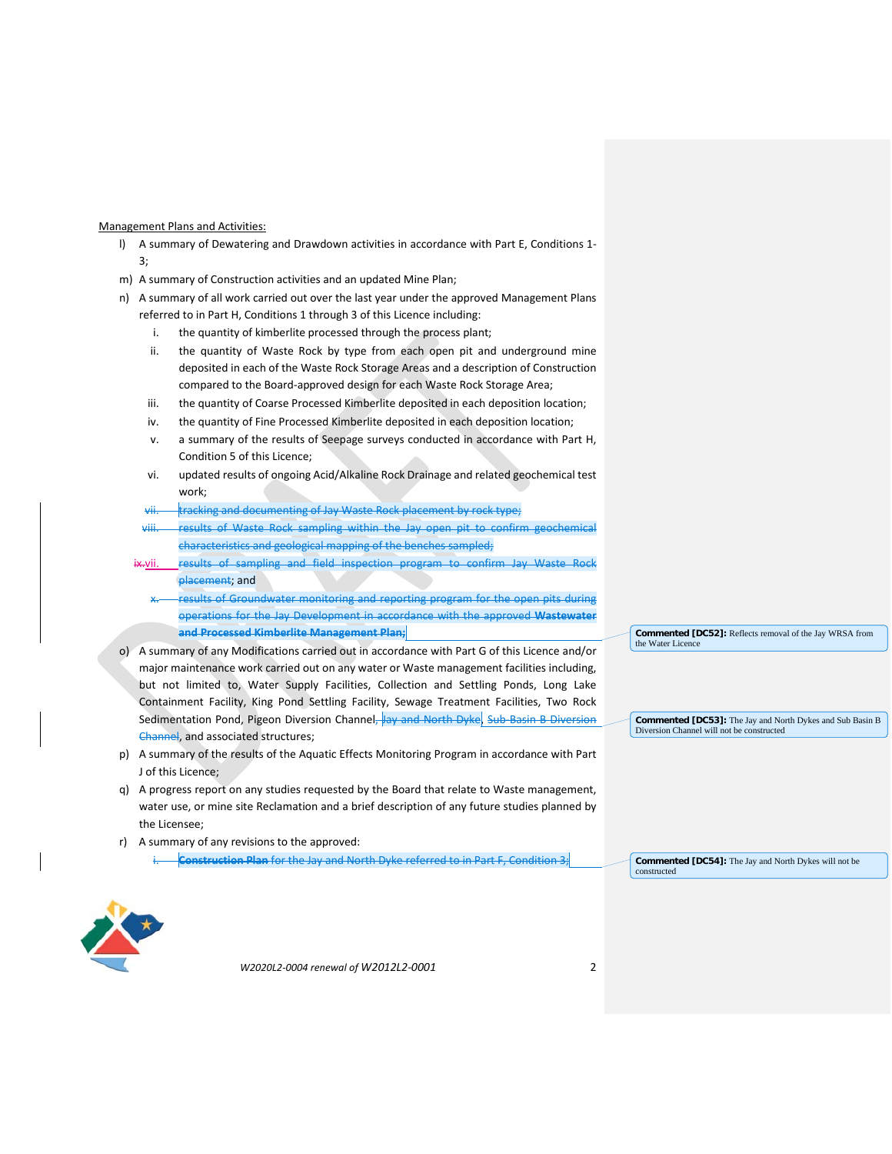### Management Plans and Activities:

- l) A summary of Dewatering and Drawdown activities in accordance with Part E, Conditions 1- 3;
- m) A summary of Construction activities and an updated Mine Plan;
- n) A summary of all work carried out over the last year under the approved Management Plans referred to in Part H, Conditions 1 through 3 of this Licence including:
	- i. the quantity of kimberlite processed through the process plant;
	- ii. the quantity of Waste Rock by type from each open pit and underground mine deposited in each of the Waste Rock Storage Areas and a description of Construction compared to the Board-approved design for each Waste Rock Storage Area;
	- iii. the quantity of Coarse Processed Kimberlite deposited in each deposition location;
	- iv. the quantity of Fine Processed Kimberlite deposited in each deposition location;
	- v. a summary of the results of Seepage surveys conducted in accordance with Part H, Condition 5 of this Licence;
	- vi. updated results of ongoing Acid/Alkaline Rock Drainage and related geochemical test work;
	- vii. tracking and documenting of Jay Waste Rock placement by rock type;
	- viii. results of Waste Rock sampling within the Jay open pit to confirm geochemical characteristics and geological mapping of the benches sampled;
	- ix-vii. results of sampling and field inspection program to confirm Jay Waste Rock placement; and
		- results of Groundwater monitoring and reporting program for the open pits during operations for the Jay Development in accordance with the approved **Wastewater and Processed Kimberlite Management Plan;**
- o) A summary of any Modifications carried out in accordance with Part G of this Licence and/or major maintenance work carried out on any water or Waste management facilities including, but not limited to, Water Supply Facilities, Collection and Settling Ponds, Long Lake Containment Facility, King Pond Settling Facility, Sewage Treatment Facilities, Two Rock Sedimentation Pond, Pigeon Diversion Channel, Jay and North Dyke, Sub-Basin B Diversion Channel, and associated structures;
- p) A summary of the results of the Aquatic Effects Monitoring Program in accordance with Part J of this Licence;
- q) A progress report on any studies requested by the Board that relate to Waste management, water use, or mine site Reclamation and a brief description of any future studies planned by the Licensee;
- r) A summary of any revisions to the approved:
	- i. **Construction Plan** for the Jay and North Dyke referred to in Part F, Condition 3;

**Commented [DC52]:** Reflects removal of the Jay WRSA from the Water Licene

**Commented [DC53]:** The Jay and North Dykes and Sub Basin B Diversion Channel will not be constructed

**Commented [DC54]:** The Jay and North Dykes will not be constructed

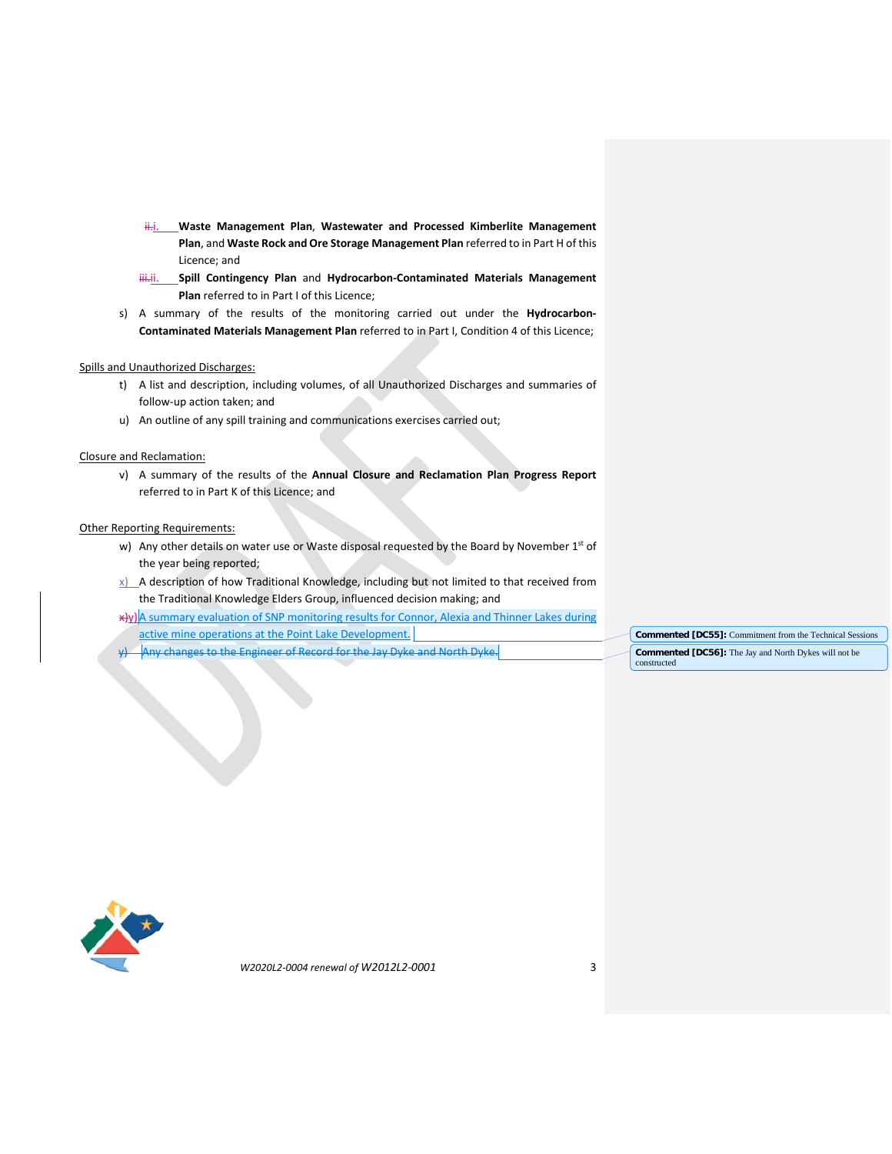- ii.i. **Waste Management Plan**, **Wastewater and Processed Kimberlite Management Plan**, and **Waste Rock and Ore Storage Management Plan** referred to in Part H of this Licence; and
- **iii.** Spill Contingency Plan and Hydrocarbon-Contaminated Materials Management **Plan** referred to in Part I of this Licence;
- s) A summary of the results of the monitoring carried out under the **Hydrocarbon-Contaminated Materials Management Plan** referred to in Part I, Condition 4 of this Licence;

#### Spills and Unauthorized Discharges:

- t) A list and description, including volumes, of all Unauthorized Discharges and summaries of follow-up action taken; and
- u) An outline of any spill training and communications exercises carried out;

### Closure and Reclamation:

v) A summary of the results of the **Annual Closure and Reclamation Plan Progress Report** referred to in Part K of this Licence; and

## **Other Reporting Requirements:**

- w) Any other details on water use or Waste disposal requested by the Board by November 1st of the year being reported;
- $x$ ) A description of how Traditional Knowledge, including but not limited to that received from the Traditional Knowledge Elders Group, influenced decision making; and
- x)y)A summary evaluation of SNP monitoring results for Connor, Alexia and Thinner Lakes during active mine operations at the Point Lake Development.
- y) Any changes to the Engineer of Record for the Jay Dyke and North Dyke.

**Commented [DC55]:** Commitment from the Technical Sessions **Commented [DC56]:** The Jay and North Dykes will not be constructed

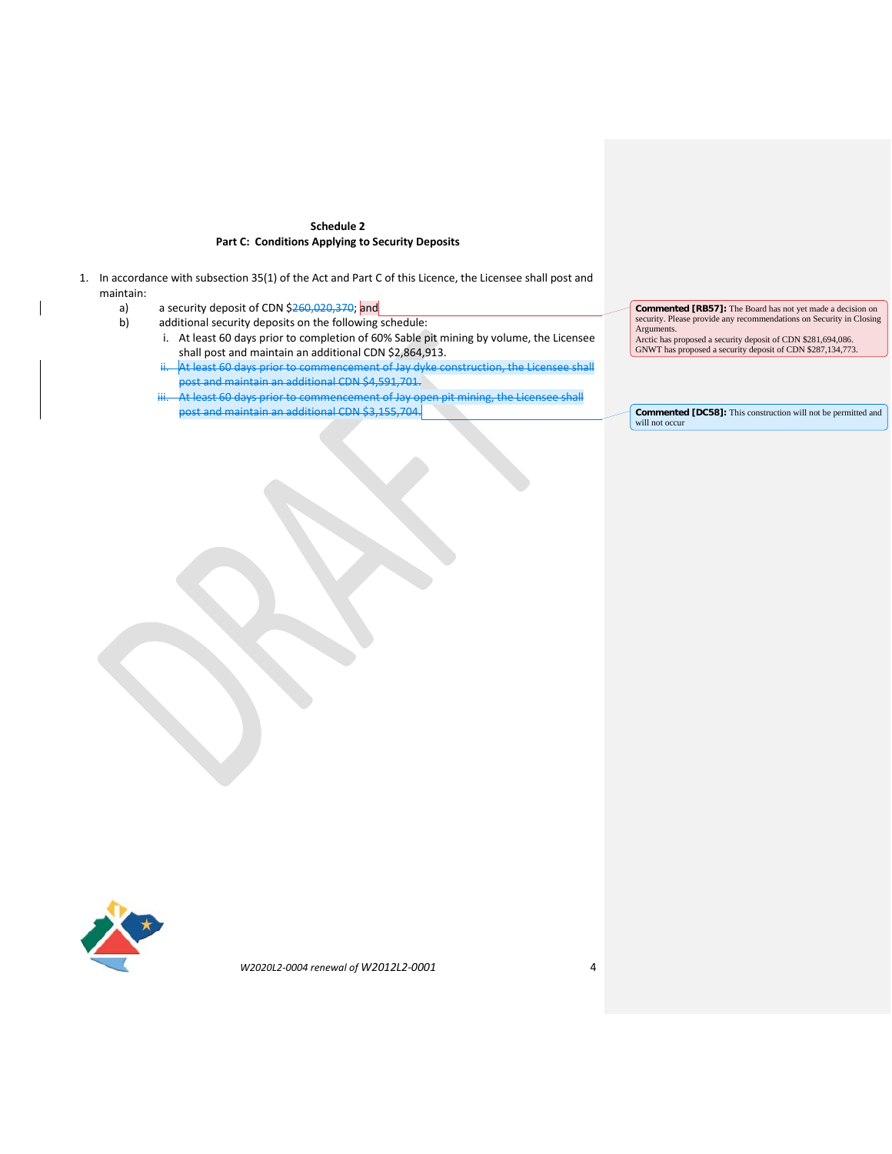## **Schedule 2 Part C: Conditions Applying to Security Deposits**

- 1. In accordance with subsection 35(1) of the Act and Part C of this Licence, the Licensee shall post and maintain:
	- a) a security deposit of CDN  $$260,020,370$ ; and b) additional security deposits on the following
		- additional security deposits on the following schedule:
			- i. At least 60 days prior to completion of 60% Sable pit mining by volume, the Licensee shall post and maintain an additional CDN \$2,864,913.
			- At least 60 days prior to commencement of Jay dyke construction, the Licensee shall .<br>post and maintain an additional CDN \$4,591,701.
			- At least 60 days prior to commencement of Jay open pit mining, the Licensee shall post and maintain an additional CDN \$3,155,704.

**Commented [RB57]:** The Board has not yet made a decision on security. Please provide any recommendations on Security in Closing Arguments. Arctic has proposed a security deposit of CDN \$281,694,086. GNWT has proposed a security deposit of CDN \$287,134,773.

**Commented [DC58]:** This construction will not be permitted and will not occur

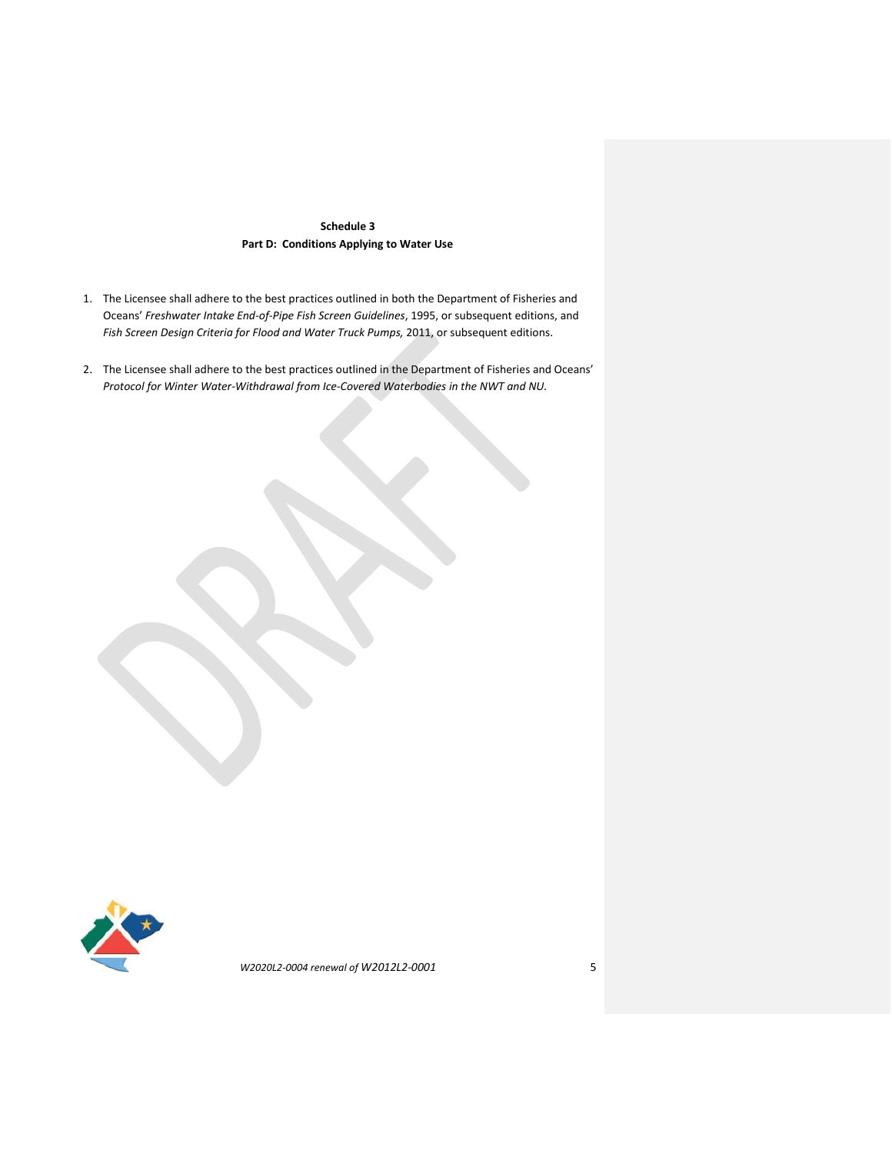# **Schedule 3 Part D: Conditions Applying to Water Use**

- 1. The Licensee shall adhere to the best practices outlined in both the Department of Fisheries and Oceans' *Freshwater Intake End-of-Pipe Fish Screen Guidelines*, 1995, or subsequent editions, and *Fish Screen Design Criteria for Flood and Water Truck Pumps,* 2011, or subsequent editions.
- 2. The Licensee shall adhere to the best practices outlined in the Department of Fisheries and Oceans' *Protocol for Winter Water-Withdrawal from Ice-Covered Waterbodies in the NWT and NU.*

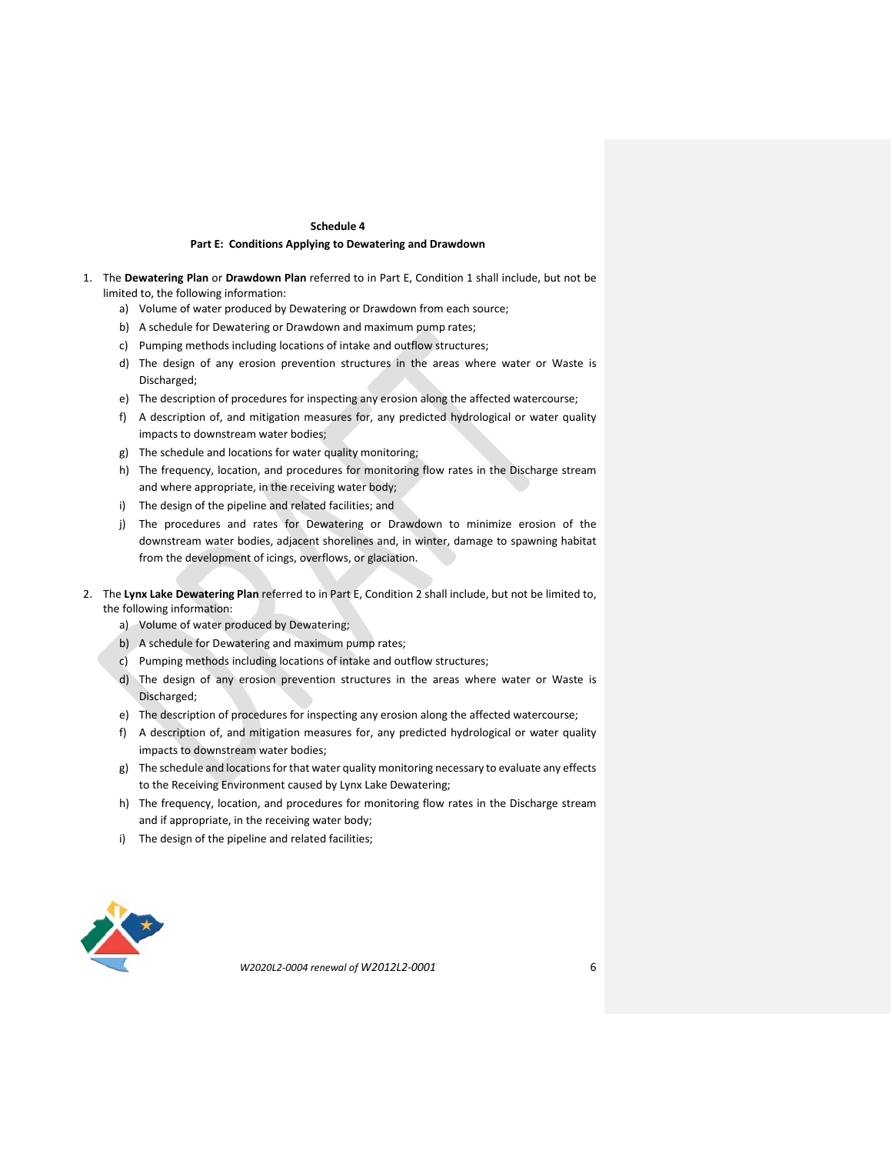#### **Schedule 4**

### **Part E: Conditions Applying to Dewatering and Drawdown**

- 1. The **Dewatering Plan** or **Drawdown Plan** referred to in Part E, Condition 1 shall include, but not be limited to, the following information:
	- a) Volume of water produced by Dewatering or Drawdown from each source;
	- b) A schedule for Dewatering or Drawdown and maximum pump rates;
	- c) Pumping methods including locations of intake and outflow structures;
	- d) The design of any erosion prevention structures in the areas where water or Waste is Discharged;
	- e) The description of procedures for inspecting any erosion along the affected watercourse;
	- f) A description of, and mitigation measures for, any predicted hydrological or water quality impacts to downstream water bodies;
	- g) The schedule and locations for water quality monitoring;
	- h) The frequency, location, and procedures for monitoring flow rates in the Discharge stream and where appropriate, in the receiving water body;
	- i) The design of the pipeline and related facilities; and
	- j) The procedures and rates for Dewatering or Drawdown to minimize erosion of the downstream water bodies, adjacent shorelines and, in winter, damage to spawning habitat from the development of icings, overflows, or glaciation.
- 2. The **Lynx Lake Dewatering Plan** referred to in Part E, Condition 2 shall include, but not be limited to, the following information:
	- a) Volume of water produced by Dewatering;
	- b) A schedule for Dewatering and maximum pump rates;
	- c) Pumping methods including locations of intake and outflow structures;
	- d) The design of any erosion prevention structures in the areas where water or Waste is Discharged;
	- e) The description of procedures for inspecting any erosion along the affected watercourse;
	- f) A description of, and mitigation measures for, any predicted hydrological or water quality impacts to downstream water bodies;
	- g) The schedule and locations for that water quality monitoring necessary to evaluate any effects to the Receiving Environment caused by Lynx Lake Dewatering;
	- h) The frequency, location, and procedures for monitoring flow rates in the Discharge stream and if appropriate, in the receiving water body;
	- i) The design of the pipeline and related facilities;

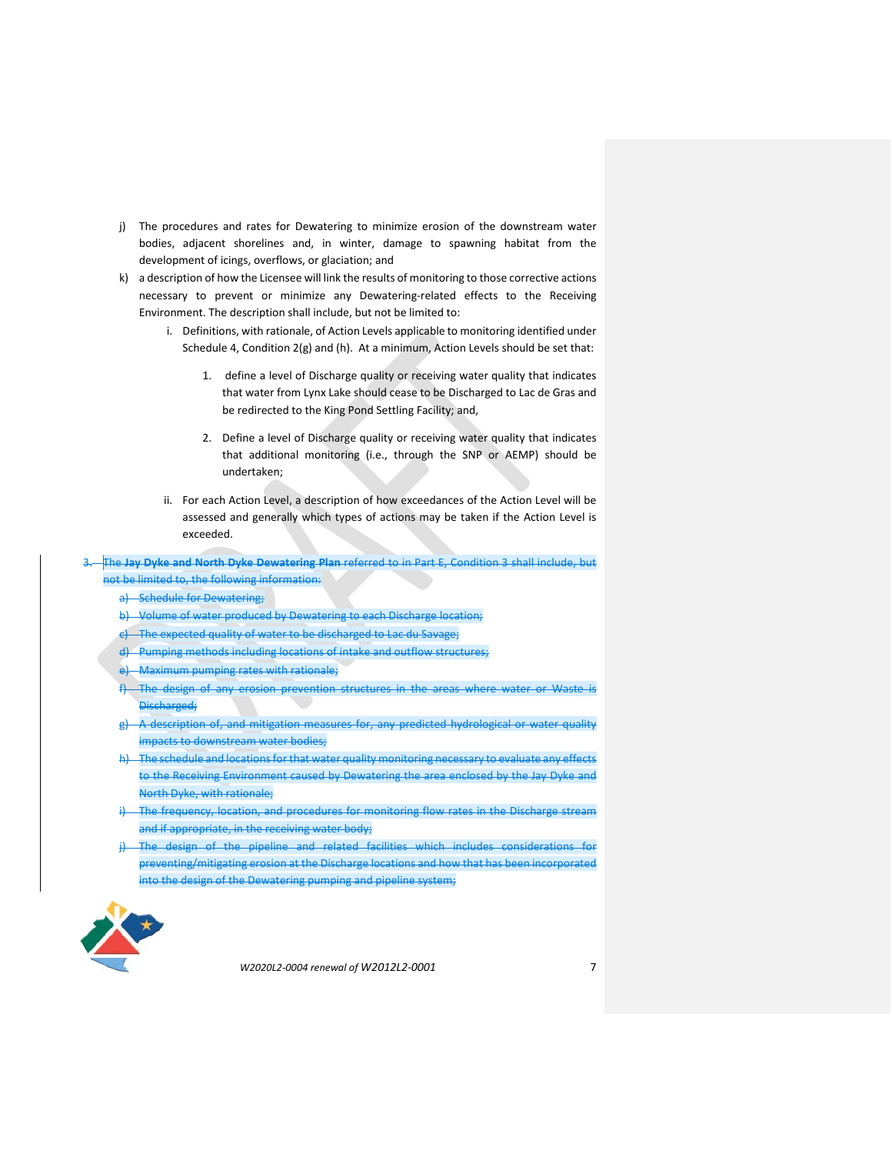- j) The procedures and rates for Dewatering to minimize erosion of the downstream water bodies, adjacent shorelines and, in winter, damage to spawning habitat from the development of icings, overflows, or glaciation; and
- k) a description of how the Licensee will link the results of monitoring to those corrective actions necessary to prevent or minimize any Dewatering-related effects to the Receiving Environment. The description shall include, but not be limited to:
	- i. Definitions, with rationale, of Action Levels applicable to monitoring identified under Schedule 4, Condition 2(g) and (h). At a minimum, Action Levels should be set that:
		- 1. define a level of Discharge quality or receiving water quality that indicates that water from Lynx Lake should cease to be Discharged to Lac de Gras and be redirected to the King Pond Settling Facility; and,
		- 2. Define a level of Discharge quality or receiving water quality that indicates that additional monitoring (i.e., through the SNP or AEMP) should be undertaken;
	- ii. For each Action Level, a description of how exceedances of the Action Level will be assessed and generally which types of actions may be taken if the Action Level is exceeded.
- 3. The **Jay Dyke and North Dyke Dewatering Plan** referred to in Part E, Condition 3 shall include, but not be limited to, the following information:
	- a) Schedule for Dewatering;
	- b) Volume of water produced by Dewatering to each Discharge location;
	- c) The expected quality of water to be discharged to Lac du Savage;
	- d) Pumping methods including locations of intake and outflow structures;
	- e) Maximum pumping rates with rationale;
	- -The design of any erosion prevention structures in the areas where water or Waste is Discharged;
	- g) A description of, and mitigation measures for, any predicted hydrological or water quality impacts to downstream water bodies;
	- h) The schedule and locations for that water quality monitoring necessary to evaluate any effects to the Receiving Environment caused by Dewatering the area enclosed by the Jay Dyke and North Dyke, with rationale;
	- The frequency, location, and procedures for monitoring flow rates in the Discharge stream and if appropriate, in the receiving water body;
	- j) The design of the pipeline and related facilities which includes considerations for preventing/mitigating erosion at the Discharge locations and how that has been incorporated into the design of the Dewatering pumping and pipeline system;

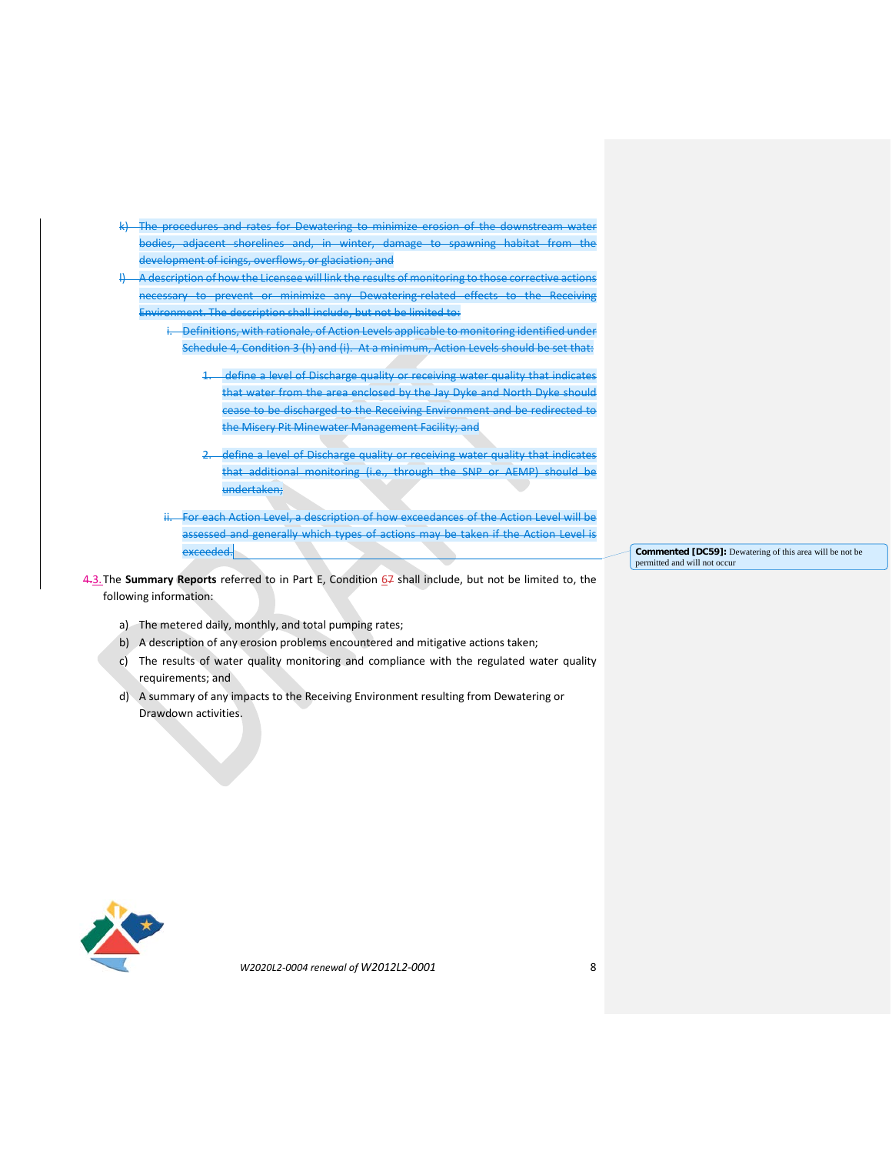- k) The procedures and rates for Dewatering to minimize erosion of the downstream water bodies, adjacent shorelines and, in winter, damage to spawning habitat from the development of icings, overflows, or glaciation; and
- l) A description of how the Licensee will link the results of monitoring to those corrective actions necessary to prevent or minimize any Dewatering-related effects to the Receiving Environment. The description shall include, but not be limited to:
	- i. Definitions, with rationale, of Action Levels applicable to monitoring identified under Schedule 4, Condition 3 (h) and (i). At a minimum, Action Levels should be set that:
		- 1. define a level of Discharge quality or receiving water quality that indicates that water from the area enclosed by the Jay Dyke and North Dyke should cease to be discharged to the Receiving Environment and be redirected to the Misery Pit Minewater Management Facility; and
		- 2. define a level of Discharge quality or receiving water quality that indicates that additional monitoring (i.e., through the SNP or AEMP) should be undertaken;
	- For each Action Level, a description of how exceedances of the Action Level will be assessed and generally which types of actions may be taken if the Action Level is exceeded.
- 4.3.The **Summary Reports** referred to in Part E, Condition 67 shall include, but not be limited to, the following information:
	- a) The metered daily, monthly, and total pumping rates;
	- b) A description of any erosion problems encountered and mitigative actions taken;
	- c) The results of water quality monitoring and compliance with the regulated water quality requirements; and
	- d) A summary of any impacts to the Receiving Environment resulting from Dewatering or Drawdown activities.

**Commented [DC59]:** Dewatering of this area will be not be permitted and will not occur

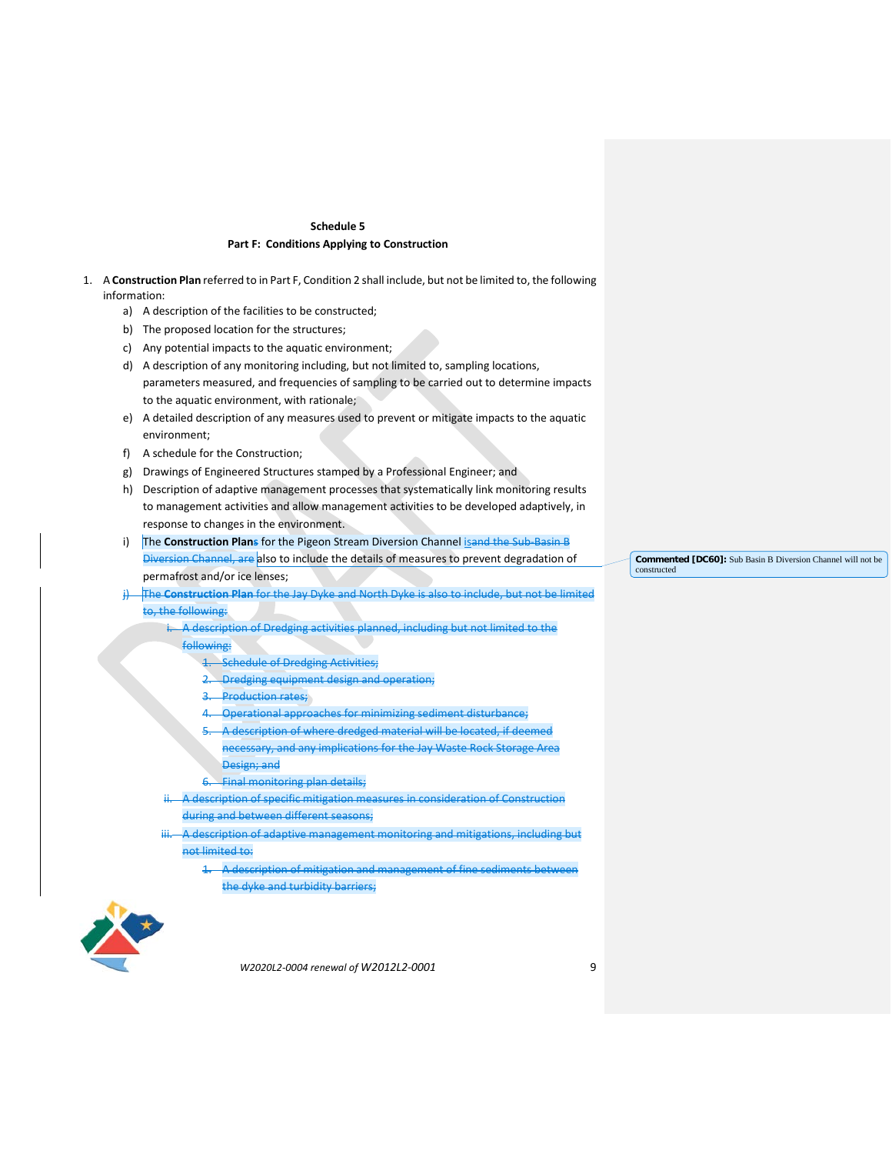## **Schedule 5 Part F: Conditions Applying to Construction**

- 1. A **Construction Plan** referred to in Part F, Condition 2 shall include, but not be limited to, the following information:
	- a) A description of the facilities to be constructed;
	- b) The proposed location for the structures;
	- c) Any potential impacts to the aquatic environment;
	- d) A description of any monitoring including, but not limited to, sampling locations, parameters measured, and frequencies of sampling to be carried out to determine impacts to the aquatic environment, with rationale;
	- e) A detailed description of any measures used to prevent or mitigate impacts to the aquatic environment;
	- f) A schedule for the Construction;
	- g) Drawings of Engineered Structures stamped by a Professional Engineer; and
	- h) Description of adaptive management processes that systematically link monitoring results to management activities and allow management activities to be developed adaptively, in response to changes in the environment.
	- i) The **Construction Plans** for the Pigeon Stream Diversion Channel isand the Sub-Basin B Diversion Channel, are also to include the details of measures to prevent degradation of permafrost and/or ice lenses;

j) The **Construction Plan** for the Jay Dyke and North Dyke is also to include, but not be limited to, the following:

- i. A description of Dredging activities planned, including but not limited to the following:
	- 1. Schedule of Dredging Activities;
	- 2. Dredging equipment design and operation;
	- **Production rates;**
	- 4. Operational approaches for minimizing sediment disturbance;
	- 5. A description of where dredged material will be located, if deemed necessary, and any implications for the Jay Waste Rock Storage Area
		- Design; and
	- 6. Final monitoring plan details;
- A description of specific mitigation measures in consideration of Construction during and between different seasons;
- A description of adaptive management monitoring and mitigations, including but not limited to:
	- 1. A description of mitigation and management of fine sediments between the dyke and turbidity barriers;



*W2020L2-0004 renewal of W2012L2-0001* 9

**Commented [DC60]:** Sub Basin B Diversion Channel will not be constructed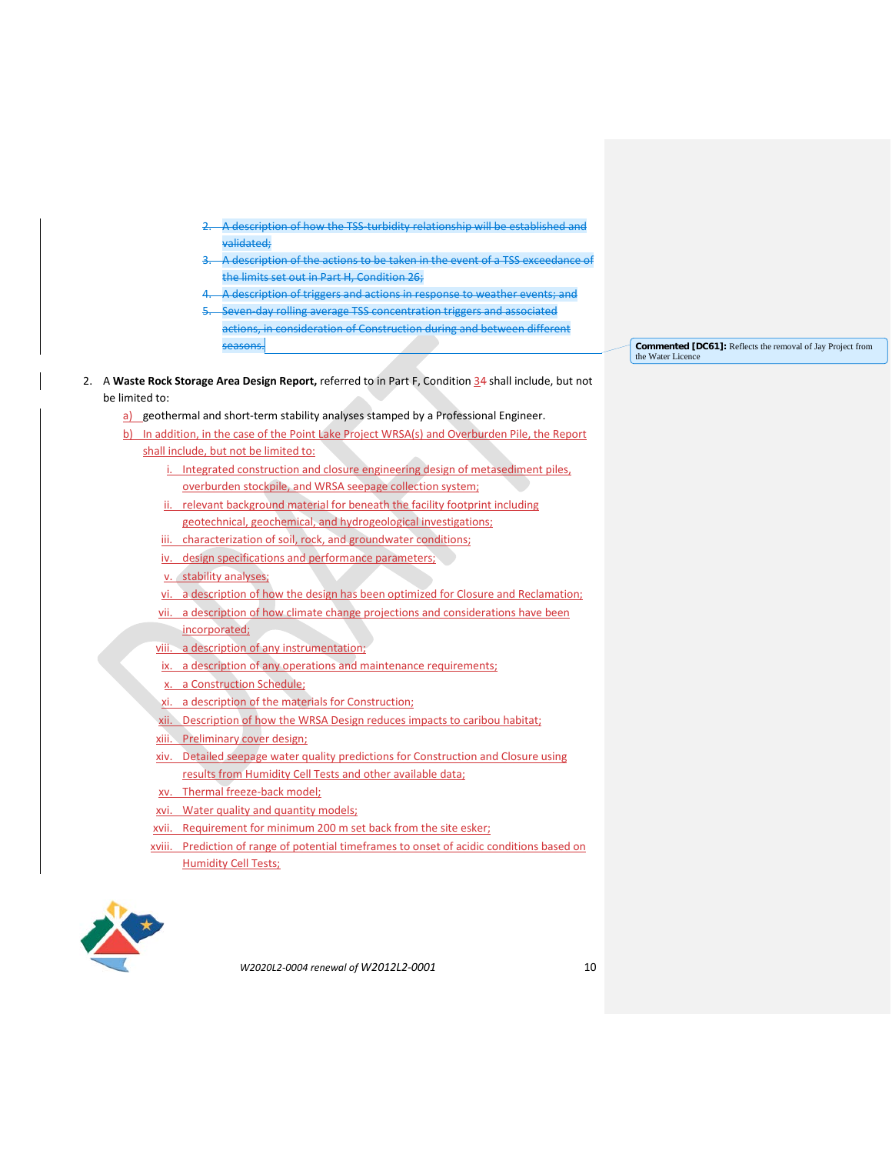- 2. A description of how the TSS-turbidity relationship will be established and validated;
- A description of the actions to be taken in the event of a TSS exceedance of the limits set out in Part H, Condition 26;
- A description of triggers and actions in response to weather events; and
- 5. Seven-day rolling average TSS concentration triggers and associated actions, in consideration of Construction during and between different seasons.

**Commented [DC61]:** Reflects the removal of Jay Project from the Water Licence

- 2. A **Waste Rock Storage Area Design Report,** referred to in Part F, Condition 34 shall include, but not be limited to:
	- a) geothermal and short-term stability analyses stamped by a Professional Engineer.
	- b) In addition, in the case of the Point Lake Project WRSA(s) and Overburden Pile, the Report shall include, but not be limited to:
		- i. Integrated construction and closure engineering design of metasediment piles, overburden stockpile, and WRSA seepage collection system;
		- ii. relevant background material for beneath the facility footprint including geotechnical, geochemical, and hydrogeological investigations;
		- iii. characterization of soil, rock, and groundwater conditions;
		- iv. design specifications and performance parameters;
		- v. stability analyses;
		- vi. a description of how the design has been optimized for Closure and Reclamation;
		- vii. a description of how climate change projections and considerations have been incorporated;
		- viii. a description of any instrumentation;
		- ix. a description of any operations and maintenance requirements;
		- x. a Construction Schedule;
		- xi. a description of the materials for Construction;
		- xii. Description of how the WRSA Design reduces impacts to caribou habitat;
		- xiii. Preliminary cover design;
		- xiv. Detailed seepage water quality predictions for Construction and Closure using results from Humidity Cell Tests and other available data;
		- xv. Thermal freeze-back model;
		- xvi. Water quality and quantity models;
		- xvii. Requirement for minimum 200 m set back from the site esker;
		- xviii. Prediction of range of potential timeframes to onset of acidic conditions based on Humidity Cell Tests;

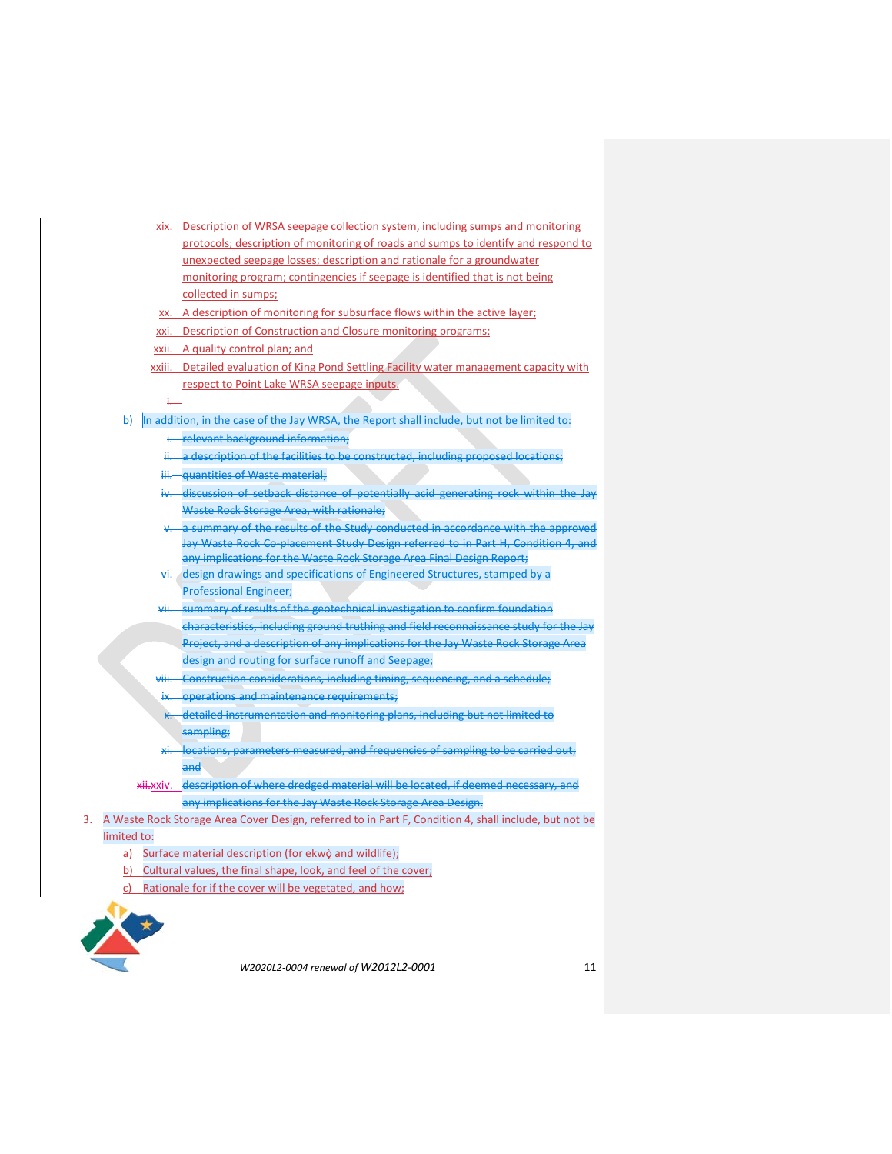- xix. Description of WRSA seepage collection system, including sumps and monitoring protocols; description of monitoring of roads and sumps to identify and respond to unexpected seepage losses; description and rationale for a groundwater monitoring program; contingencies if seepage is identified that is not being collected in sumps;
- xx. A description of monitoring for subsurface flows within the active layer;
- xxi. Description of Construction and Closure monitoring programs;
- xxii. A quality control plan; and
- xxiii. Detailed evaluation of King Pond Settling Facility water management capacity with respect to Point Lake WRSA seepage inputs.

#### i.

b)  $\frac{1}{2}$  In addition, in the case of the Jay WRSA, the Report shall include, but not be limited to:

- i. relevant background information;
- ii. a description of the facilities to be constructed, including proposed locations;
- iii. **quantities of Waste material**;
- iv. discussion of setback distance of potentially acid generating rock within the Jay Waste Rock Storage Area, with rationale;
- a summary of the results of the Study conducted in accordance with the approved Jay Waste Rock Co-placement Study Design referred to in Part H, Condition 4, and any implications for the Waste Rock Storage Area Final Design Report;
- design drawings and specifications of Engineered Structures, stamped by a Professional Engineer;
- vii. summary of results of the geotechnical investigation to confirm foundation characteristics, including ground truthing and field reconnaissance study for the Jay Project, and a description of any implications for the Jay Waste Rock Storage Area design and routing for surface runoff and Seepage;
- viii. Construction considerations, including timing, sequencing, and a schedule; operations and maintenance requirements;
- x. detailed instrumentation and monitoring plans, including but not limited to sampling;
- locations, parameters measured, and frequencies of sampling to be carried out; and
- xii.xxiv. description of where dredged material will be located, if deemed necessary, and any implications for the Jay Waste Rock Storage Area Design.
- 3. A Waste Rock Storage Area Cover Design, referred to in Part F, Condition 4, shall include, but not be limited to:
	- a) Surface material description (for ekwo and wildlife);
	- b) Cultural values, the final shape, look, and feel of the cover;
	- c) Rationale for if the cover will be vegetated, and how;

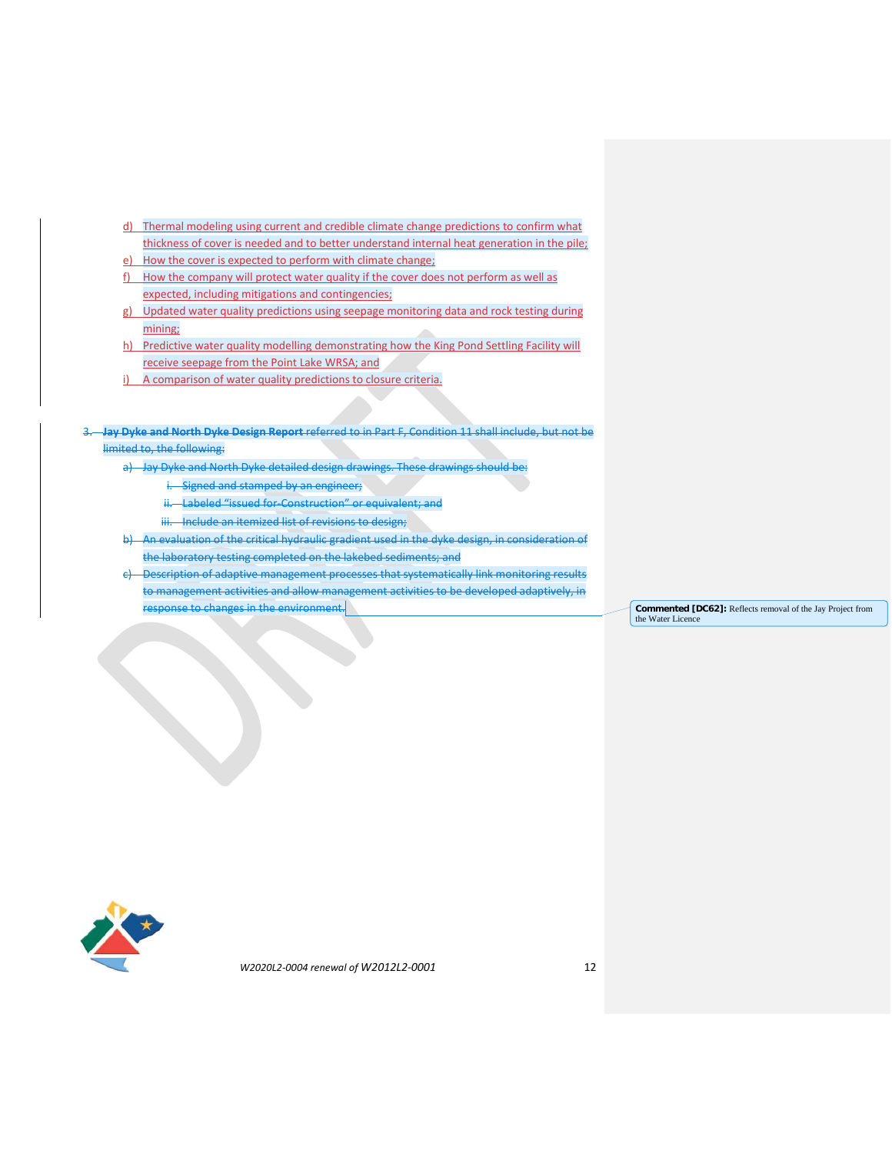- d) Thermal modeling using current and credible climate change predictions to confirm what thickness of cover is needed and to better understand internal heat generation in the pile;
- e) How the cover is expected to perform with climate change;
- f) How the company will protect water quality if the cover does not perform as well as expected, including mitigations and contingencies;
- g) Updated water quality predictions using seepage monitoring data and rock testing during mining;
- h) Predictive water quality modelling demonstrating how the King Pond Settling Facility will receive seepage from the Point Lake WRSA; and
- i) A comparison of water quality predictions to closure criteria.
- 3. **Jay Dyke and North Dyke Design Report** referred to in Part F, Condition 11 shall include, but not be limited to, the following:
	-
	- a) Jay Dyke and North Dyke detailed design drawings. These drawings should be:
		- i. Signed and stamped by an engineer;
		- ii. Labeled "issued for-Construction" or equivalent; and
		- iii. Include an itemized list of revisions to design;
	- b) An evaluation of the critical hydraulic gradient used in the dyke design, in consideration of the laboratory testing completed on the lakebed sediments; and
	- c) Description of adaptive management processes that systematically link monitoring results to management activities and allow management activities to be developed adaptively, in **Fesponse to changes in the environment. Commented [DC62]:** Reflects removal of the Jay Project from

the Water Licence

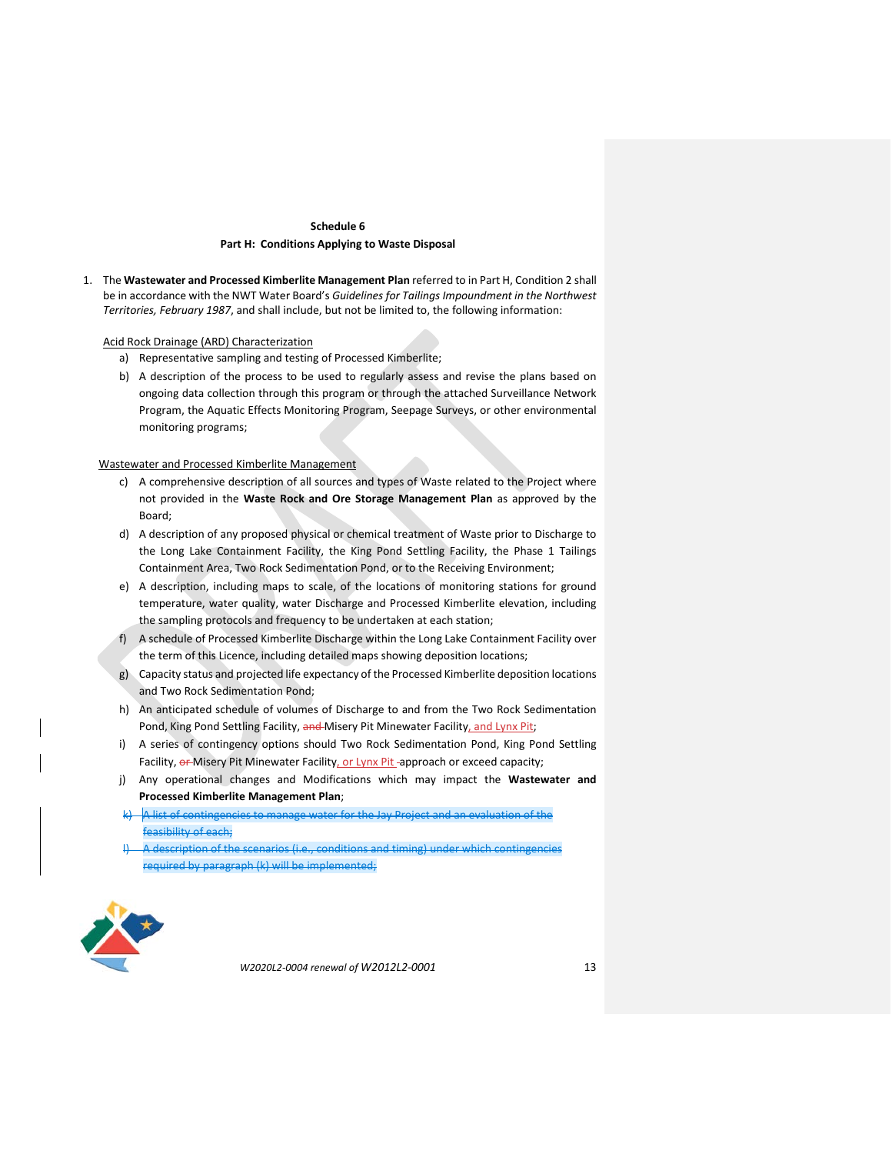## **Schedule 6 Part H: Conditions Applying to Waste Disposal**

1. The **Wastewater and Processed Kimberlite Management Plan** referred to in Part H, Condition 2 shall be in accordance with the NWT Water Board's *Guidelines for Tailings Impoundment in the Northwest Territories, February 1987*, and shall include, but not be limited to, the following information:

Acid Rock Drainage (ARD) Characterization

- a) Representative sampling and testing of Processed Kimberlite;
- b) A description of the process to be used to regularly assess and revise the plans based on ongoing data collection through this program or through the attached Surveillance Network Program, the Aquatic Effects Monitoring Program, Seepage Surveys, or other environmental monitoring programs;

Wastewater and Processed Kimberlite Management

- c) A comprehensive description of all sources and types of Waste related to the Project where not provided in the **Waste Rock and Ore Storage Management Plan** as approved by the Board;
- d) A description of any proposed physical or chemical treatment of Waste prior to Discharge to the Long Lake Containment Facility, the King Pond Settling Facility, the Phase 1 Tailings Containment Area, Two Rock Sedimentation Pond, or to the Receiving Environment;
- e) A description, including maps to scale, of the locations of monitoring stations for ground temperature, water quality, water Discharge and Processed Kimberlite elevation, including the sampling protocols and frequency to be undertaken at each station;
- f) A schedule of Processed Kimberlite Discharge within the Long Lake Containment Facility over the term of this Licence, including detailed maps showing deposition locations;
- g) Capacity status and projected life expectancy of the Processed Kimberlite deposition locations and Two Rock Sedimentation Pond;
- h) An anticipated schedule of volumes of Discharge to and from the Two Rock Sedimentation Pond, King Pond Settling Facility, and Misery Pit Minewater Facility, and Lynx Pit;
- i) A series of contingency options should Two Rock Sedimentation Pond, King Pond Settling Facility, or Misery Pit Minewater Facility, or Lynx Pit-approach or exceed capacity;
- j) Any operational changes and Modifications which may impact the **Wastewater and Processed Kimberlite Management Plan**;
- $k$ ) A list of contingencies to manage water for the Jay Project and an evaluation of the feasibility of each;
- A description of the scenarios (i.e., conditions and timing) under which contingencies required by paragraph (k) will be implemented;

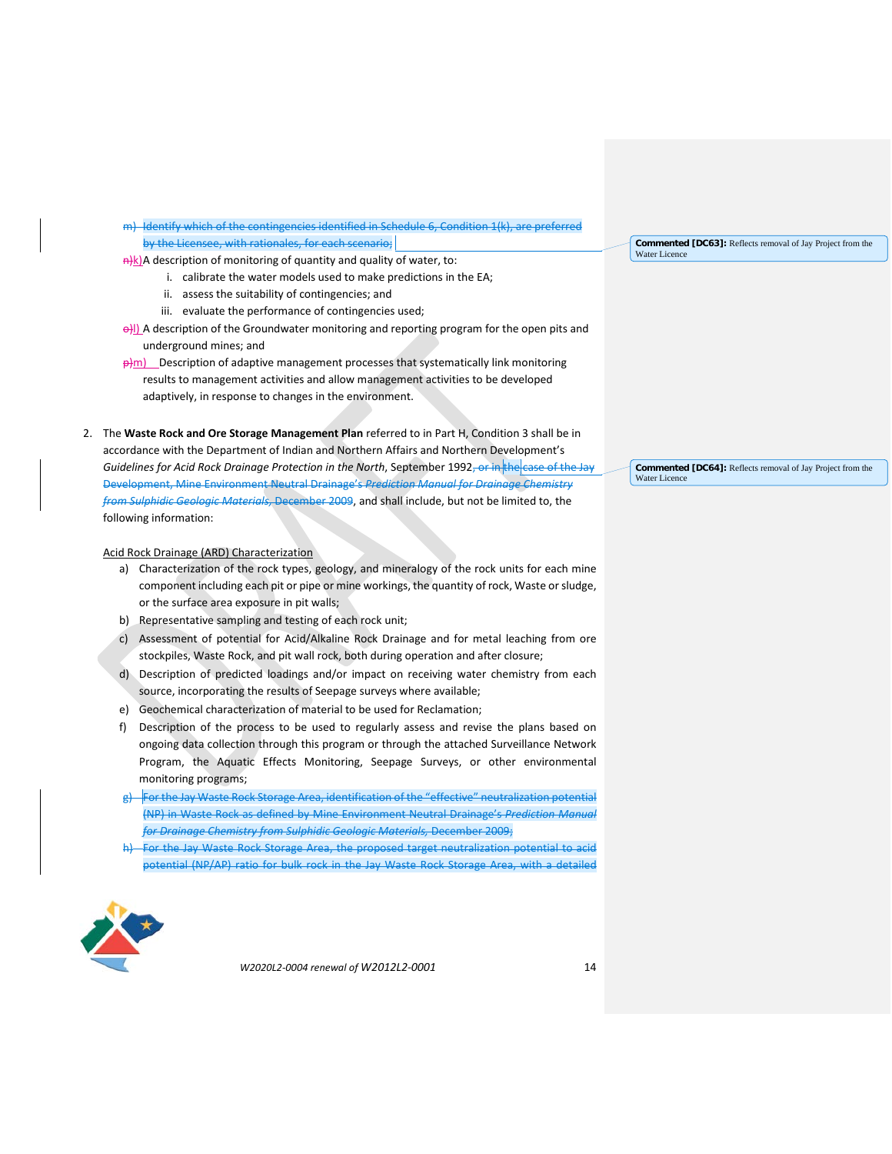m) Identify which of the contingencies identified in Schedule 6, Condition 1(k), are preferred by the Licensee, with rationales, for each scenario;

 $\frac{a}{k}$ A description of monitoring of quantity and quality of water, to:

- i. calibrate the water models used to make predictions in the EA;
- ii. assess the suitability of contingencies; and
- iii. evaluate the performance of contingencies used;
- **o)**] A description of the Groundwater monitoring and reporting program for the open pits and underground mines; and
- $\frac{\rho}{m}$  Description of adaptive management processes that systematically link monitoring results to management activities and allow management activities to be developed adaptively, in response to changes in the environment.

2. The **Waste Rock and Ore Storage Management Plan** referred to in Part H, Condition 3 shall be in accordance with the Department of Indian and Northern Affairs and Northern Development's Guidelines for Acid Rock Drainage Protection in the North, September 1992<del>, or in the case of the Jay</del> Development, Mine Environment Neutral Drainage's *Prediction Manual for Drainage Chemistry from Sulphidic Geologic Materials,* December 2009, and shall include, but not be limited to, the following information:

### Acid Rock Drainage (ARD) Characterization

- a) Characterization of the rock types, geology, and mineralogy of the rock units for each mine component including each pit or pipe or mine workings, the quantity of rock, Waste or sludge, or the surface area exposure in pit walls;
- b) Representative sampling and testing of each rock unit;
- c) Assessment of potential for Acid/Alkaline Rock Drainage and for metal leaching from ore stockpiles, Waste Rock, and pit wall rock, both during operation and after closure;
- d) Description of predicted loadings and/or impact on receiving water chemistry from each source, incorporating the results of Seepage surveys where available;
- e) Geochemical characterization of material to be used for Reclamation;
- f) Description of the process to be used to regularly assess and revise the plans based on ongoing data collection through this program or through the attached Surveillance Network Program, the Aquatic Effects Monitoring, Seepage Surveys, or other environmental monitoring programs;
- g) For the Jay Waste Rock Storage Area, identification of the "effective" neutralization potential (NP) in Waste Rock as defined by Mine Environment Neutral Drainage's *Prediction Manual for Drainage Chemistry from Sulphidic Geologic Materials,* December 2009;
- For the Jay Waste Rock Storage Area, the proposed target neutralization potential to acid potential (NP/AP) ratio for bulk rock in the Jay Waste Rock Storage Area, with a detailed



*W2020L2-0004 renewal of W2012L2-0001* 14

**Commented [DC63]:** Reflects removal of Jay Project from the Water Licence

**Commented [DC64]:** Reflects removal of Jay Project from the Water Licence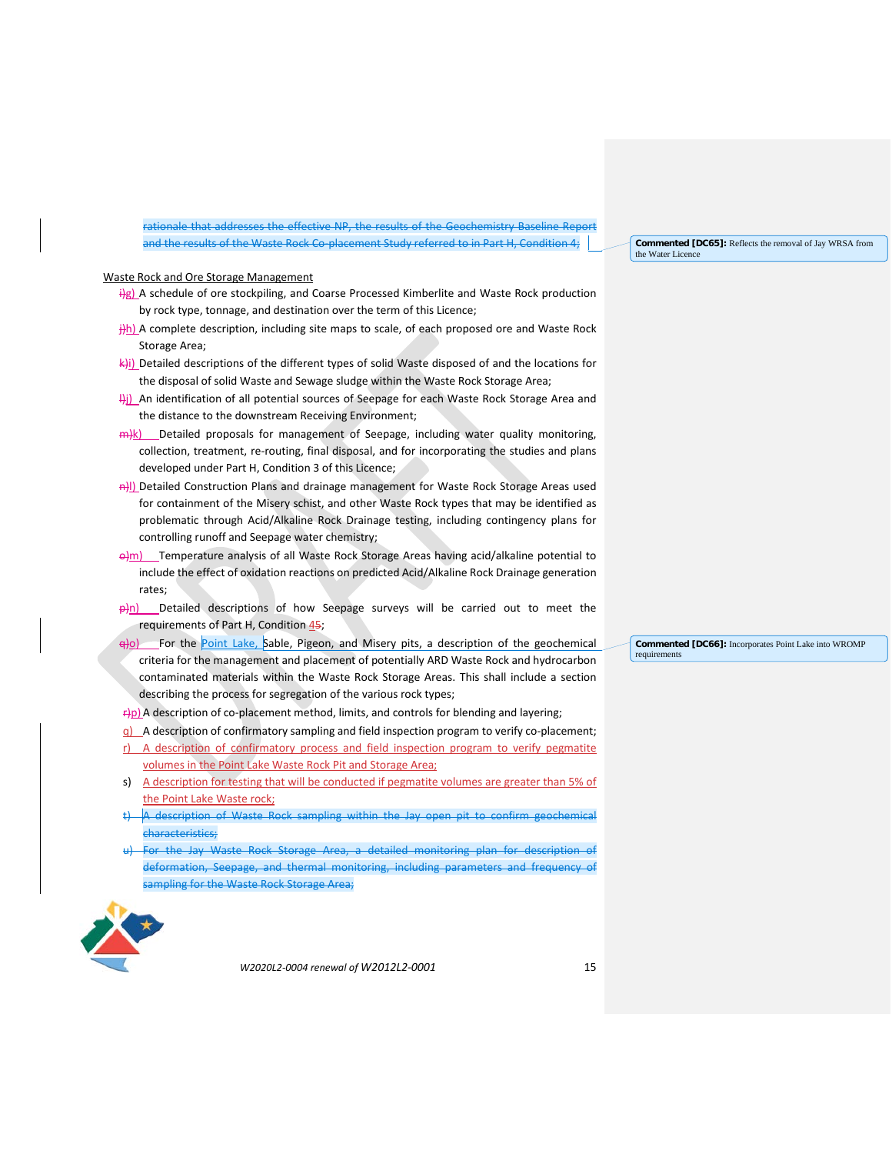rationale that addresses the effective NP, the results of the Geochemistry Baseline Report and the results of the Waste Rock Co-placement Study referred to in Part H, Condition 4;

#### **Commented [DC65]:** Reflects the removal of Jay WRSA from the Water Licence

#### Waste Rock and Ore Storage Management

- $\frac{1}{2}g$ ) A schedule of ore stockpiling, and Coarse Processed Kimberlite and Waste Rock production by rock type, tonnage, and destination over the term of this Licence;
- $\frac{1}{2}$ h) A complete description, including site maps to scale, of each proposed ore and Waste Rock Storage Area;
- $\left|\frac{1}{\left|\mathbf{A}\right|}\right|$ ) Detailed descriptions of the different types of solid Waste disposed of and the locations for the disposal of solid Waste and Sewage sludge within the Waste Rock Storage Area;
- Hi) An identification of all potential sources of Seepage for each Waste Rock Storage Area and the distance to the downstream Receiving Environment;
- $m/k$ ) Detailed proposals for management of Seepage, including water quality monitoring, collection, treatment, re-routing, final disposal, and for incorporating the studies and plans developed under Part H, Condition 3 of this Licence;
- A) Detailed Construction Plans and drainage management for Waste Rock Storage Areas used for containment of the Misery schist, and other Waste Rock types that may be identified as problematic through Acid/Alkaline Rock Drainage testing, including contingency plans for controlling runoff and Seepage water chemistry;
- $\Theta$ m) Temperature analysis of all Waste Rock Storage Areas having acid/alkaline potential to include the effect of oxidation reactions on predicted Acid/Alkaline Rock Drainage generation rates;
- $\frac{\partial}{\partial n}$  Detailed descriptions of how Seepage surveys will be carried out to meet the requirements of Part H, Condition  $45$ ;
- $\frac{1}{\sqrt{2}}$  For the Point Lake, Sable, Pigeon, and Misery pits, a description of the geochemical criteria for the management and placement of potentially ARD Waste Rock and hydrocarbon contaminated materials within the Waste Rock Storage Areas. This shall include a section describing the process for segregation of the various rock types;
- $\frac{f}{f}$ p) A description of co-placement method, limits, and controls for blending and layering;
- q) A description of confirmatory sampling and field inspection program to verify co-placement;
- r) A description of confirmatory process and field inspection program to verify pegmatite volumes in the Point Lake Waste Rock Pit and Storage Area;
- s) A description for testing that will be conducted if pegmatite volumes are greater than 5% of the Point Lake Waste rock;
- A description of Waste Rock sampling within the Jay open pit to confirm geochemical characteristics;
- For the Jay Waste Rock Storage Area, a detailed monitoring plan for description of deformation, Seepage, and thermal monitoring, including parameters and frequency of sampling for the Waste Rock Storage Area;



*W2020L2-0004 renewal of W2012L2-0001* 15

**Commented [DC66]:** Incorporates Point Lake into WROMP requirements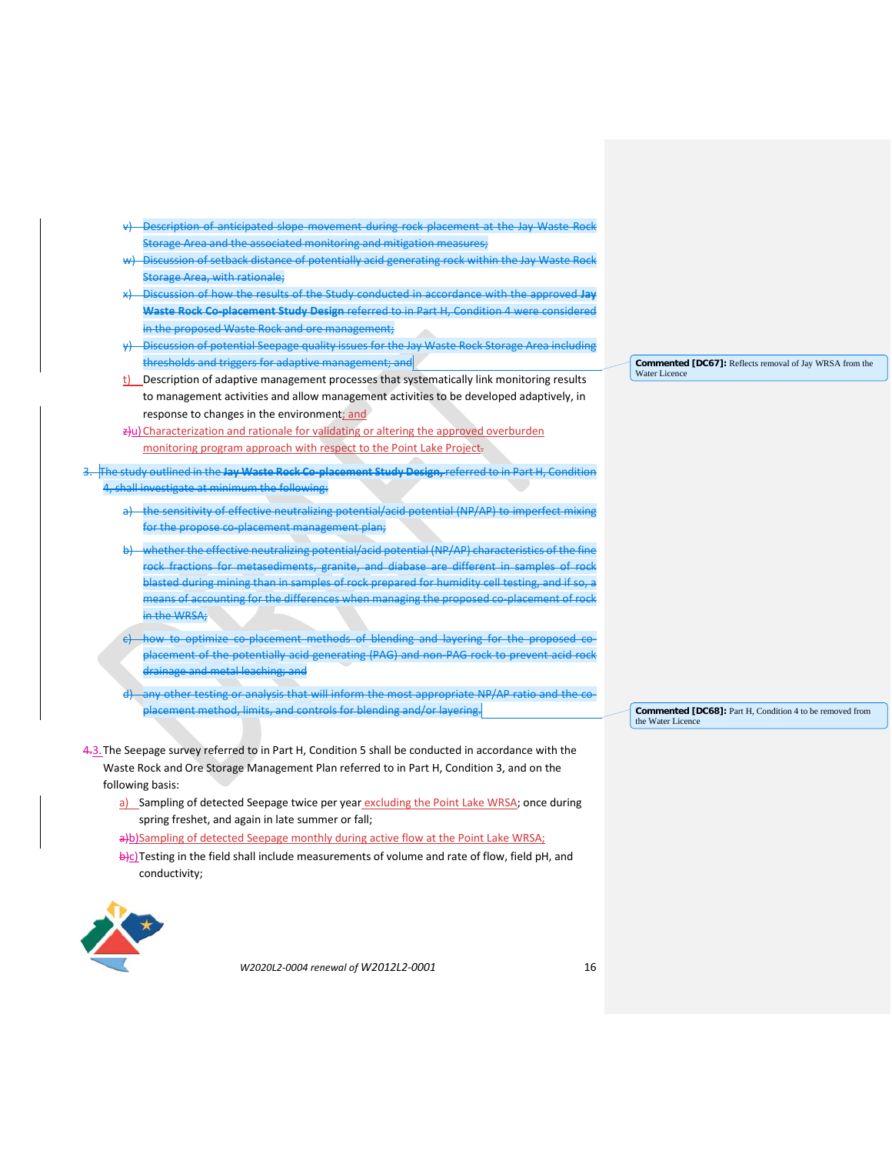- Description of anticipated slope movement during rock placement at the Jay Waste Rock Storage Area and the associated monitoring and mitigation measures;
- -Discussion of setback distance of potentially acid generating rock within the Jay Waste Rock Storage Area, with rationale;
- x) Discussion of how the results of the Study conducted in accordance with the approved **Jay Waste Rock Co-placement Study Design** referred to in Part H, Condition 4 were considered in the proposed Waste Rock and ore management;
- y) Discussion of potential Seepage quality issues for the Jay Waste Rock Storage Area including thresholds and triggers for adaptive management; and
- t) Description of adaptive management processes that systematically link monitoring results to management activities and allow management activities to be developed adaptively, in response to changes in the environment; and
- $\frac{1}{2}$ u) Characterization and rationale for validating or altering the approved overburden monitoring program approach with respect to the Point Lake Project.
- 3. The study outlined in the **Jay Waste Rock Co-placement Study Design,** referred to in Part H, Condition 4, shall investigate at minimum the following:
	- a) the sensitivity of effective neutralizing potential/acid potential (NP/AP) to imperfect mixing for the propose co-placement management plan;
	- b) whether the effective neutralizing potential/acid potential (NP/AP) characteristics of the fine rock fractions for metasediments, granite, and diabase are different in samples of rock blasted during mining than in samples of rock prepared for humidity cell testing, and if so, a means of accounting for the differences when managing the proposed co-placement of rock in the WRSA;
	- c) how to optimize co-placement methods of blending and layering for the proposed coplacement of the potentially acid generating (PAG) and non-PAG rock to prevent acid rock drainage and metal leaching; and
	- any other testing or analysis that will inform the most appropriate NP/AP ratio and the coplacement method, limits, and controls for blending and/or layering.
- 4.3. The Seepage survey referred to in Part H, Condition 5 shall be conducted in accordance with the Waste Rock and Ore Storage Management Plan referred to in Part H, Condition 3, and on the following basis:
	- a) Sampling of detected Seepage twice per year excluding the Point Lake WRSA; once during spring freshet, and again in late summer or fall;
	- a)b)Sampling of detected Seepage monthly during active flow at the Point Lake WRSA;
	- b)c)Testing in the field shall include measurements of volume and rate of flow, field pH, and conductivity;



*W2020L2-0004 renewal of W2012L2-0001* 16

**Commented [DC67]:** Reflects removal of Jay WRSA from the Water Licence

**Commented [DC68]:** Part H, Condition 4 to be removed from the Water Licenc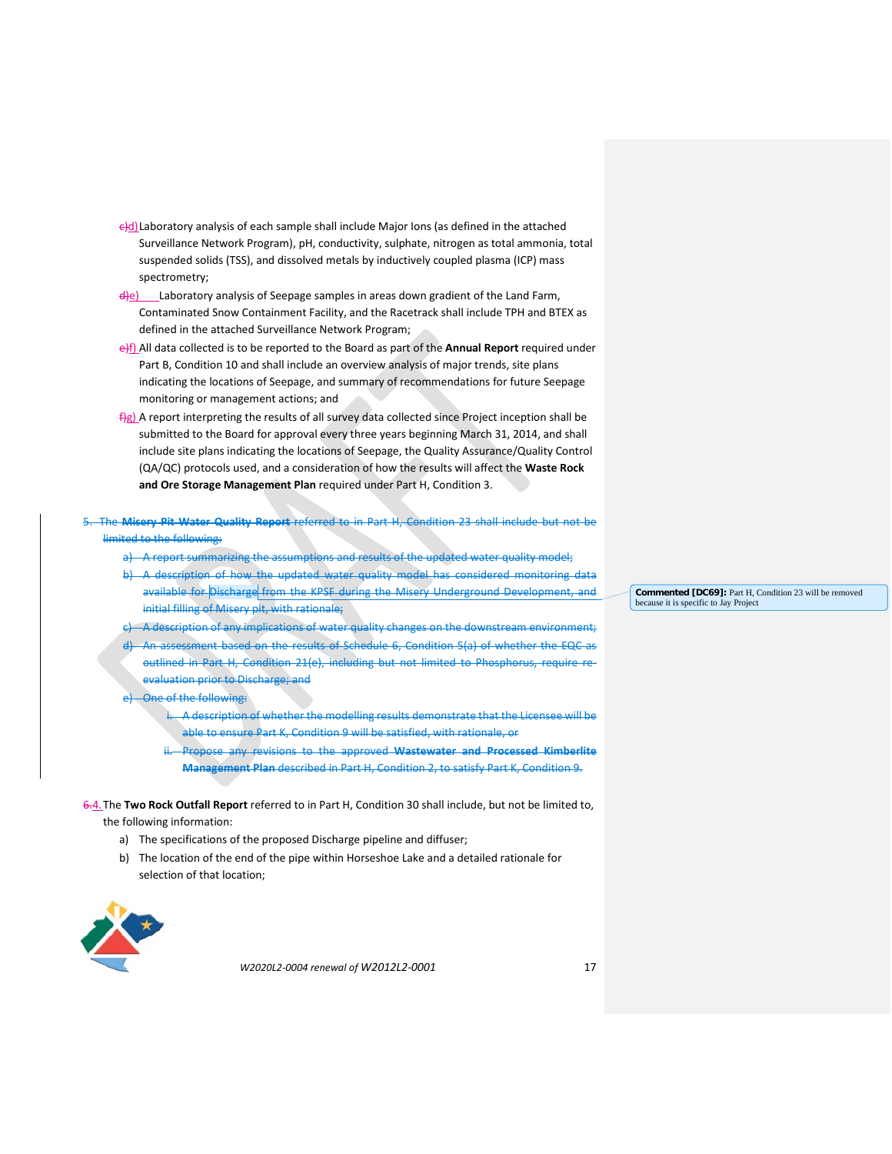- $\theta$ d)Laboratory analysis of each sample shall include Major Ions (as defined in the attached Surveillance Network Program), pH, conductivity, sulphate, nitrogen as total ammonia, total suspended solids (TSS), and dissolved metals by inductively coupled plasma (ICP) mass spectrometry;
- $\frac{d}{e}$  Laboratory analysis of Seepage samples in areas down gradient of the Land Farm, Contaminated Snow Containment Facility, and the Racetrack shall include TPH and BTEX as defined in the attached Surveillance Network Program;
- e)f) All data collected is to be reported to the Board as part of the **Annual Report** required under Part B, Condition 10 and shall include an overview analysis of major trends, site plans indicating the locations of Seepage, and summary of recommendations for future Seepage monitoring or management actions; and
- fig) A report interpreting the results of all survey data collected since Project inception shall be submitted to the Board for approval every three years beginning March 31, 2014, and shall include site plans indicating the locations of Seepage, the Quality Assurance/Quality Control (QA/QC) protocols used, and a consideration of how the results will affect the **Waste Rock and Ore Storage Management Plan** required under Part H, Condition 3.

5. The **Misery Pit Water Quality Report** referred to in Part H, Condition 23 shall include but not be limited to the following:

- a) A report summarizing the assumptions and results of the updated water quality model;
- b) A description of how the updated water quality model has considered monitoring data available for Discharge from the KPSF during the Misery Underground Development initial filling of Misery pit, with rationale;
- A description of any implications of water quality changes on the downstream environment;
- assessment based on the results of Schedule 6, Condition 5(a) of whether the EQC as outlined in Part H, Condition 21(e), including but not limited to Phosphorus, require reevaluation prior to Discharge; and
- e) One of the following:
	- A description of whether the modelling results demonstrate that the Licensee will be able to ensure Part K, Condition 9 will be satisfied, with rationale, or
	- Propose any revisions to the approved Wastewater and Processed Kimberlite **Management Plan** described in Part H, Condition 2, to satisfy Part K, Condition 9.
- 6.4.The **Two Rock Outfall Report** referred to in Part H, Condition 30 shall include, but not be limited to, the following information:
	- a) The specifications of the proposed Discharge pipeline and diffuser;
	- b) The location of the end of the pipe within Horseshoe Lake and a detailed rationale for selection of that location;



*W2020L2-0004 renewal of W2012L2-0001* 17

**Commented [DC69]:** Part H, Condition 23 will be removed because it is specific to Jay Project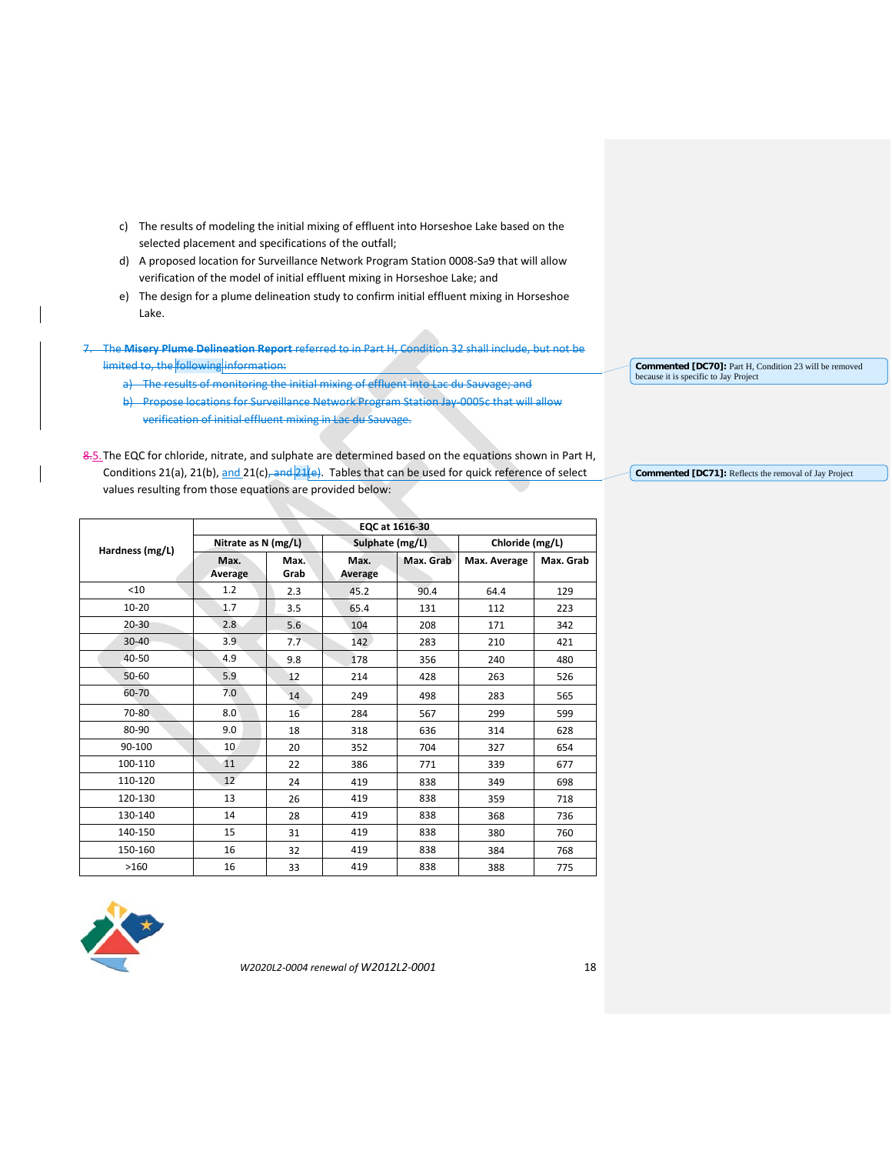- c) The results of modeling the initial mixing of effluent into Horseshoe Lake based on the selected placement and specifications of the outfall;
- d) A proposed location for Surveillance Network Program Station 0008-Sa9 that will allow verification of the model of initial effluent mixing in Horseshoe Lake; and
- e) The design for a plume delineation study to confirm initial effluent mixing in Horseshoe Lake.

7. The **Misery Plume Delineation Report** referred to in Part H, Condition 32 shall include, but not be limited to, the following information:

- a) The results of monitoring the initial mixing of effluent into Lac du Sauvage; and
- b) Propose locations for Surveillance Network Program Station Jay 0005c that will allow verification of initial effluent mixing in Lac du Sauvage.
- 8.5. The EQC for chloride, nitrate, and sulphate are determined based on the equations shown in Part H, Conditions 21(a), 21(b),  $\frac{and}{21(c)}$ , and  $\frac{21(e)}{e}$ . Tables that can be used for quick reference of select values resulting from those equations are provided below:

|                 | EQC at 1616-30  |                                        |                 |                 |              |           |
|-----------------|-----------------|----------------------------------------|-----------------|-----------------|--------------|-----------|
| Hardness (mg/L) |                 | Nitrate as N (mg/L)<br>Sulphate (mg/L) |                 | Chloride (mg/L) |              |           |
|                 | Max.<br>Average | Max.<br>Grab                           | Max.<br>Average | Max. Grab       | Max. Average | Max. Grab |
| $<$ 10          | 1.2             | 2.3                                    | 45.2            | 90.4            | 64.4         | 129       |
| $10 - 20$       | 1.7             | 3.5                                    | 65.4            | 131             | 112          | 223       |
| $20 - 30$       | 2.8             | 5.6                                    | 104             | 208             | 171          | 342       |
| $30 - 40$       | 3.9             | 7.7                                    | 142             | 283             | 210          | 421       |
| 40-50           | 4.9             | 9.8                                    | 178             | 356             | 240          | 480       |
| $50 - 60$       | 5.9             | 12                                     | 214             | 428             | 263          | 526       |
| 60-70           | 7.0             | 14                                     | 249             | 498             | 283          | 565       |
| 70-80           | 8.0             | 16                                     | 284             | 567             | 299          | 599       |
| 80-90           | 9.0             | 18                                     | 318             | 636             | 314          | 628       |
| 90-100          | 10              | 20                                     | 352             | 704             | 327          | 654       |
| 100-110         | 11              | 22                                     | 386             | 771             | 339          | 677       |
| 110-120         | 12              | 24                                     | 419             | 838             | 349          | 698       |
| 120-130         | 13              | 26                                     | 419             | 838             | 359          | 718       |
| 130-140         | 14              | 28                                     | 419             | 838             | 368          | 736       |
| 140-150         | 15              | 31                                     | 419             | 838             | 380          | 760       |
| 150-160         | 16              | 32                                     | 419             | 838             | 384          | 768       |
| >160            | 16              | 33                                     | 419             | 838             | 388          | 775       |



*W2020L2-0004 renewal of W2012L2-0001* 18

**Commented [DC70]:** Part H, Condition 23 will be removed because it is specific to Jay Project

**Commented [DC71]:** Reflects the removal of Jay Project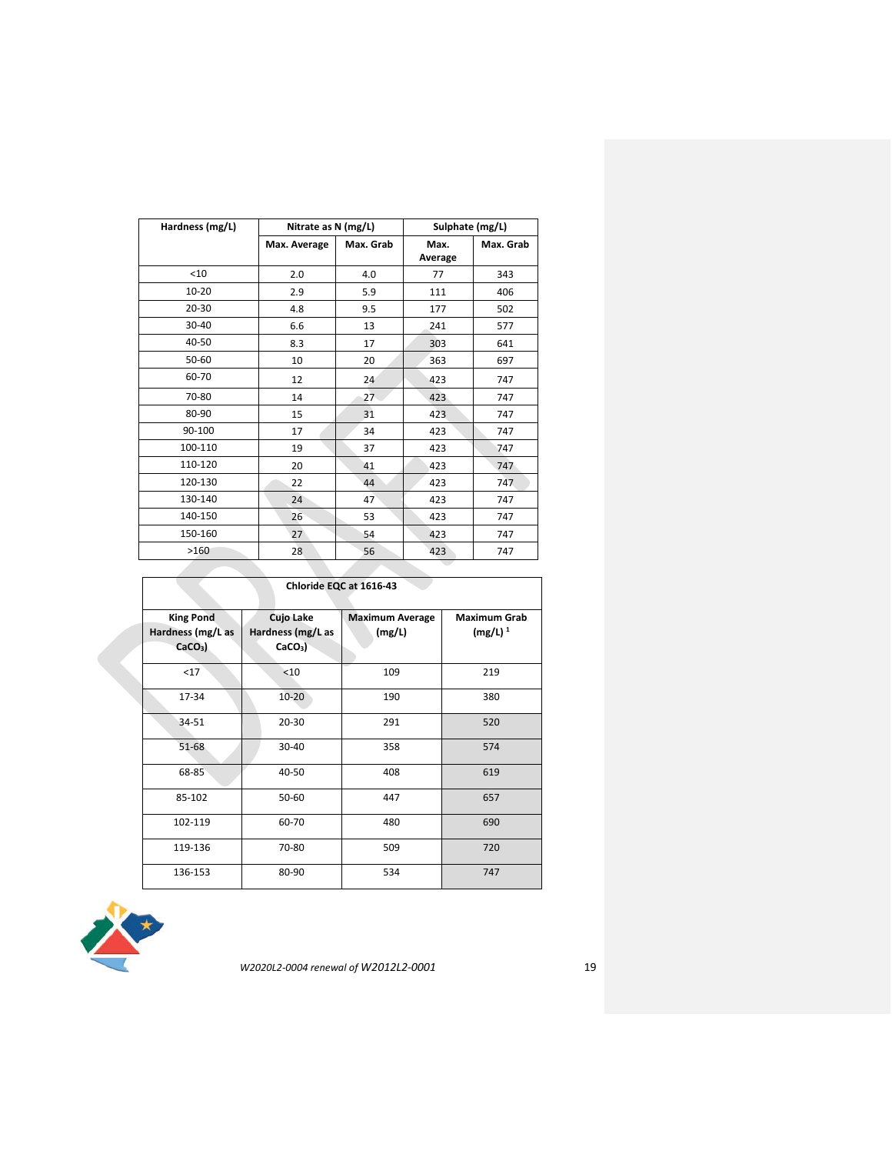| Hardness (mg/L) | Nitrate as N (mg/L) |           | Sulphate (mg/L) |           |
|-----------------|---------------------|-----------|-----------------|-----------|
|                 | Max. Average        | Max. Grab | Max.<br>Average | Max. Grab |
| $<$ 10          | 2.0                 | 4.0       | 77              | 343       |
| $10 - 20$       | 2.9                 | 5.9       | 111             | 406       |
| 20-30           | 4.8                 | 9.5       | 177             | 502       |
| $30 - 40$       | 6.6                 | 13        | 241             | 577       |
| 40-50           | 8.3                 | 17        | 303             | 641       |
| 50-60           | 10                  | 20        | 363             | 697       |
| 60-70           | 12                  | 24        | 423             | 747       |
| 70-80           | 14                  | 27        | 423             | 747       |
| 80-90           | 15                  | 31        | 423             | 747       |
| 90-100          | 17                  | 34        | 423             | 747       |
| 100-110         | 19                  | 37        | 423             | 747       |
| 110-120         | 20                  | 41        | 423             | 747       |
| 120-130         | 22                  | 44        | 423             | 747       |
| 130-140         | 24                  | 47        | 423             | 747       |
| 140-150         | 26                  | 53        | 423             | 747       |
| 150-160         | 27                  | 54        | 423             | 747       |
| >160            | 28                  | 56        | 423             | 747       |

|                                                            | Chloride EQC at 1616-43                             |                                  |                                   |  |  |
|------------------------------------------------------------|-----------------------------------------------------|----------------------------------|-----------------------------------|--|--|
| <b>King Pond</b><br>Hardness (mg/L as<br>CaCO <sub>3</sub> | Cujo Lake<br>Hardness (mg/L as<br>CaCO <sub>3</sub> | <b>Maximum Average</b><br>(mg/L) | <b>Maximum Grab</b><br>$(mg/L)^1$ |  |  |
| $17$                                                       | < 10                                                | 109                              | 219                               |  |  |
| 17-34                                                      | $10 - 20$                                           | 190                              | 380                               |  |  |
| 34-51                                                      | 20-30                                               | 291                              | 520                               |  |  |
| 51-68                                                      | 30-40                                               | 358                              | 574                               |  |  |
| 68-85                                                      | 40-50                                               | 408                              | 619                               |  |  |
| 85-102                                                     | 50-60                                               | 447                              | 657                               |  |  |
| 102-119                                                    | 60-70                                               | 480                              | 690                               |  |  |
| 119-136                                                    | 70-80                                               | 509                              | 720                               |  |  |
| 136-153                                                    | 80-90                                               | 534                              | 747                               |  |  |

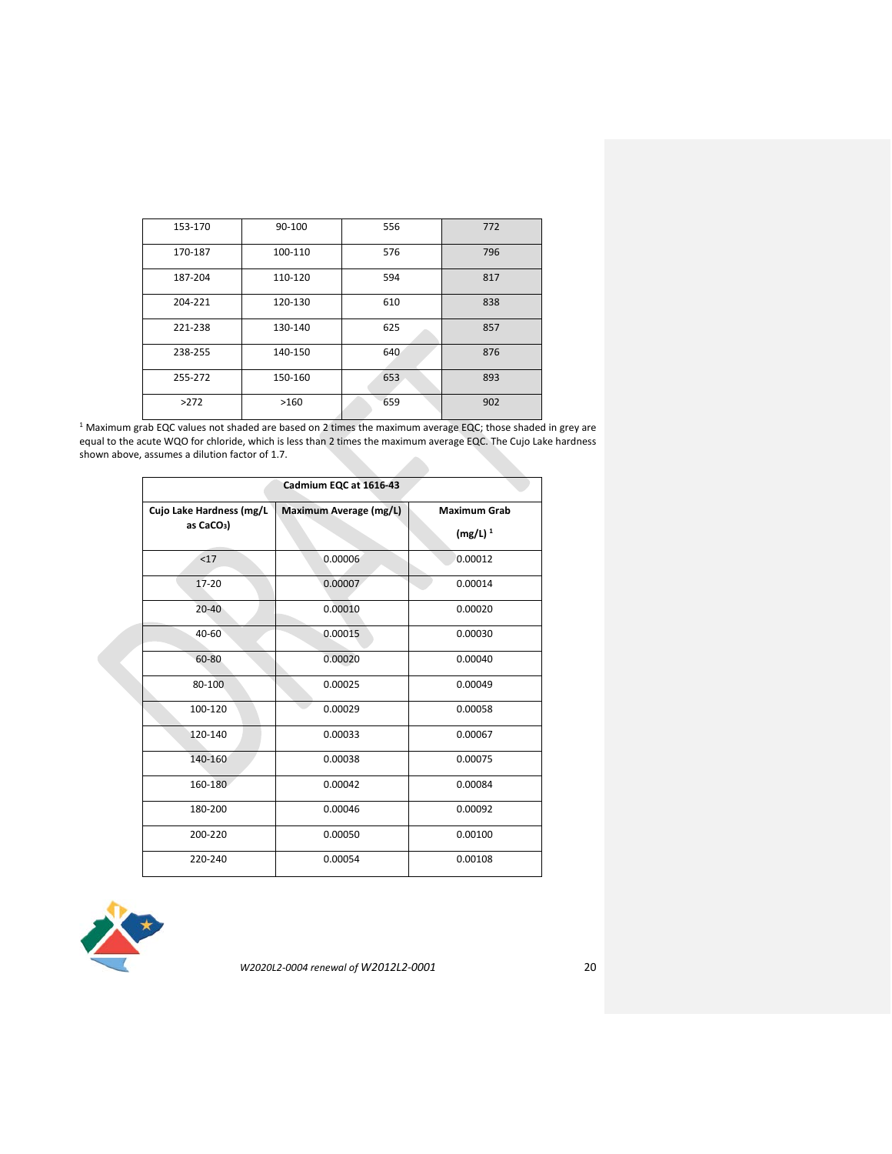| 153-170 | 90-100  | 556 | 772 |
|---------|---------|-----|-----|
| 170-187 | 100-110 | 576 | 796 |
| 187-204 | 110-120 | 594 | 817 |
| 204-221 | 120-130 | 610 | 838 |
| 221-238 | 130-140 | 625 | 857 |
| 238-255 | 140-150 | 640 | 876 |
| 255-272 | 150-160 | 653 | 893 |
| >272    | >160    | 659 | 902 |

 $1$  Maximum grab EQC values not shaded are based on 2 times the maximum average EQC; those shaded in grey are equal to the acute WQO for chloride, which is less than 2 times the maximum average EQC. The Cujo Lake hardness shown above, assumes a dilution factor of 1.7.

| Cadmium EQC at 1616-43                             |                        |                                   |  |  |
|----------------------------------------------------|------------------------|-----------------------------------|--|--|
| Cujo Lake Hardness (mg/L<br>as CaCO <sub>3</sub> ) | Maximum Average (mg/L) | <b>Maximum Grab</b><br>$(mg/L)^1$ |  |  |
| <17                                                | 0.00006                | 0.00012                           |  |  |
| $17 - 20$                                          | 0.00007                | 0.00014                           |  |  |
| $20 - 40$                                          | 0.00010                | 0.00020                           |  |  |
| $40 - 60$                                          | 0.00015                | 0.00030                           |  |  |
| 60-80                                              | 0.00020                | 0.00040                           |  |  |
| 80-100                                             | 0.00025                | 0.00049                           |  |  |
| 100-120                                            | 0.00029                | 0.00058                           |  |  |
| 120-140                                            | 0.00033                | 0.00067                           |  |  |
| 140-160                                            | 0.00038                | 0.00075                           |  |  |
| 160-180                                            | 0.00042                | 0.00084                           |  |  |
| 180-200                                            | 0.00046                | 0.00092                           |  |  |
| 200-220                                            | 0.00050                | 0.00100                           |  |  |
| 220-240                                            | 0.00054                | 0.00108                           |  |  |

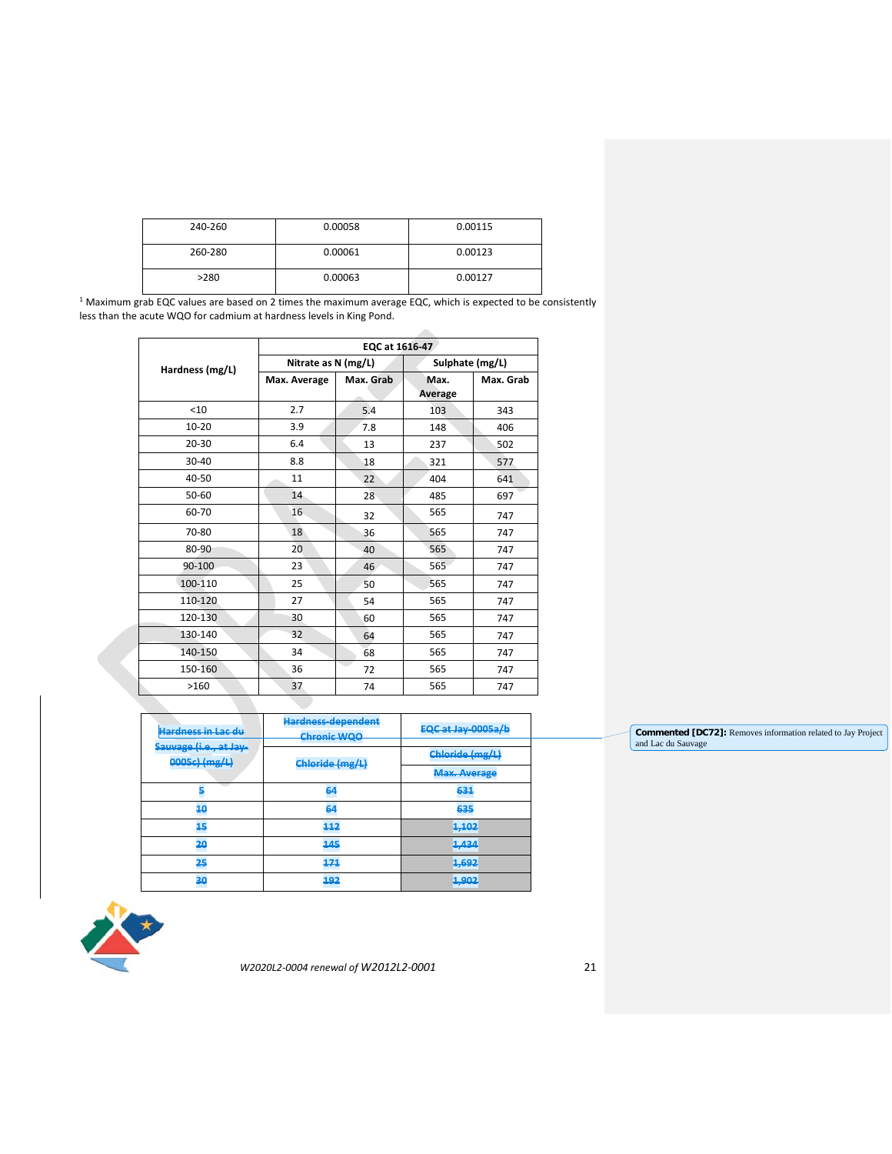| 240-260 | 0.00058 | 0.00115 |
|---------|---------|---------|
| 260-280 | 0.00061 | 0.00123 |
| >280    | 0.00063 | 0.00127 |

 $1$  Maximum grab EQC values are based on 2 times the maximum average EQC, which is expected to be consistently less than the acute WQO for cadmium at hardness levels in King Pond.

|                 | EQC at 1616-47 |                     |                 |                 |
|-----------------|----------------|---------------------|-----------------|-----------------|
| Hardness (mg/L) |                | Nitrate as N (mg/L) |                 | Sulphate (mg/L) |
|                 | Max. Average   | Max. Grab           | Max.<br>Average | Max. Grab       |
| $<$ 10          | 2.7            | 5.4                 | 103             | 343             |
| $10 - 20$       | 3.9            | 7.8                 | 148             | 406             |
| $20 - 30$       | 6.4            | 13                  | 237             | 502             |
| 30-40           | 8.8            | 18                  | 321             | 577             |
| 40-50           | 11             | 22                  | 404             | 641             |
| 50-60           | 14             | 28                  | 485             | 697             |
| 60-70           | 16             | 32                  | 565             | 747             |
| 70-80           | 18             | 36                  | 565             | 747             |
| 80-90           | 20             | 40                  | 565             | 747             |
| 90-100          | 23             | 46                  | 565             | 747             |
| 100-110         | 25             | 50                  | 565             | 747             |
| 110-120         | 27             | 54                  | 565             | 747             |
| 120-130         | 30             | 60                  | 565             | 747             |
| 130-140         | 32             | 64                  | 565             | 747             |
| 140-150         | 34             | 68                  | 565             | 747             |
| 150-160         | 36             | 72                  | 565             | 747             |
| >160            | 37             | 74                  | 565             | 747             |

| <del>Hardness in Lac du</del>           | <b>Hardness-dependent</b><br><b>Chronic WQO</b> | <b>EQC at Jay-0005a/b</b>   |
|-----------------------------------------|-------------------------------------------------|-----------------------------|
| Sauvage (i.e., at Jay-<br>0005c) (mg/L) | Chloride (mg/L)                                 | Chloride (mg/L)             |
|                                         |                                                 | <b>Max. Average</b>         |
| <b>STATE</b>                            | 64                                              | 631                         |
| 10                                      | 64                                              | 635                         |
| 15                                      | 112                                             | <u>1.102</u><br>كالأرخ      |
| 20                                      | 145                                             | $1.121$<br><del>1,434</del> |
| 25                                      | 171                                             | 1.692<br>まかサチ               |
| 30                                      | 192                                             | 1.902<br>まかかき               |



*W2020L2-0004 renewal of W2012L2-0001* 21

**Commented [DC72]:** Removes information related to Jay Project and Lac du Sauvage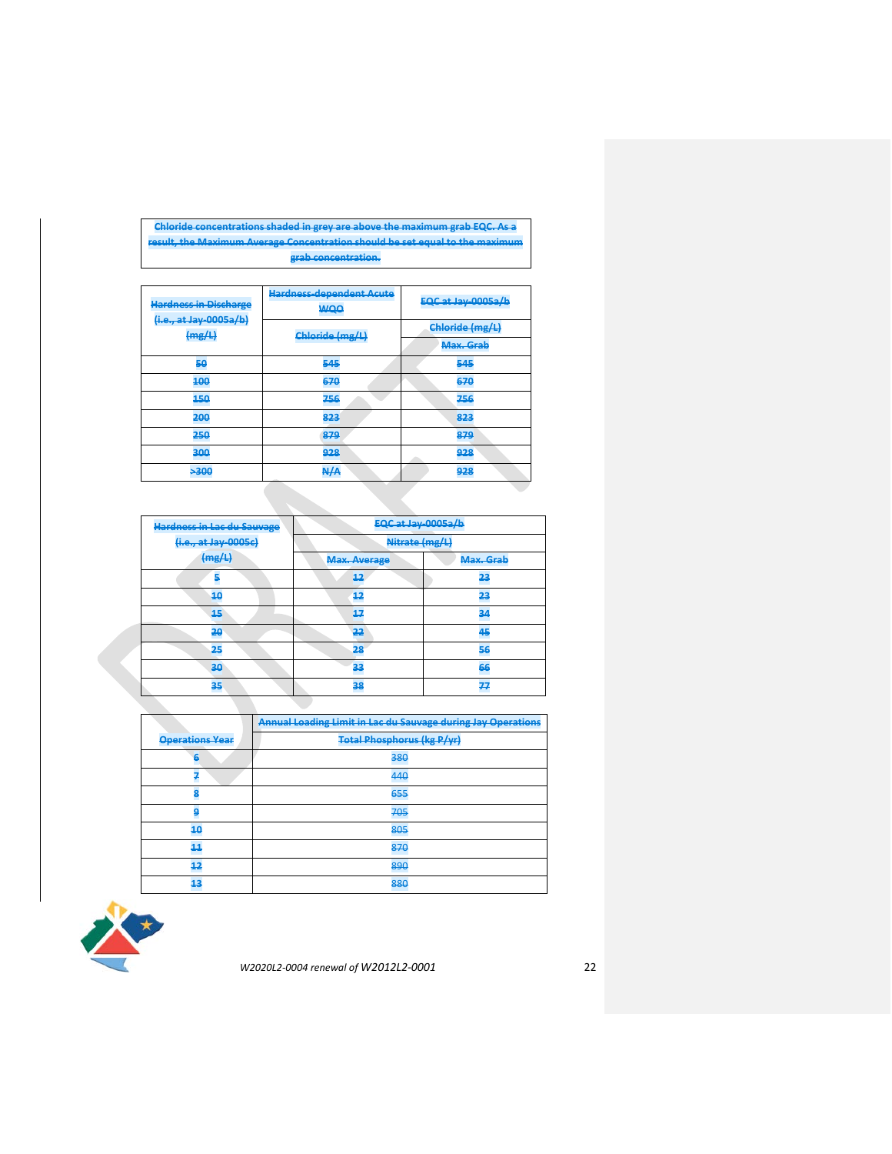## **Chloride concentrations shaded in grey are above the maximum grab EQC. As a result, the Maximum Average Concentration should be set equal to the maximum grab concentration.**

| <b>Hardness in Discharge</b>     | <b>Hardness-dependent Acute</b><br><b>WQO</b> | <b>EQC at Jay-0005a/b</b> |
|----------------------------------|-----------------------------------------------|---------------------------|
| (i.e., at Jay-0005a/b)<br>(mg/L) | Chloride (mg/L)                               | Chloride (mg/L)           |
|                                  |                                               | Max. Grab                 |
| 50                               | 545                                           | 545                       |
| 100                              | 670                                           | 670                       |
| 450                              | 756                                           | 756                       |
| 200                              | 823                                           | 823                       |
| 250                              | 879                                           | 879                       |
| 300                              | 928                                           | 928                       |
| 300                              | A/A                                           | 928                       |
|                                  |                                               |                           |

| <b>Hardness in Lac du Sauvage</b> | EQC at Jay-0005a/b  |           |  |
|-----------------------------------|---------------------|-----------|--|
| (i.e., at Jay-0005c)              | Nitrate (mg/L)      |           |  |
| (mg/L)                            | <b>Max. Average</b> | Max. Grab |  |
| 5                                 | 12                  | 23        |  |
| 40                                | 12                  | 23        |  |
| 15                                | 17                  | 34        |  |
| 20                                | 22                  | 45        |  |
| 25                                | 28                  | 56        |  |
| 30                                | 33                  | 66        |  |
| 35                                | 38                  | 77        |  |

|                        | <b>Annual Loading Limit in Lac du Sauvage during Jay Operations</b> |  |
|------------------------|---------------------------------------------------------------------|--|
| <b>Operations Year</b> | <b>Total Phosphorus (kg P/yr)</b>                                   |  |
| 6                      | 380                                                                 |  |
|                        | 440                                                                 |  |
|                        | 655                                                                 |  |
|                        | 705                                                                 |  |
| 10                     | 805                                                                 |  |
| 44                     | 870                                                                 |  |
| 42                     | 890                                                                 |  |
| 13                     | 880                                                                 |  |

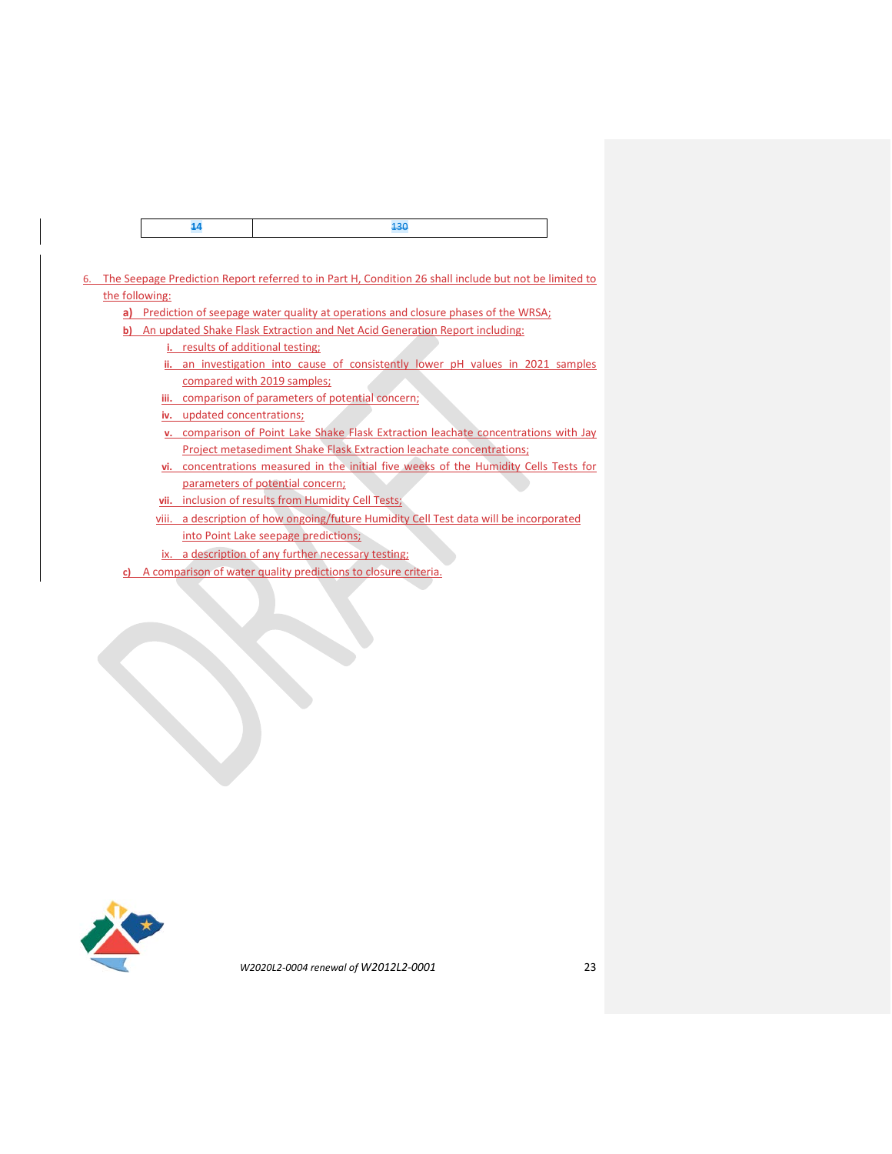|--|--|--|

- 6. The Seepage Prediction Report referred to in Part H, Condition 26 shall include but not be limited to the following:
	- **a)** Prediction of seepage water quality at operations and closure phases of the WRSA;
	- **b)** An updated Shake Flask Extraction and Net Acid Generation Report including: **i.** results of additional testing;
		- **ii.** an investigation into cause of consistently lower pH values in 2021 samples compared with 2019 samples;
		- **iii.** comparison of parameters of potential concern;
		- **iv.** updated concentrations;
		- **v.** comparison of Point Lake Shake Flask Extraction leachate concentrations with Jay Project metasediment Shake Flask Extraction leachate concentrations;
		- **vi.** concentrations measured in the initial five weeks of the Humidity Cells Tests for parameters of potential concern;
		- **vii.** inclusion of results from Humidity Cell Tests;
		- viii. a description of how ongoing/future Humidity Cell Test data will be incorporated into Point Lake seepage predictions;
		- ix. a description of any further necessary testing;
	- **c)** A comparison of water quality predictions to closure criteria.

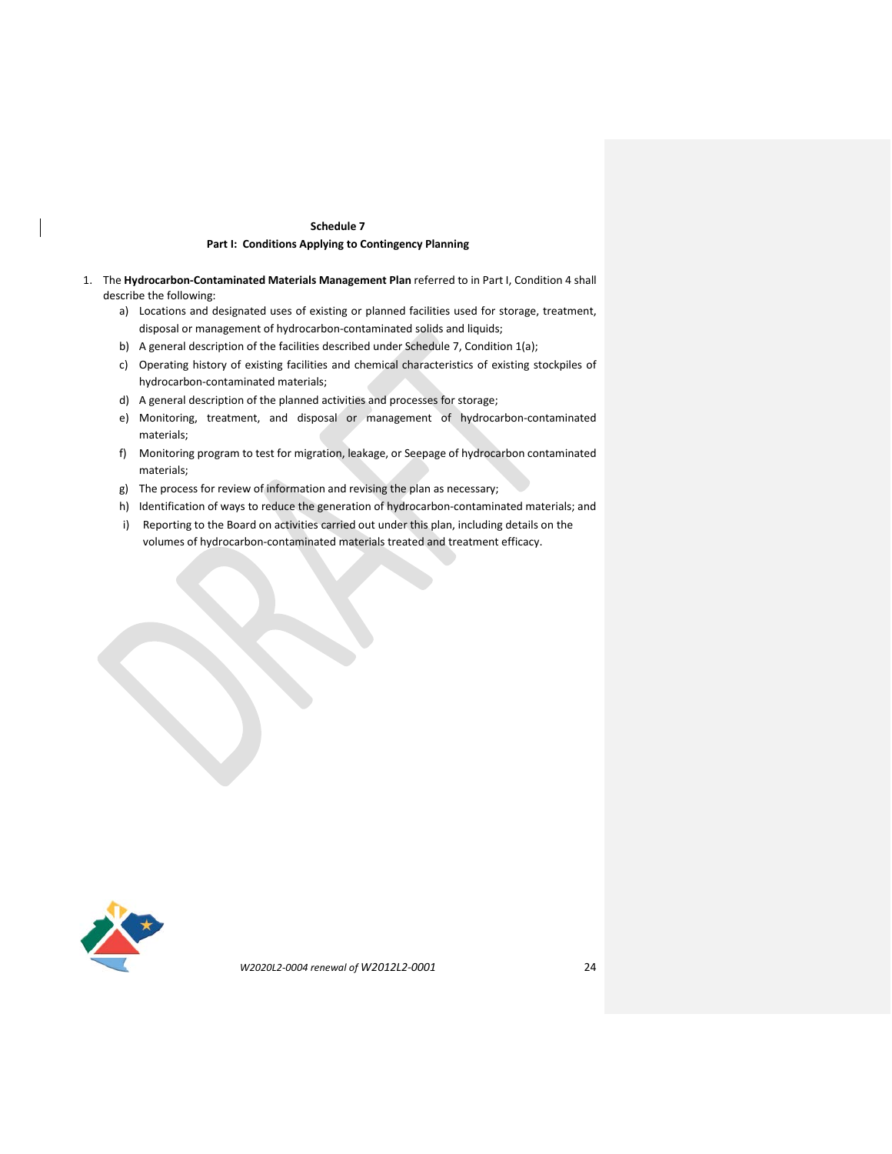#### **Schedule 7**

## **Part I: Conditions Applying to Contingency Planning**

- 1. The **Hydrocarbon-Contaminated Materials Management Plan** referred to in Part I, Condition 4 shall describe the following:
	- a) Locations and designated uses of existing or planned facilities used for storage, treatment, disposal or management of hydrocarbon-contaminated solids and liquids;
	- b) A general description of the facilities described under Schedule 7, Condition 1(a);
	- c) Operating history of existing facilities and chemical characteristics of existing stockpiles of hydrocarbon-contaminated materials;
	- d) A general description of the planned activities and processes for storage;
	- e) Monitoring, treatment, and disposal or management of hydrocarbon-contaminated materials;
	- f) Monitoring program to test for migration, leakage, or Seepage of hydrocarbon contaminated materials;
	- g) The process for review of information and revising the plan as necessary;
	- h) Identification of ways to reduce the generation of hydrocarbon-contaminated materials; and
	- i) Reporting to the Board on activities carried out under this plan, including details on the volumes of hydrocarbon-contaminated materials treated and treatment efficacy.

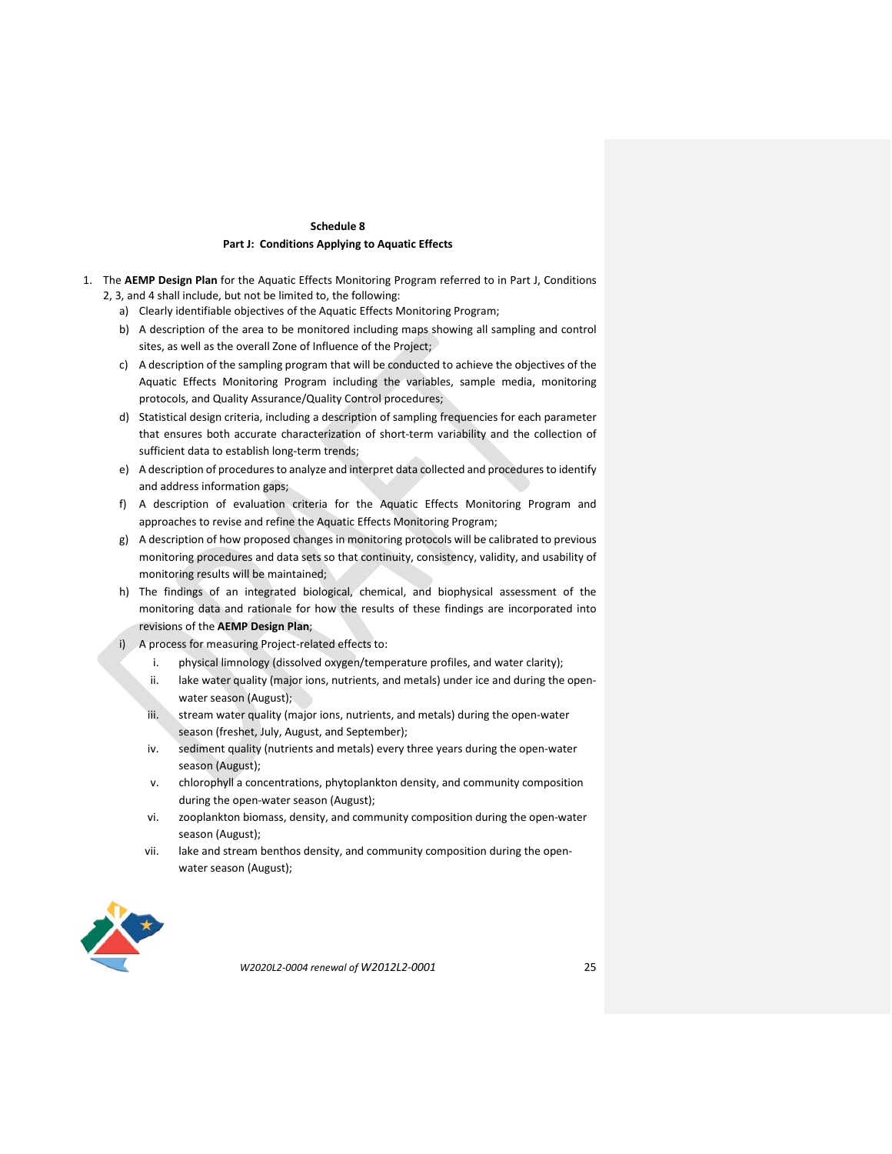## **Schedule 8 Part J: Conditions Applying to Aquatic Effects**

- 1. The **AEMP Design Plan** for the Aquatic Effects Monitoring Program referred to in Part J, Conditions 2, 3, and 4 shall include, but not be limited to, the following:
	- a) Clearly identifiable objectives of the Aquatic Effects Monitoring Program;
	- b) A description of the area to be monitored including maps showing all sampling and control sites, as well as the overall Zone of Influence of the Project;
	- c) A description of the sampling program that will be conducted to achieve the objectives of the Aquatic Effects Monitoring Program including the variables, sample media, monitoring protocols, and Quality Assurance/Quality Control procedures;
	- d) Statistical design criteria, including a description of sampling frequencies for each parameter that ensures both accurate characterization of short-term variability and the collection of sufficient data to establish long-term trends;
	- e) A description of procedures to analyze and interpret data collected and procedures to identify and address information gaps;
	- f) A description of evaluation criteria for the Aquatic Effects Monitoring Program and approaches to revise and refine the Aquatic Effects Monitoring Program;
	- g) A description of how proposed changes in monitoring protocols will be calibrated to previous monitoring procedures and data sets so that continuity, consistency, validity, and usability of monitoring results will be maintained;
	- h) The findings of an integrated biological, chemical, and biophysical assessment of the monitoring data and rationale for how the results of these findings are incorporated into revisions of the **AEMP Design Plan**;
	- i) A process for measuring Project-related effects to:
		- i. physical limnology (dissolved oxygen/temperature profiles, and water clarity);
		- ii. lake water quality (major ions, nutrients, and metals) under ice and during the openwater season (August);
		- iii. stream water quality (major ions, nutrients, and metals) during the open-water season (freshet, July, August, and September);
		- iv. sediment quality (nutrients and metals) every three years during the open-water season (August);
		- v. chlorophyll a concentrations, phytoplankton density, and community composition during the open-water season (August);
		- vi. zooplankton biomass, density, and community composition during the open-water season (August);
		- vii. lake and stream benthos density, and community composition during the openwater season (August);

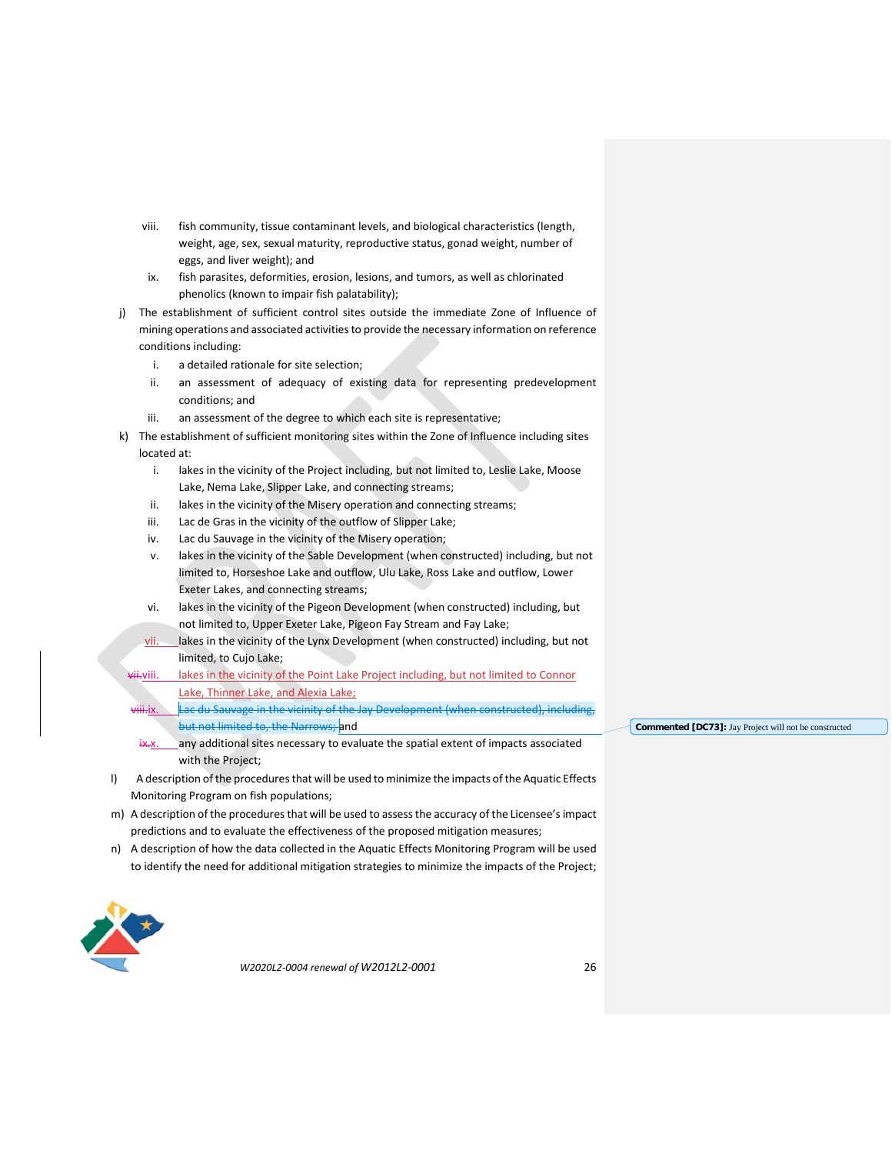- viii. fish community, tissue contaminant levels, and biological characteristics (length, weight, age, sex, sexual maturity, reproductive status, gonad weight, number of eggs, and liver weight); and
- ix. fish parasites, deformities, erosion, lesions, and tumors, as well as chlorinated phenolics (known to impair fish palatability);
- j) The establishment of sufficient control sites outside the immediate Zone of Influence of mining operations and associated activitiesto provide the necessary information on reference conditions including:
	- i. a detailed rationale for site selection;
	- ii. an assessment of adequacy of existing data for representing predevelopment conditions; and
	- iii. an assessment of the degree to which each site is representative;
- k) The establishment of sufficient monitoring sites within the Zone of Influence including sites located at:
	- i. lakes in the vicinity of the Project including, but not limited to, Leslie Lake, Moose Lake, Nema Lake, Slipper Lake, and connecting streams;
	- ii. lakes in the vicinity of the Misery operation and connecting streams;
	- iii. Lac de Gras in the vicinity of the outflow of Slipper Lake;
	- iv. Lac du Sauvage in the vicinity of the Misery operation;
	- v. lakes in the vicinity of the Sable Development (when constructed) including, but not limited to, Horseshoe Lake and outflow, Ulu Lake, Ross Lake and outflow, Lower Exeter Lakes, and connecting streams;
	- vi. lakes in the vicinity of the Pigeon Development (when constructed) including, but not limited to, Upper Exeter Lake, Pigeon Fay Stream and Fay Lake;
	- $vi.$  lakes in the vicinity of the Lynx Development (when constructed) including, but not limited, to Cujo Lake;
	- vii. lakes in the vicinity of the Point Lake Project including, but not limited to Connor Lake, Thinner Lake, and Alexia Lake;
		- Lac du Sauvage in the vicinity of the Jay Development (when constructed), including, but not limited to, the Narrows; and
		- $\frac{1}{x}$ . any additional sites necessary to evaluate the spatial extent of impacts associated with the Project;
- l) A description of the procedures that will be used to minimize the impacts of the Aquatic Effects Monitoring Program on fish populations;
- m) A description of the procedures that will be used to assess the accuracy of the Licensee's impact predictions and to evaluate the effectiveness of the proposed mitigation measures;
- n) A description of how the data collected in the Aquatic Effects Monitoring Program will be used to identify the need for additional mitigation strategies to minimize the impacts of the Project;



*W2020L2-0004 renewal of W2012L2-0001* 26

**Commented [DC73]:** Jay Project will not be constructed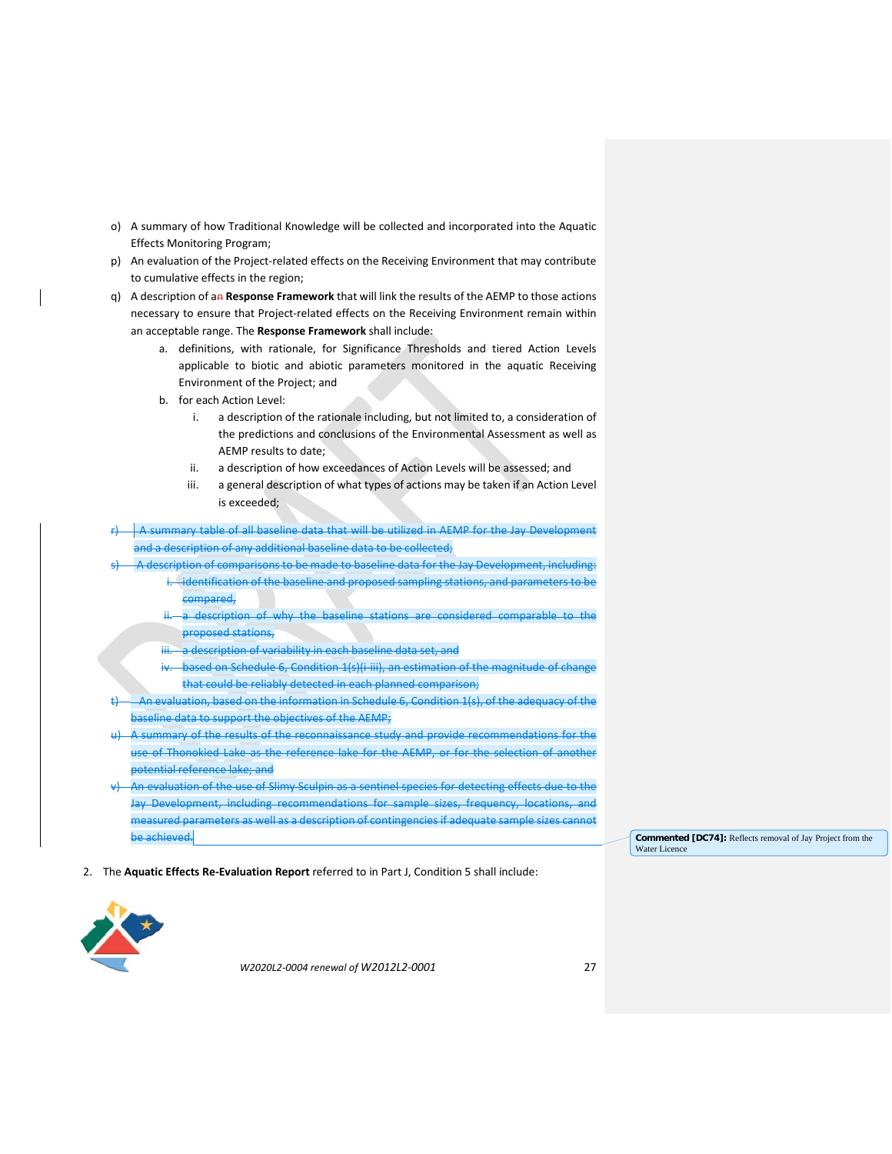- o) A summary of how Traditional Knowledge will be collected and incorporated into the Aquatic Effects Monitoring Program;
- p) An evaluation of the Project-related effects on the Receiving Environment that may contribute to cumulative effects in the region;
- q) A description of an **Response Framework** that will link the results of the AEMP to those actions necessary to ensure that Project-related effects on the Receiving Environment remain within an acceptable range. The **Response Framework** shall include:
	- a. definitions, with rationale, for Significance Thresholds and tiered Action Levels applicable to biotic and abiotic parameters monitored in the aquatic Receiving Environment of the Project; and
	- b. for each Action Level:
		- i. a description of the rationale including, but not limited to, a consideration of the predictions and conclusions of the Environmental Assessment as well as AEMP results to date;
		- ii. a description of how exceedances of Action Levels will be assessed; and
		- iii. a general description of what types of actions may be taken if an Action Level is exceeded;
- $r$   $\overrightarrow{A}$  summary table of all baseline data that will be utilized in AEMP for the Jay Development and a description of any additional baseline data to be collected;
- A description of comparisons to be made to baseline data for the Jay Development, including:
	- identification of the baseline and proposed sampling stations, and parameters to be compared,
	- a description of why the baseline stations are considered comparable to the proposed stations,
	- a description of variability in each baseline data set, and
	- based on Schedule 6, Condition 1(s)(i-iii), an estimation of the magnitude of change that could be reliably detected in each planned comparison;
- raluation, based on the information in Schedule 6, Condition 1(s), of the adequacy of the baseline data to support the objectives of the AEMP;
- u) A summary of the results of the reconnaissance study and provide recommendations for the use of Thonokied Lake as the reference lake for the AEMP, or for the selection of another potential reference lake; and
- An evaluation of the use of Slimy Sculpin as a sentinel species for detecting effects due to the Jay Development, including recommendations for sample sizes, frequency, locations, and measured parameters as well as a description of contingencies if adequate sample sizes cannot be achieved.

**Commented [DC74]:** Reflects removal of Jay Project from the Water Licence

2. The **Aquatic Effects Re-Evaluation Report** referred to in Part J, Condition 5 shall include:

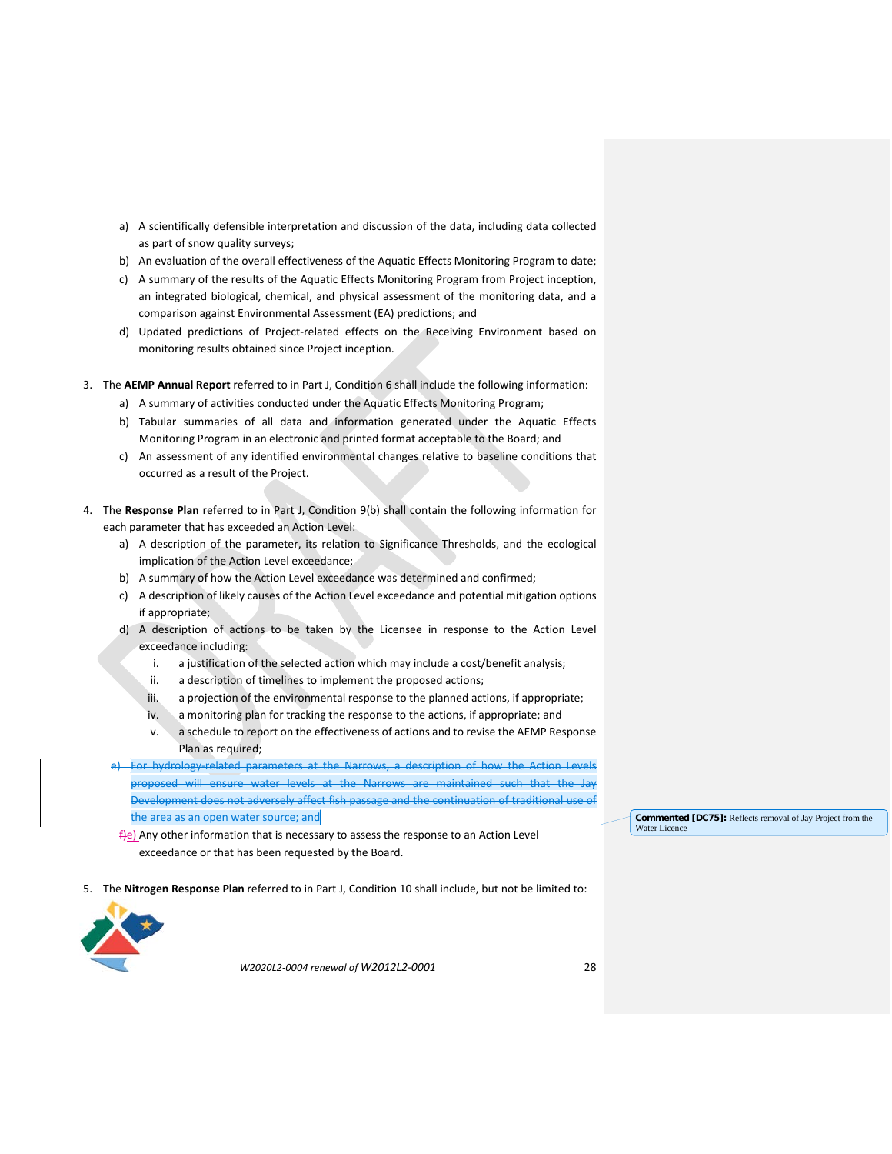- a) A scientifically defensible interpretation and discussion of the data, including data collected as part of snow quality surveys;
- b) An evaluation of the overall effectiveness of the Aquatic Effects Monitoring Program to date;
- c) A summary of the results of the Aquatic Effects Monitoring Program from Project inception, an integrated biological, chemical, and physical assessment of the monitoring data, and a comparison against Environmental Assessment (EA) predictions; and
- d) Updated predictions of Project-related effects on the Receiving Environment based on monitoring results obtained since Project inception.
- 3. The **AEMP Annual Report** referred to in Part J, Condition 6 shall include the following information:
	- a) A summary of activities conducted under the Aquatic Effects Monitoring Program;
	- b) Tabular summaries of all data and information generated under the Aquatic Effects Monitoring Program in an electronic and printed format acceptable to the Board; and
	- c) An assessment of any identified environmental changes relative to baseline conditions that occurred as a result of the Project.
- 4. The **Response Plan** referred to in Part J, Condition 9(b) shall contain the following information for each parameter that has exceeded an Action Level:
	- a) A description of the parameter, its relation to Significance Thresholds, and the ecological implication of the Action Level exceedance;
	- b) A summary of how the Action Level exceedance was determined and confirmed;
	- c) A description of likely causes of the Action Level exceedance and potential mitigation options if appropriate;
	- d) A description of actions to be taken by the Licensee in response to the Action Level exceedance including:
		- i. a justification of the selected action which may include a cost/benefit analysis;
		- ii. a description of timelines to implement the proposed actions;
		- iii. a projection of the environmental response to the planned actions, if appropriate;
		- iv. a monitoring plan for tracking the response to the actions, if appropriate; and
		- v. a schedule to report on the effectiveness of actions and to revise the AEMP Response Plan as required;
	- For hydrology-related parameters at the Narrows, a description of how the Action Levels proposed will ensure water levels at the Narrows are maintained such that the Jay Development does not adversely affect fish passage and the continuation of traditional use of the area as an open water source; and

f<sub>le</sub>) Any other information that is necessary to assess the response to an Action Level exceedance or that has been requested by the Board.

5. The **Nitrogen Response Plan** referred to in Part J, Condition 10 shall include, but not be limited to:



*W2020L2-0004 renewal of W2012L2-0001* 28

**Commented [DC75]:** Reflects removal of Jay Project from the Water Licence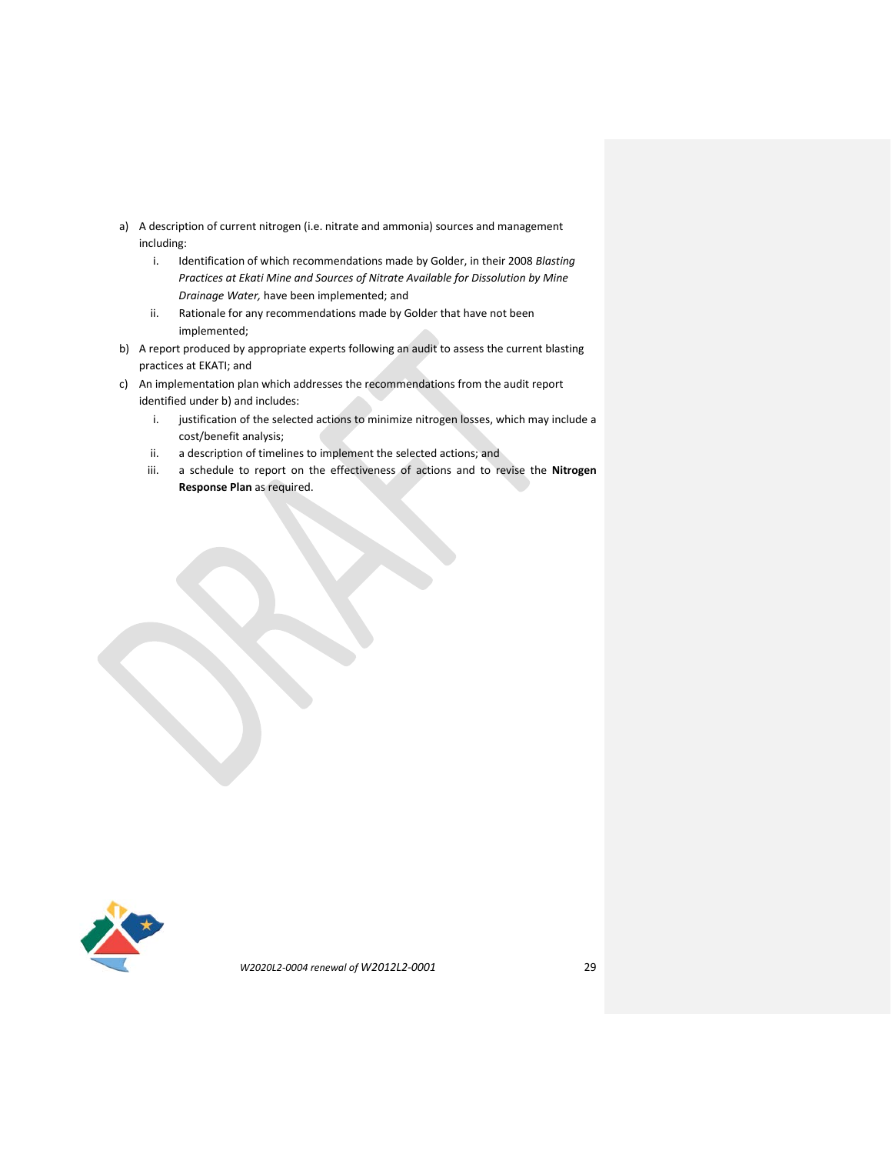- a) A description of current nitrogen (i.e. nitrate and ammonia) sources and management including:
	- i. Identification of which recommendations made by Golder, in their 2008 *Blasting Practices at Ekati Mine and Sources of Nitrate Available for Dissolution by Mine Drainage Water,* have been implemented; and
	- ii. Rationale for any recommendations made by Golder that have not been implemented;
- b) A report produced by appropriate experts following an audit to assess the current blasting practices at EKATI; and
- c) An implementation plan which addresses the recommendations from the audit report identified under b) and includes:
	- i. justification of the selected actions to minimize nitrogen losses, which may include a cost/benefit analysis;
	- ii. a description of timelines to implement the selected actions; and
	- iii. a schedule to report on the effectiveness of actions and to revise the **Nitrogen Response Plan** as required.